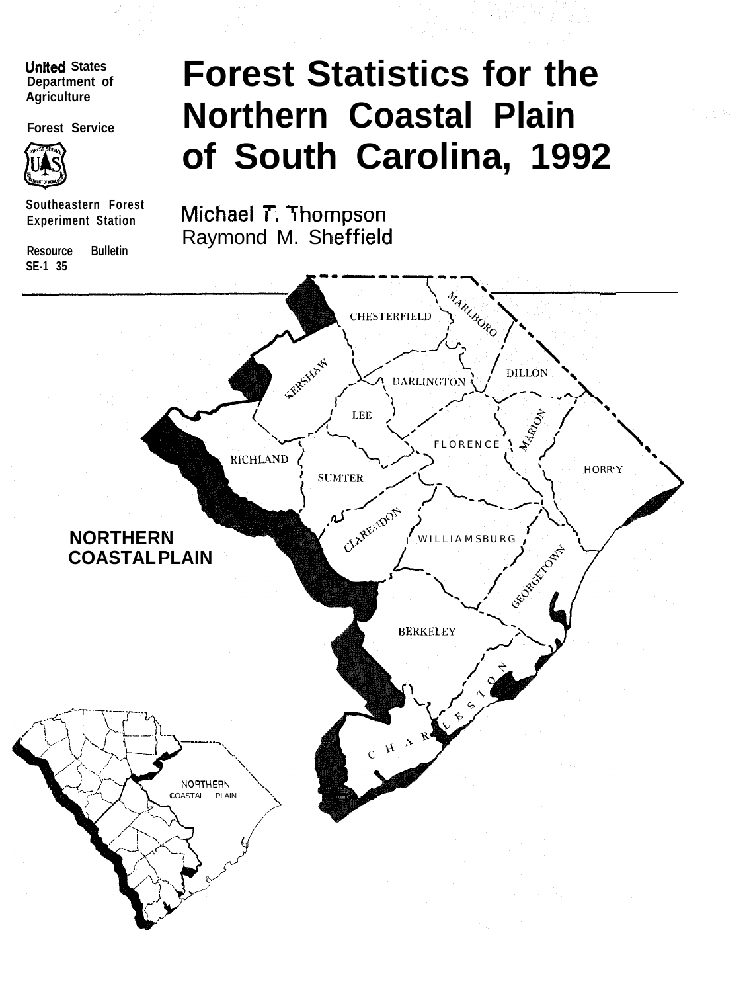# **Unlted States Agriculture**



**Southeastern Forest Experiment Station**

**Resource Bulletin SE-1 35**

# **Department of Forest Statistics for the** Forest Service **Northern Coastal Plain of South Carolina, 1992**

**Michael T. Thompson** Raymond M. Sheffield

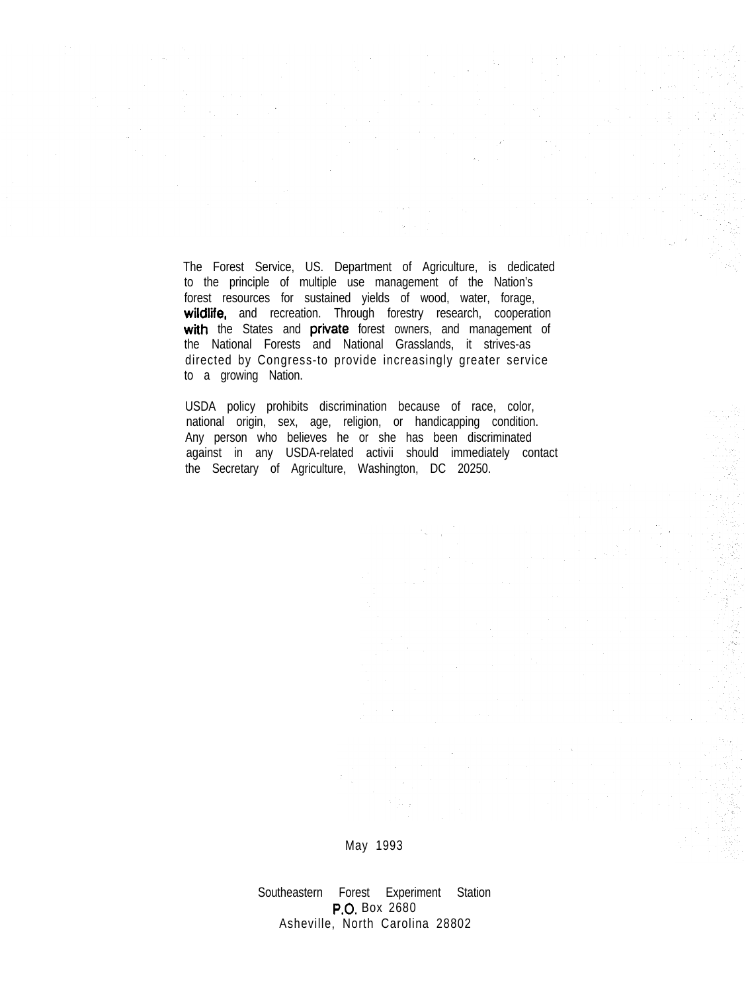The Forest Service, US. Department of Agriculture, is dedicated to the principle of multiple use management of the Nation's forest resources for sustained yields of wood, water, forage, wildlife, and recreation. Through forestry research, cooperation with the States and private forest owners, and management of the National Forests and National Grasslands, it strives-as directed by Congress-to provide increasingly greater service to a growing Nation.

USDA policy prohibits discrimination because of race, color, national origin, sex, age, religion, or handicapping condition. Any person who believes he or she has been discriminated against in any USDA-related activii should immediately contact the Secretary of Agriculture, Washington, DC 20250.

May 1993

Southeastern Forest Experiment Station P.O. Box 2680 Asheville, North Carolina 28802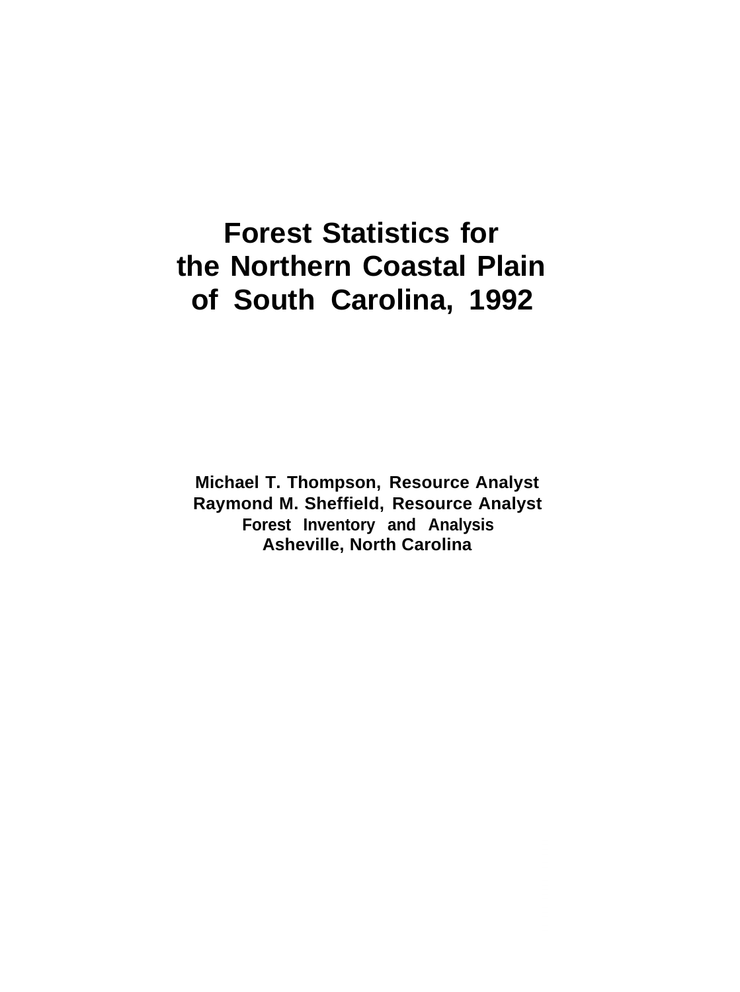**Forest Statistics for the Northern Coastal Plain of South Carolina, 1992**

**Michael T. Thompson, Resource Analyst Raymond M. Sheffield, Resource Analyst Forest Inventory and Analysis Asheville, North Carolina**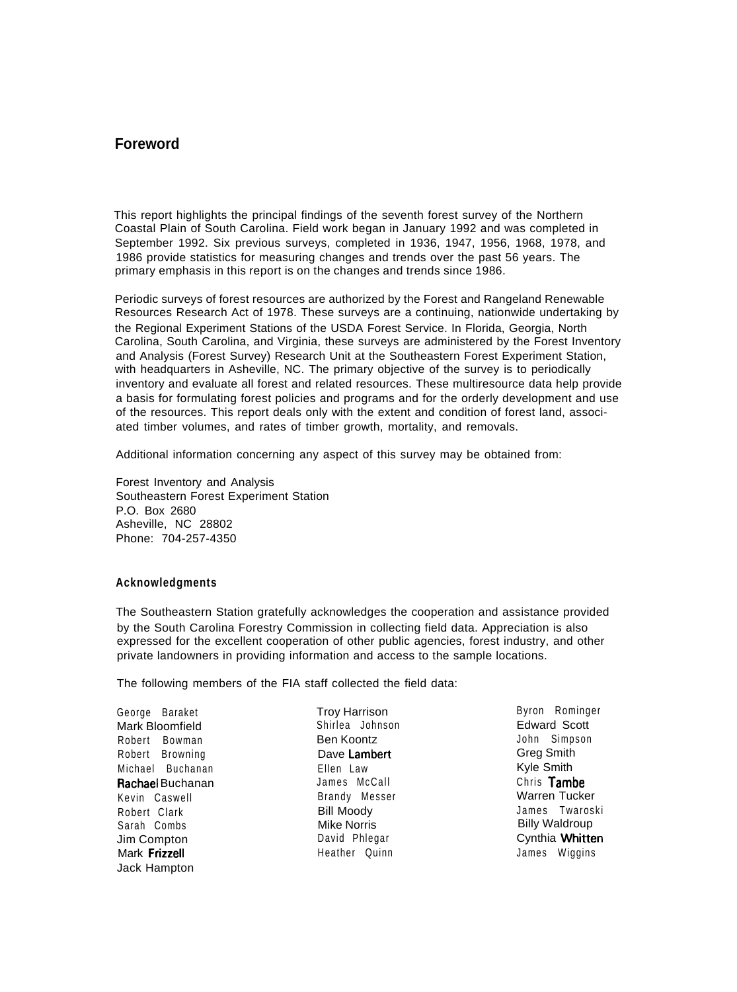# **Foreword**

This report highlights the principal findings of the seventh forest survey of the Northern Coastal Plain of South Carolina. Field work began in January 1992 and was completed in September 1992. Six previous surveys, completed in 1936, 1947, 1956, 1968, 1978, and 1986 provide statistics for measuring changes and trends over the past 56 years. The primary emphasis in this report is on the changes and trends since 1986.

Periodic surveys of forest resources are authorized by the Forest and Rangeland Renewable Resources Research Act of 1978. These surveys are a continuing, nationwide undertaking by the Regional Experiment Stations of the USDA Forest Service. In Florida, Georgia, North Carolina, South Carolina, and Virginia, these surveys are administered by the Forest Inventory and Analysis (Forest Survey) Research Unit at the Southeastern Forest Experiment Station, with headquarters in Asheville, NC. The primary objective of the survey is to periodically inventory and evaluate all forest and related resources. These multiresource data help provide a basis for formulating forest policies and programs and for the orderly development and use of the resources. This report deals only with the extent and condition of forest land, associated timber volumes, and rates of timber growth, mortality, and removals.

Additional information concerning any aspect of this survey may be obtained from:

Forest Inventory and Analysis Southeastern Forest Experiment Station P.O. Box 2680 Asheville, NC 28802 Phone: 704-257-4350

#### **Acknowledgments**

The Southeastern Station gratefully acknowledges the cooperation and assistance provided by the South Carolina Forestry Commission in collecting field data. Appreciation is also expressed for the excellent cooperation of other public agencies, forest industry, and other private landowners in providing information and access to the sample locations.

The following members of the FIA staff collected the field data:

George Baraket Mark Bloomfield Robert Bowman Robert Browning Michael Buchanan Rachael Buchanan Kevin Caswell Robert Clark Sarah Combs Jim Compton Mark Frizzell Jack Hampton

Troy Harrison Shirlea Johnson Ben Koontz Dave Lambert Ellen Law James McCall Brandy Messer Bill Moody Mike Norris David Phlegar Heather Quinn

Byron Rominger Edward Scott John Simpson Greg Smith Kyle Smith Chris Tambe Warren Tucker James Twaroski Billy Waldroup Cynthia Whitten James Wiggins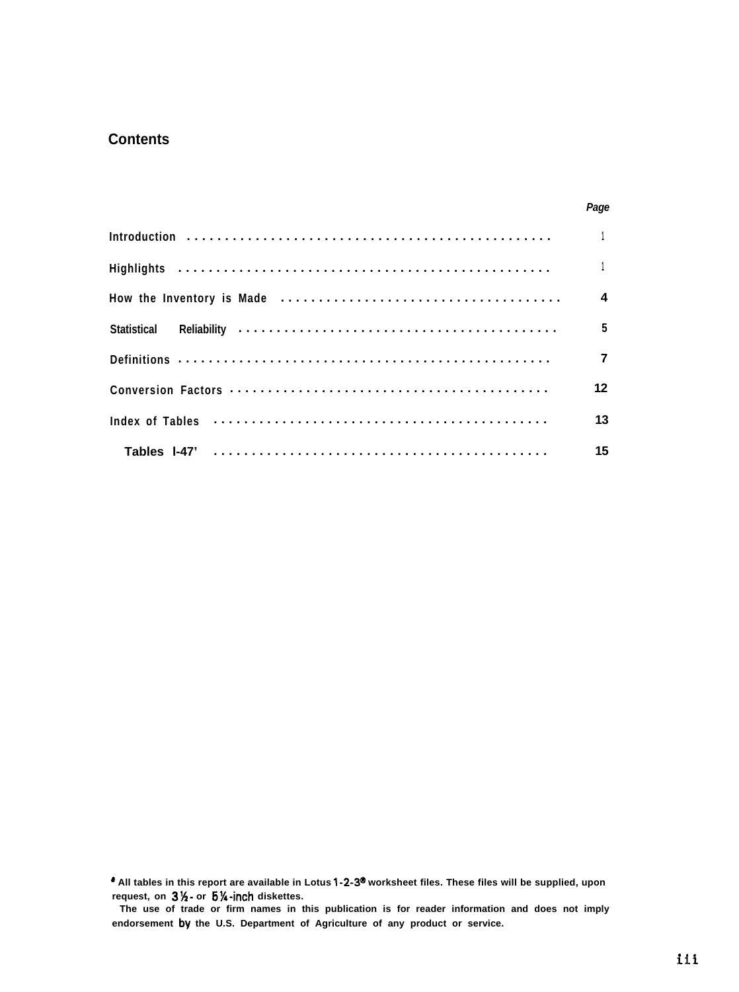# **Contents**

|                                                                                          | Page            |
|------------------------------------------------------------------------------------------|-----------------|
|                                                                                          |                 |
|                                                                                          |                 |
|                                                                                          | $\overline{4}$  |
|                                                                                          | $5\overline{5}$ |
|                                                                                          |                 |
|                                                                                          | 12 <sup>2</sup> |
| Index of Tables (and the contract of the contract of the contract of the lines of Tables | 13              |
|                                                                                          | 15              |

**' All tables in this report are available in Lotus l-2-3" worksheet files. These files will be supplied, upon request, on 3W- or 6%~inch diskettes.**

**The use of trade or firm names in this publication is for reader information and does not imply endorsement by the U.S. Department of Agriculture of any product or service.**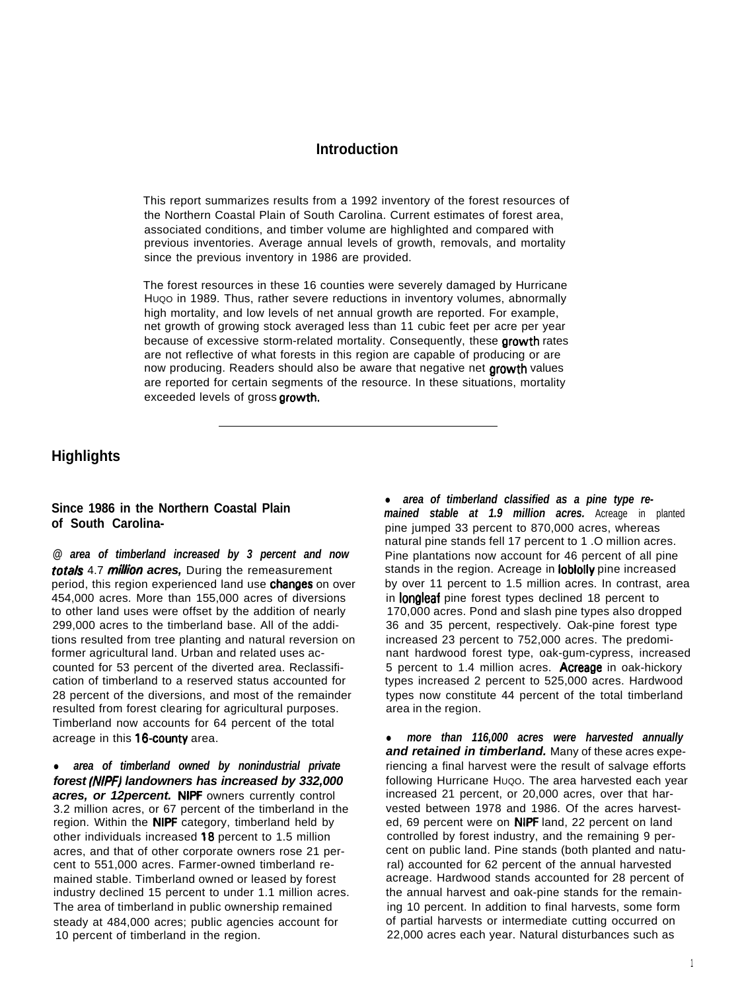# **Introduction**

This report summarizes results from a 1992 inventory of the forest resources of the Northern Coastal Plain of South Carolina. Current estimates of forest area, associated conditions, and timber volume are highlighted and compared with previous inventories. Average annual levels of growth, removals, and mortality since the previous inventory in 1986 are provided.

The forest resources in these 16 counties were severely damaged by Hurricane Huoo in 1989. Thus, rather severe reductions in inventory volumes, abnormally high mortality, and low levels of net annual growth are reported. For example, net growth of growing stock averaged less than 11 cubic feet per acre per year because of excessive storm-related mortality. Consequently, these growth rates are not reflective of what forests in this region are capable of producing or are now producing. Readers should also be aware that negative net growth values are reported for certain segments of the resource. In these situations, mortality exceeded levels of gross growth.

# **Highlights**

#### **Since 1986 in the Northern Coastal Plain of South Carolina-**

*@ area of timberland increased by 3 percent and now* totals 4.7 million acres, During the remeasurement period, this region experienced land use **changes** on over 454,000 acres. More than 155,000 acres of diversions to other land uses were offset by the addition of nearly 299,000 acres to the timberland base. All of the additions resulted from tree planting and natural reversion on former agricultural land. Urban and related uses accounted for 53 percent of the diverted area. Reclassification of timberland to a reserved status accounted for 28 percent of the diversions, and most of the remainder resulted from forest clearing for agricultural purposes. Timberland now accounts for 64 percent of the total acreage in this 16-county area.

area of timberland owned by nonindustrial private *forest (NIPF) landowners has increased by 332,000 acres, or 12percent.* NIPF owners currently control 3.2 million acres, or 67 percent of the timberland in the region. Within the **NIPF** category, timberland held by other individuals increased 18 percent to 1.5 million acres, and that of other corporate owners rose 21 percent to 551,000 acres. Farmer-owned timberland remained stable. Timberland owned or leased by forest industry declined 15 percent to under 1.1 million acres. The area of timberland in public ownership remained steady at 484,000 acres; public agencies account for 10 percent of timberland in the region.

• area of timberland classified as a pine type re*mained stable at 1.9 million acres.* Acreage in planted pine jumped 33 percent to 870,000 acres, whereas natural pine stands fell 17 percent to 1 .O million acres. Pine plantations now account for 46 percent of all pine stands in the region. Acreage in loblolly pine increased by over 11 percent to 1.5 million acres. In contrast, area in longleaf pine forest types declined 18 percent to 170,000 acres. Pond and slash pine types also dropped 36 and 35 percent, respectively. Oak-pine forest type increased 23 percent to 752,000 acres. The predominant hardwood forest type, oak-gum-cypress, increased 5 percent to 1.4 million acres. Acreage in oak-hickory types increased 2 percent to 525,000 acres. Hardwood types now constitute 44 percent of the total timberland area in the region.

• more than 116,000 acres were harvested annually *and retained in timberland.* Many of these acres experiencing a final harvest were the result of salvage efforts following Hurricane HUQO. The area harvested each year increased 21 percent, or 20,000 acres, over that harvested between 1978 and 1986. Of the acres harvested, 69 percent were on NIPF land, 22 percent on land controlled by forest industry, and the remaining 9 percent on public land. Pine stands (both planted and natural) accounted for 62 percent of the annual harvested acreage. Hardwood stands accounted for 28 percent of the annual harvest and oak-pine stands for the remaining 10 percent. In addition to final harvests, some form of partial harvests or intermediate cutting occurred on 22,000 acres each year. Natural disturbances such as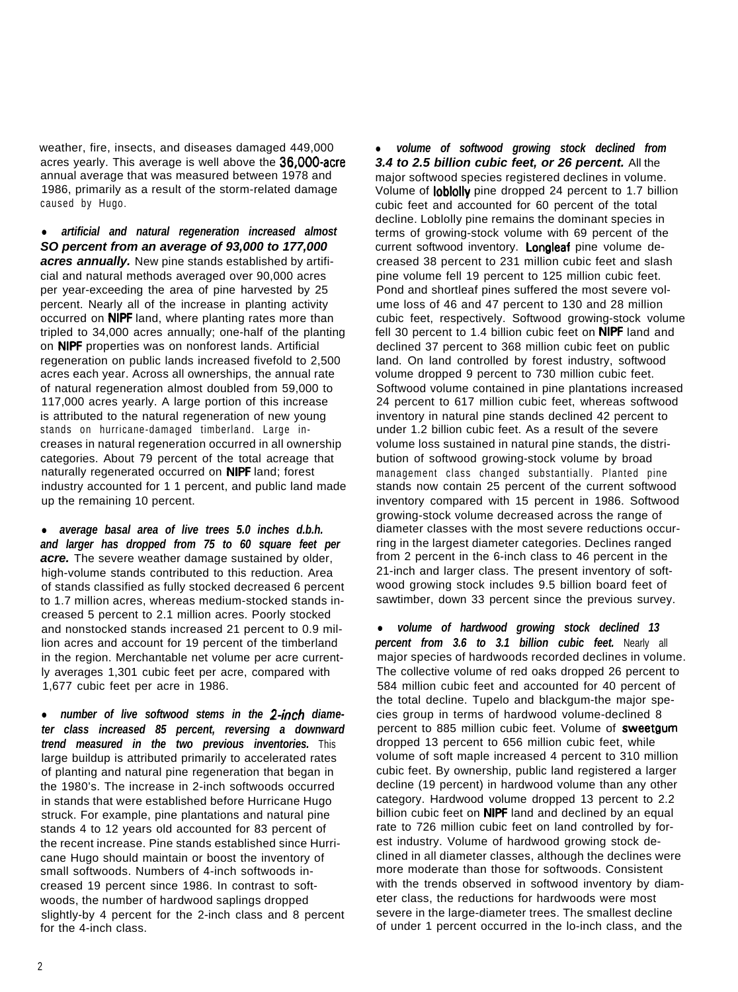weather, fire, insects, and diseases damaged 449,000 acres yearly. This average is well above the 36,000-acre annual average that was measured between 1978 and 1986, primarily as a result of the storm-related damage caused by Hugo.

**•** artificial and natural regeneration increased almost *SO percent from an average of 93,000 to 177,000 acres annually.* New pine stands established by artificial and natural methods averaged over 90,000 acres per year-exceeding the area of pine harvested by 25 percent. Nearly all of the increase in planting activity occurred on NIPF land, where planting rates more than tripled to 34,000 acres annually; one-half of the planting on NIPF properties was on nonforest lands. Artificial regeneration on public lands increased fivefold to 2,500 acres each year. Across all ownerships, the annual rate of natural regeneration almost doubled from 59,000 to 117,000 acres yearly. A large portion of this increase is attributed to the natural regeneration of new young stands on hurricane-damaged timberland. Large increases in natural regeneration occurred in all ownership categories. About 79 percent of the total acreage that naturally regenerated occurred on **NIPF** land; forest industry accounted for 1 1 percent, and public land made up the remaining 10 percent.

• average basal area of live trees 5.0 inches d.b.h. *and larger has dropped from 75 to 60 square feet per acre.* The severe weather damage sustained by older, high-volume stands contributed to this reduction. Area of stands classified as fully stocked decreased 6 percent to 1.7 million acres, whereas medium-stocked stands increased 5 percent to 2.1 million acres. Poorly stocked and nonstocked stands increased 21 percent to 0.9 million acres and account for 19 percent of the timberland in the region. Merchantable net volume per acre currently averages 1,301 cubic feet per acre, compared with 1,677 cubic feet per acre in 1986.

• number of live softwood stems in the 2-inch diame*ter class increased 85 percent, reversing a downward trend measured in the two previous inventories.* This large buildup is attributed primarily to accelerated rates of planting and natural pine regeneration that began in the 1980's. The increase in 2-inch softwoods occurred in stands that were established before Hurricane Hugo struck. For example, pine plantations and natural pine stands 4 to 12 years old accounted for 83 percent of the recent increase. Pine stands established since Hurricane Hugo should maintain or boost the inventory of small softwoods. Numbers of 4-inch softwoods increased 19 percent since 1986. In contrast to softwoods, the number of hardwood saplings dropped slightly-by 4 percent for the 2-inch class and 8 percent for the 4-inch class.

volume of softwood growing stock declined from *3.4 to 2.5 billion cubic feet, or 26 percent.* All the major softwood species registered declines in volume. Volume of loblolly pine dropped 24 percent to 1.7 billion cubic feet and accounted for 60 percent of the total decline. Loblolly pine remains the dominant species in terms of growing-stock volume with 69 percent of the current softwood inventory. Longleaf pine volume decreased 38 percent to 231 million cubic feet and slash pine volume fell 19 percent to 125 million cubic feet. Pond and shortleaf pines suffered the most severe volume loss of 46 and 47 percent to 130 and 28 million cubic feet, respectively. Softwood growing-stock volume fell 30 percent to 1.4 billion cubic feet on NIPF land and declined 37 percent to 368 million cubic feet on public land. On land controlled by forest industry, softwood volume dropped 9 percent to 730 million cubic feet. Softwood volume contained in pine plantations increased 24 percent to 617 million cubic feet, whereas softwood inventory in natural pine stands declined 42 percent to under 1.2 billion cubic feet. As a result of the severe volume loss sustained in natural pine stands, the distribution of softwood growing-stock volume by broad management class changed substantially. Planted pine stands now contain 25 percent of the current softwood inventory compared with 15 percent in 1986. Softwood growing-stock volume decreased across the range of diameter classes with the most severe reductions occurring in the largest diameter categories. Declines ranged from 2 percent in the 6-inch class to 46 percent in the 21-inch and larger class. The present inventory of softwood growing stock includes 9.5 billion board feet of sawtimber, down 33 percent since the previous survey.

volume of hardwood growing stock declined 13 *percent from 3.6 to 3.1 billion cubic feet.* Nearly all major species of hardwoods recorded declines in volume. The collective volume of red oaks dropped 26 percent to 584 million cubic feet and accounted for 40 percent of the total decline. Tupelo and blackgum-the major species group in terms of hardwood volume-declined 8 percent to 885 million cubic feet. Volume of sweetgum dropped 13 percent to 656 million cubic feet, while volume of soft maple increased 4 percent to 310 million cubic feet. By ownership, public land registered a larger decline (19 percent) in hardwood volume than any other category. Hardwood volume dropped 13 percent to 2.2 billion cubic feet on **NIPF** land and declined by an equal rate to 726 million cubic feet on land controlled by forest industry. Volume of hardwood growing stock declined in all diameter classes, although the declines were more moderate than those for softwoods. Consistent with the trends observed in softwood inventory by diameter class, the reductions for hardwoods were most severe in the large-diameter trees. The smallest decline of under 1 percent occurred in the lo-inch class, and the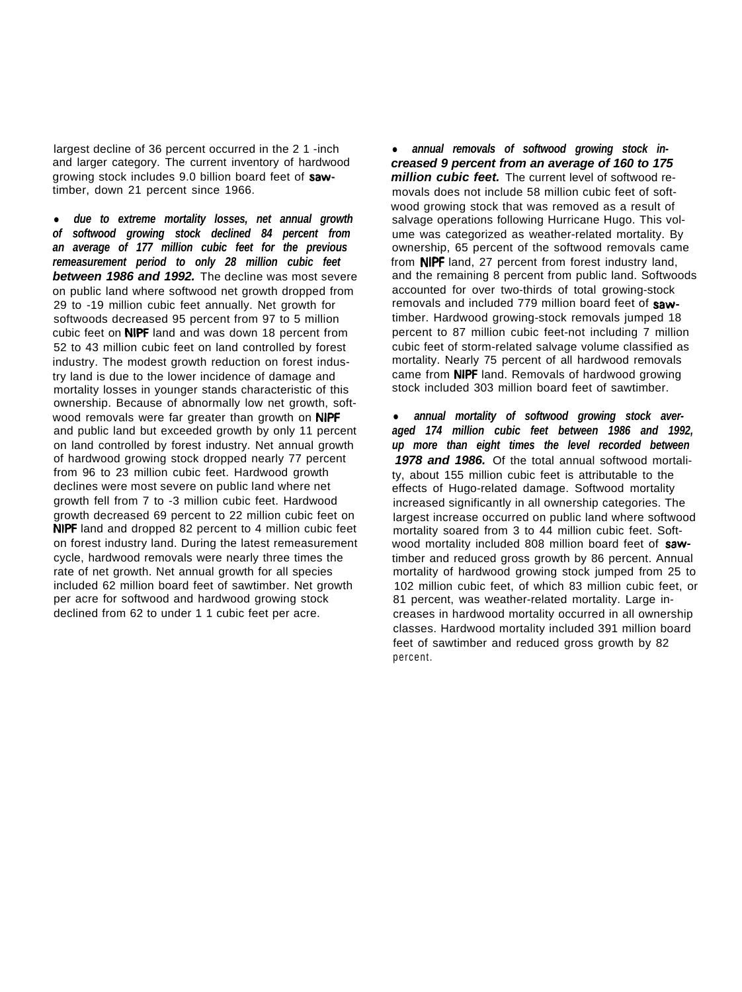largest decline of 36 percent occurred in the 2 1 -inch and larger category. The current inventory of hardwood growing stock includes 9.0 billion board feet of sawtimber, down 21 percent since 1966.

l *due to extreme mortality losses, net annual growth of softwood growing stock declined 84 percent from an average of 177 million cubic feet for the previous remeasurement period to only 28 million cubic feet between 1986 and 1992.* The decline was most severe on public land where softwood net growth dropped from 29 to -19 million cubic feet annually. Net growth for softwoods decreased 95 percent from 97 to 5 million cubic feet on NIPF land and was down 18 percent from 52 to 43 million cubic feet on land controlled by forest industry. The modest growth reduction on forest industry land is due to the lower incidence of damage and mortality losses in younger stands characteristic of this ownership. Because of abnormally low net growth, softwood removals were far greater than growth on NIPF and public land but exceeded growth by only 11 percent on land controlled by forest industry. Net annual growth of hardwood growing stock dropped nearly 77 percent from 96 to 23 million cubic feet. Hardwood growth declines were most severe on public land where net growth fell from 7 to -3 million cubic feet. Hardwood growth decreased 69 percent to 22 million cubic feet on NIPF land and dropped 82 percent to 4 million cubic feet on forest industry land. During the latest remeasurement cycle, hardwood removals were nearly three times the rate of net growth. Net annual growth for all species included 62 million board feet of sawtimber. Net growth per acre for softwood and hardwood growing stock declined from 62 to under 1 1 cubic feet per acre.

• annual removals of softwood growing stock in*creased 9 percent from an average of 160 to 175 million cubic feet.* The current level of softwood removals does not include 58 million cubic feet of softwood growing stock that was removed as a result of salvage operations following Hurricane Hugo. This volume was categorized as weather-related mortality. By ownership, 65 percent of the softwood removals came from NIPF land, 27 percent from forest industry land, and the remaining 8 percent from public land. Softwoods accounted for over two-thirds of total growing-stock removals and included 779 million board feet of sawtimber. Hardwood growing-stock removals jumped 18 percent to 87 million cubic feet-not including 7 million cubic feet of storm-related salvage volume classified as mortality. Nearly 75 percent of all hardwood removals came from NIPF land. Removals of hardwood growing stock included 303 million board feet of sawtimber.

annual mortality of softwood growing stock aver*aged 174 million cubic feet between 1986 and 1992, up more than eight times the level recorded between 1978 and 1986.* Of the total annual softwood mortality, about 155 million cubic feet is attributable to the effects of Hugo-related damage. Softwood mortality increased significantly in all ownership categories. The largest increase occurred on public land where softwood mortality soared from 3 to 44 million cubic feet. Softwood mortality included 808 million board feet of sawtimber and reduced gross growth by 86 percent. Annual mortality of hardwood growing stock jumped from 25 to 102 million cubic feet, of which 83 million cubic feet, or 81 percent, was weather-related mortality. Large increases in hardwood mortality occurred in all ownership classes. Hardwood mortality included 391 million board feet of sawtimber and reduced gross growth by 82 percent.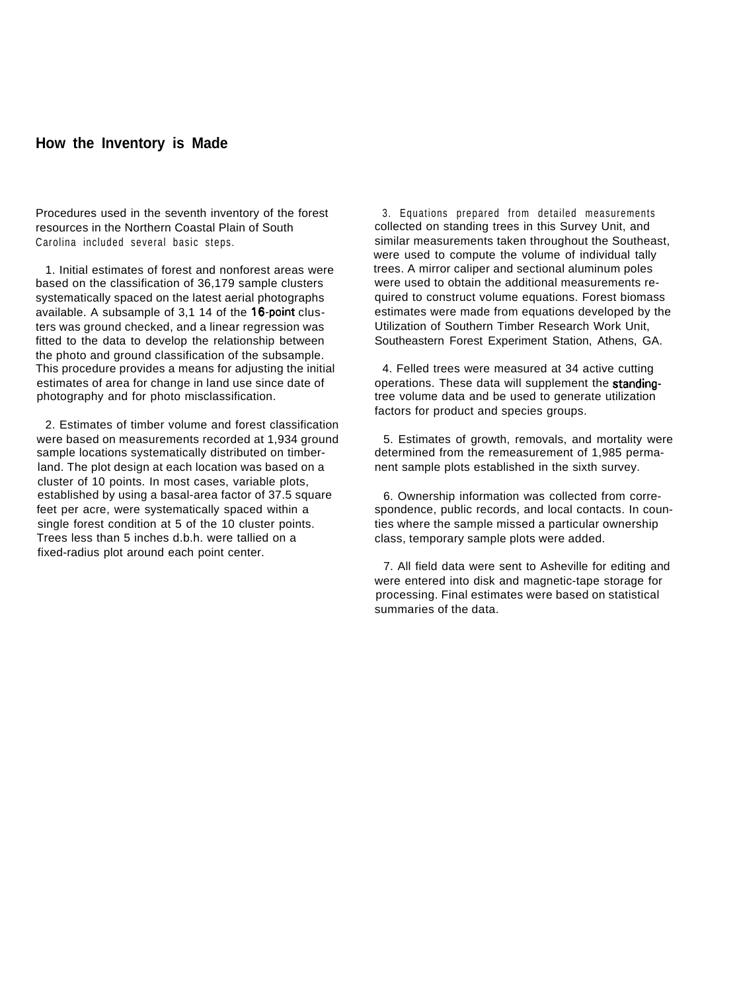#### **How the Inventory is Made**

Procedures used in the seventh inventory of the forest resources in the Northern Coastal Plain of South Carolina included several basic steps.

1. Initial estimates of forest and nonforest areas were based on the classification of 36,179 sample clusters systematically spaced on the latest aerial photographs available. A subsample of 3,1 14 of the 16-point clusters was ground checked, and a linear regression was fitted to the data to develop the relationship between the photo and ground classification of the subsample. This procedure provides a means for adjusting the initial estimates of area for change in land use since date of photography and for photo misclassification.

2. Estimates of timber volume and forest classification were based on measurements recorded at 1,934 ground sample locations systematically distributed on timberland. The plot design at each location was based on a cluster of 10 points. In most cases, variable plots, established by using a basal-area factor of 37.5 square feet per acre, were systematically spaced within a single forest condition at 5 of the 10 cluster points. Trees less than 5 inches d.b.h. were tallied on a fixed-radius plot around each point center.

3. Equations prepared from detailed measurements collected on standing trees in this Survey Unit, and similar measurements taken throughout the Southeast, were used to compute the volume of individual tally trees. A mirror caliper and sectional aluminum poles were used to obtain the additional measurements required to construct volume equations. Forest biomass estimates were made from equations developed by the Utilization of Southern Timber Research Work Unit, Southeastern Forest Experiment Station, Athens, GA.

4. Felled trees were measured at 34 active cutting operations. These data will supplement the standingtree volume data and be used to generate utilization factors for product and species groups.

5. Estimates of growth, removals, and mortality were determined from the remeasurement of 1,985 permanent sample plots established in the sixth survey.

6. Ownership information was collected from correspondence, public records, and local contacts. In counties where the sample missed a particular ownership class, temporary sample plots were added.

7. All field data were sent to Asheville for editing and were entered into disk and magnetic-tape storage for processing. Final estimates were based on statistical summaries of the data.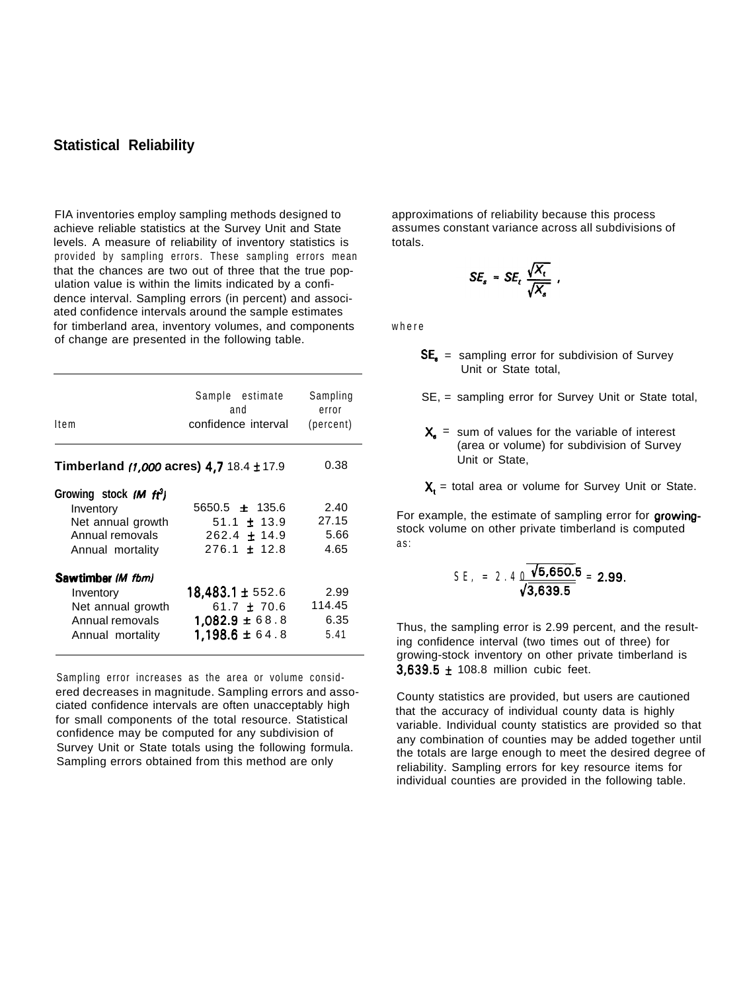# **Statistical Reliability**

FIA inventories employ sampling methods designed to achieve reliable statistics at the Survey Unit and State levels. A measure of reliability of inventory statistics is provided by sampling errors. These sampling errors mean that the chances are two out of three that the true population value is within the limits indicated by a confidence interval. Sampling errors (in percent) and associated confidence intervals around the sample estimates for timberland area, inventory volumes, and components of change are presented in the following table.

| ltem                                                                                                        | Sample estimate<br>and<br>confidence interval                                   | Sampling<br>error<br>(percent) |
|-------------------------------------------------------------------------------------------------------------|---------------------------------------------------------------------------------|--------------------------------|
| <b>Timberland (1,000 acres) 4,7 18.4 ± 17.9</b>                                                             |                                                                                 | 0.38                           |
| Growing stock (M ft <sup>3</sup> )<br>Inventory<br>Net annual growth<br>Annual removals<br>Annual mortality | $5650.5 \pm 135.6$<br>$51.1 \pm 13.9$<br>$262.4 \pm 14.9$<br>$276.1 \pm 12.8$   | 2.40<br>27.15<br>5.66<br>4.65  |
| Sawtimber (M fbm)<br>Inventory<br>Net annual growth<br>Annual removals<br>Annual mortality                  | 18,483.1 ± 552.6<br>61.7 $\pm$ 70.6<br>$1,082.9 \pm 68.8$<br>$1.198.6 \pm 64.8$ | 2.99<br>114.45<br>6.35<br>5.41 |

Sampling error increases as the area or volume considered decreases in magnitude. Sampling errors and associated confidence intervals are often unacceptably high for small components of the total resource. Statistical confidence may be computed for any subdivision of Survey Unit or State totals using the following formula. Sampling errors obtained from this method are only

approximations of reliability because this process assumes constant variance across all subdivisions of totals.

$$
SE_s = SE_t \frac{\sqrt{X_t}}{\sqrt{X_s}} ,
$$

where

 $SE<sub>n</sub>$  = sampling error for subdivision of Survey Unit or State total,

SE, = sampling error for Survey Unit or State total,

 $X_n$  = sum of values for the variable of interest (area or volume) for subdivision of Survey Unit or State,

 $X_t$  = total area or volume for Survey Unit or State.

For example, the estimate of sampling error for growingstock volume on other private timberland is computed as:

$$
SE, = 2.4 \frac{\sqrt{5,650.5}}{\sqrt{3,639.5}} = 2.99.
$$

Thus, the sampling error is 2.99 percent, and the resulting confidence interval (two times out of three) for growing-stock inventory on other private timberland is  $3.639.5 \pm 108.8$  million cubic feet.

County statistics are provided, but users are cautioned that the accuracy of individual county data is highly variable. Individual county statistics are provided so that any combination of counties may be added together until the totals are large enough to meet the desired degree of reliability. Sampling errors for key resource items for individual counties are provided in the following table.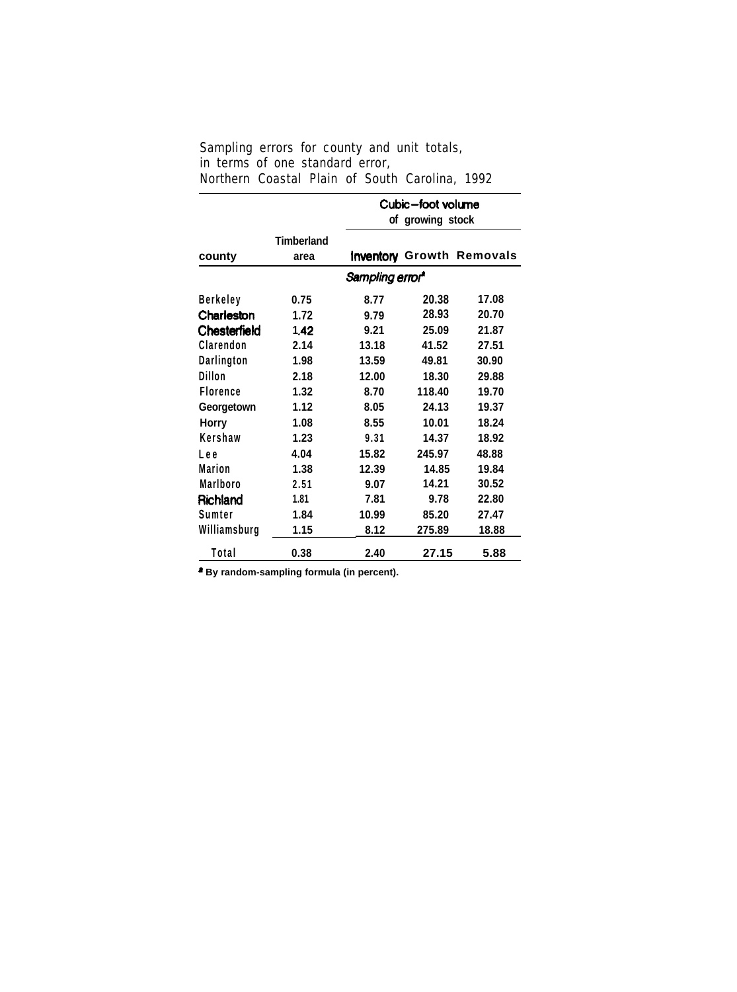| Sampling errors for county and unit totals,    |  |  |  |  |
|------------------------------------------------|--|--|--|--|
| in terms of one standard error,                |  |  |  |  |
| Northern Coastal Plain of South Carolina, 1992 |  |  |  |  |

|                 |                   | Cubic-foot volume           |        |                                  |  |  |  |  |
|-----------------|-------------------|-----------------------------|--------|----------------------------------|--|--|--|--|
|                 | of growing stock  |                             |        |                                  |  |  |  |  |
|                 | <b>Timberland</b> |                             |        |                                  |  |  |  |  |
| county          | area              |                             |        | <b>Inventory Growth Removals</b> |  |  |  |  |
|                 |                   | Sampling error <sup>a</sup> |        |                                  |  |  |  |  |
| <b>Berkeley</b> | 0.75              | 8.77                        | 20.38  | 17.08                            |  |  |  |  |
| Charleston      | 1.72              | 9.79                        | 28.93  | 20.70                            |  |  |  |  |
| Chesterfield    | 1.42              | 9.21                        | 25.09  | 21.87                            |  |  |  |  |
| Clarendon       | 2.14              | 13.18                       | 41.52  | 27.51                            |  |  |  |  |
| Darlington      | 1.98              | 13.59                       | 49.81  | 30.90                            |  |  |  |  |
| Dillon          | 2.18              | 12.00                       | 18.30  | 29.88                            |  |  |  |  |
| <b>Florence</b> | 1.32              | 8.70                        | 118.40 | 19.70                            |  |  |  |  |
| Georgetown      | 1.12              | 8.05                        | 24.13  | 19.37                            |  |  |  |  |
| <b>Horry</b>    | 1.08              | 8.55                        | 10.01  | 18.24                            |  |  |  |  |
| Kershaw         | 1.23              | 9.31                        | 14.37  | 18.92                            |  |  |  |  |
| Lee             | 4.04              | 15.82                       | 245.97 | 48.88                            |  |  |  |  |
| Marion          | 1.38              | 12.39                       | 14.85  | 19.84                            |  |  |  |  |
| Marlboro        | 2.51              | 9.07                        | 14.21  | 30.52                            |  |  |  |  |
| Richland        | 1.81              | 7.81                        | 9.78   | 22.80                            |  |  |  |  |
| Sumter          | 1.84              | 10.99                       | 85.20  | 27.47                            |  |  |  |  |
| Williamsburg    | 1.15              | 8.12                        | 275.89 | 18.88                            |  |  |  |  |
| Total           | 0.38              | 2.40                        | 27.15  | 5.88                             |  |  |  |  |

**\* By random-sampling formula (in percent).**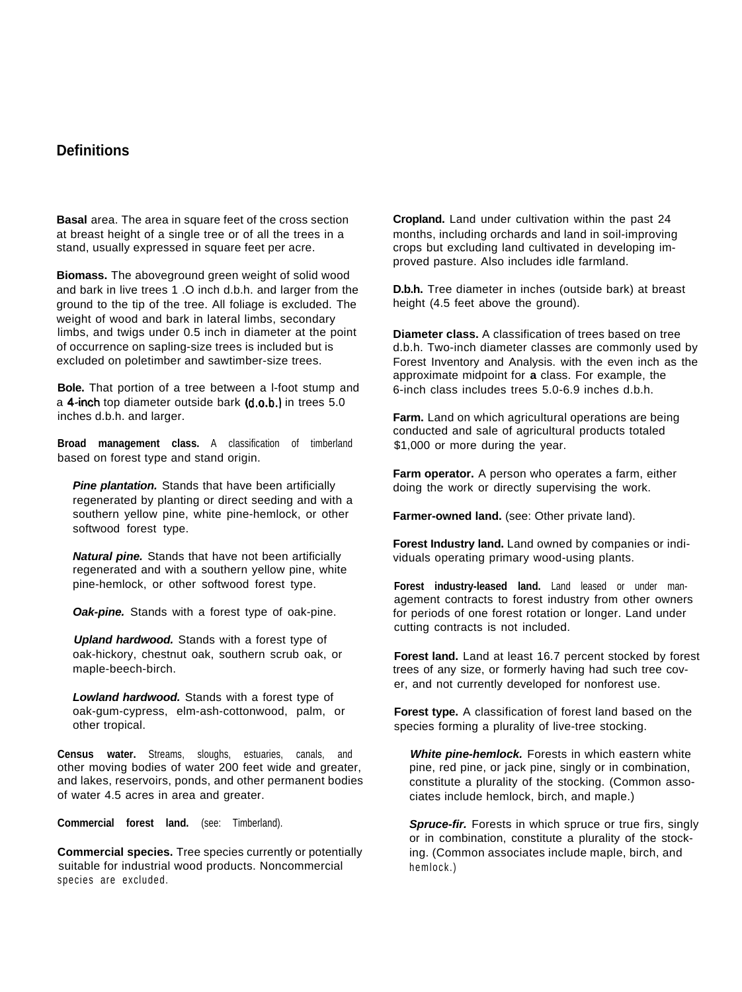# **Definitions**

**Basal** area. The area in square feet of the cross section at breast height of a single tree or of all the trees in a stand, usually expressed in square feet per acre.

**Biomass.** The aboveground green weight of solid wood and bark in live trees 1 .O inch d.b.h. and larger from the ground to the tip of the tree. All foliage is excluded. The weight of wood and bark in lateral limbs, secondary limbs, and twigs under 0.5 inch in diameter at the point of occurrence on sapling-size trees is included but is excluded on poletimber and sawtimber-size trees.

**Bole.** That portion of a tree between a l-foot stump and a 4-inch top diameter outside bark  $(d.o.b.)$  in trees  $5.0$ inches d.b.h. and larger.

**Broad management class.** A classification of timberland based on forest type and stand origin.

*Pine plantation.* Stands that have been artificially regenerated by planting or direct seeding and with a southern yellow pine, white pine-hemlock, or other softwood forest type.

*Natural pine.* Stands that have not been artificially regenerated and with a southern yellow pine, white pine-hemlock, or other softwood forest type.

*Oak-pine.* Stands with a forest type of oak-pine.

*Upland hardwood.* Stands with a forest type of oak-hickory, chestnut oak, southern scrub oak, or maple-beech-birch.

*Lowland hardwood.* Stands with a forest type of oak-gum-cypress, elm-ash-cottonwood, palm, or other tropical.

**Census water.** Streams, sloughs, estuaries, canals, and other moving bodies of water 200 feet wide and greater, and lakes, reservoirs, ponds, and other permanent bodies of water 4.5 acres in area and greater.

**Commercial forest land.** (see: Timberland).

**Commercial species.** Tree species currently or potentially suitable for industrial wood products. Noncommercial species are excluded.

**Cropland.** Land under cultivation within the past 24 months, including orchards and land in soil-improving crops but excluding land cultivated in developing improved pasture. Also includes idle farmland.

**D.b.h.** Tree diameter in inches (outside bark) at breast height (4.5 feet above the ground).

**Diameter class.** A classification of trees based on tree d.b.h. Two-inch diameter classes are commonly used by Forest Inventory and Analysis. with the even inch as the approximate midpoint for **a** class. For example, the 6-inch class includes trees 5.0-6.9 inches d.b.h.

**Farm.** Land on which agricultural operations are being conducted and sale of agricultural products totaled \$1,000 or more during the year.

**Farm operator.** A person who operates a farm, either doing the work or directly supervising the work.

**Farmer-owned land.** (see: Other private land).

**Forest Industry land.** Land owned by companies or individuals operating primary wood-using plants.

**Forest industry-leased land.** Land leased or under management contracts to forest industry from other owners for periods of one forest rotation or longer. Land under cutting contracts is not included.

**Forest land.** Land at least 16.7 percent stocked by forest trees of any size, or formerly having had such tree cover, and not currently developed for nonforest use.

**Forest type.** A classification of forest land based on the species forming a plurality of live-tree stocking.

*White pine-hemlock.* Forests in which eastern white pine, red pine, or jack pine, singly or in combination, constitute a plurality of the stocking. (Common associates include hemlock, birch, and maple.)

**Spruce-fir.** Forests in which spruce or true firs, singly or in combination, constitute a plurality of the stocking. (Common associates include maple, birch, and hemlock.)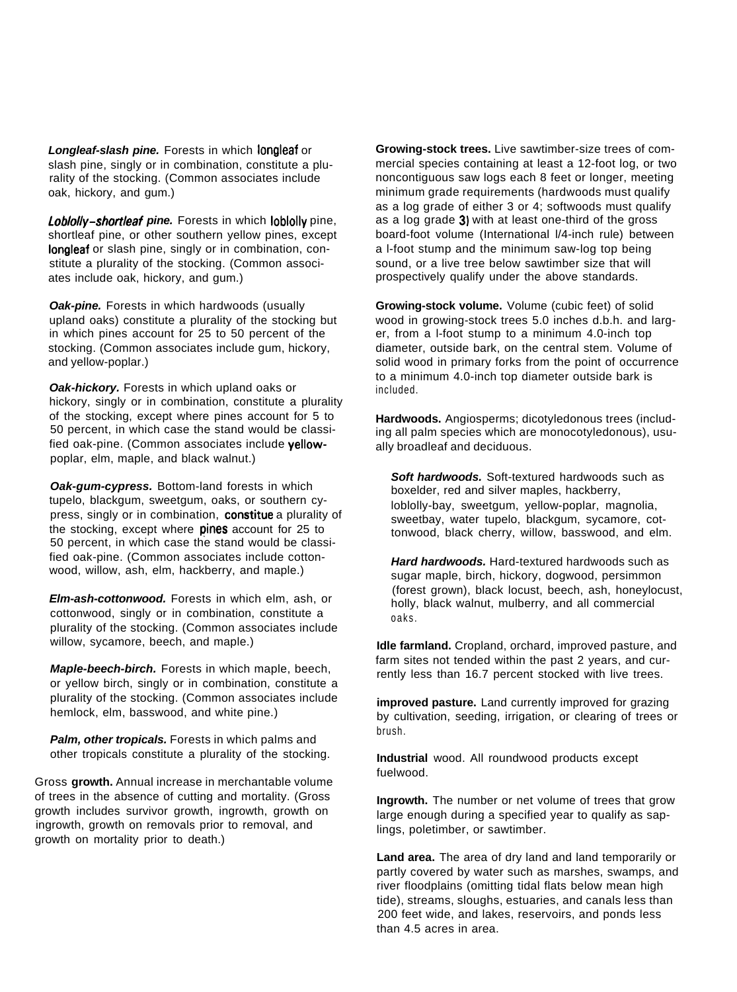*Longleaf-slash pine.* Forests in which longleaf or slash pine, singly or in combination, constitute a plurality of the stocking. (Common associates include oak, hickory, and gum.)

*Loblolly-shortleaf pine.* Forests in which loblolly pine, shortleaf pine, or other southern yellow pines, except longleaf or slash pine, singly or in combination, constitute a plurality of the stocking. (Common associates include oak, hickory, and gum.)

**Oak-pine.** Forests in which hardwoods (usually upland oaks) constitute a plurality of the stocking but in which pines account for 25 to 50 percent of the stocking. (Common associates include gum, hickory, and yellow-poplar.)

*Oak-hickory.* Forests in which upland oaks or hickory, singly or in combination, constitute a plurality of the stocking, except where pines account for 5 to 50 percent, in which case the stand would be classified oak-pine. (Common associates include yellowpoplar, elm, maple, and black walnut.)

*Oak-gum-cypress.* Bottom-land forests in which tupelo, blackgum, sweetgum, oaks, or southern cypress, singly or in combination, constitue a plurality of the stocking, except where **pines** account for 25 to 50 percent, in which case the stand would be classified oak-pine. (Common associates include cottonwood, willow, ash, elm, hackberry, and maple.)

*Elm-ash-cottonwood.* Forests in which elm, ash, or cottonwood, singly or in combination, constitute a plurality of the stocking. (Common associates include willow, sycamore, beech, and maple.)

*Maple-beech-birch.* Forests in which maple, beech, or yellow birch, singly or in combination, constitute a plurality of the stocking. (Common associates include hemlock, elm, basswood, and white pine.)

*Palm, other tropicals.* Forests in which palms and other tropicals constitute a plurality of the stocking.

Gross **growth.** Annual increase in merchantable volume of trees in the absence of cutting and mortality. (Gross growth includes survivor growth, ingrowth, growth on ingrowth, growth on removals prior to removal, and growth on mortality prior to death.)

**Growing-stock trees.** Live sawtimber-size trees of commercial species containing at least a 12-foot log, or two noncontiguous saw logs each 8 feet or longer, meeting minimum grade requirements (hardwoods must qualify as a log grade of either 3 or 4; softwoods must qualify as a log grade 3) with at least one-third of the gross board-foot volume (International l/4-inch rule) between a l-foot stump and the minimum saw-log top being sound, or a live tree below sawtimber size that will prospectively qualify under the above standards.

**Growing-stock volume.** Volume (cubic feet) of solid wood in growing-stock trees 5.0 inches d.b.h. and larger, from a l-foot stump to a minimum 4.0-inch top diameter, outside bark, on the central stem. Volume of solid wood in primary forks from the point of occurrence to a minimum 4.0-inch top diameter outside bark is included.

**Hardwoods.** Angiosperms; dicotyledonous trees (including all palm species which are monocotyledonous), usually broadleaf and deciduous.

*Soft hardwoods.* Soft-textured hardwoods such as boxelder, red and silver maples, hackberry, loblolly-bay, sweetgum, yellow-poplar, magnolia, sweetbay, water tupelo, blackgum, sycamore, cottonwood, black cherry, willow, basswood, and elm.

*Hard hardwoods.* Hard-textured hardwoods such as sugar maple, birch, hickory, dogwood, persimmon (forest grown), black locust, beech, ash, honeylocust, holly, black walnut, mulberry, and all commercial oaks.

**Idle farmland.** Cropland, orchard, improved pasture, and farm sites not tended within the past 2 years, and currently less than 16.7 percent stocked with live trees.

**improved pasture.** Land currently improved for grazing by cultivation, seeding, irrigation, or clearing of trees or brush.

**Industrial** wood. All roundwood products except fuelwood.

**Ingrowth.** The number or net volume of trees that grow large enough during a specified year to qualify as saplings, poletimber, or sawtimber.

**Land area.** The area of dry land and land temporarily or partly covered by water such as marshes, swamps, and river floodplains (omitting tidal flats below mean high tide), streams, sloughs, estuaries, and canals less than 200 feet wide, and lakes, reservoirs, and ponds less than 4.5 acres in area.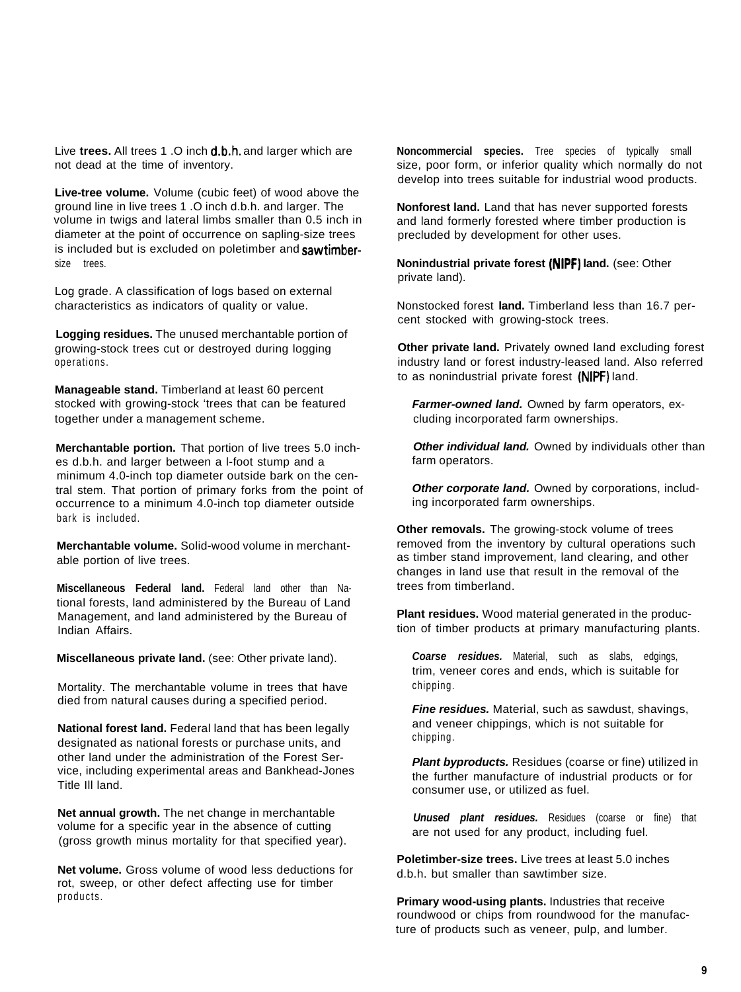Live **trees.** All trees 1 .O inch d.b.h. and larger which are not dead at the time of inventory.

**Live-tree volume.** Volume (cubic feet) of wood above the ground line in live trees 1 .O inch d.b.h. and larger. The volume in twigs and lateral limbs smaller than 0.5 inch in diameter at the point of occurrence on sapling-size trees is included but is excluded on poletimber and sawtimbersize trees.

Log grade. A classification of logs based on external characteristics as indicators of quality or value.

**Logging residues.** The unused merchantable portion of growing-stock trees cut or destroyed during logging operations.

**Manageable stand.** Timberland at least 60 percent stocked with growing-stock 'trees that can be featured together under a management scheme.

**Merchantable portion.** That portion of live trees 5.0 inches d.b.h. and larger between a l-foot stump and a minimum 4.0-inch top diameter outside bark on the central stem. That portion of primary forks from the point of occurrence to a minimum 4.0-inch top diameter outside bark is included.

**Merchantable volume.** Solid-wood volume in merchantable portion of live trees.

**Miscellaneous Federal land.** Federal land other than National forests, land administered by the Bureau of Land Management, and land administered by the Bureau of Indian Affairs.

**Miscellaneous private land.** (see: Other private land).

Mortality. The merchantable volume in trees that have died from natural causes during a specified period.

**National forest land.** Federal land that has been legally designated as national forests or purchase units, and other land under the administration of the Forest Service, including experimental areas and Bankhead-Jones Title Ill land.

**Net annual growth.** The net change in merchantable volume for a specific year in the absence of cutting (gross growth minus mortality for that specified year).

**Net volume.** Gross volume of wood less deductions for rot, sweep, or other defect affecting use for timber products.

**Noncommercial species.** Tree species of typically small size, poor form, or inferior quality which normally do not develop into trees suitable for industrial wood products.

**Nonforest land.** Land that has never supported forests and land formerly forested where timber production is precluded by development for other uses.

**Nonindustrial private forest (NIPF) land.** (see: Other private land).

Nonstocked forest **land.** Timberland less than 16.7 percent stocked with growing-stock trees.

**Other private land.** Privately owned land excluding forest industry land or forest industry-leased land. Also referred to as nonindustrial private forest (NIPF) land.

*Farmer-owned land.* Owned by farm operators, excluding incorporated farm ownerships.

**Other individual land.** Owned by individuals other than farm operators.

**Other corporate land.** Owned by corporations, including incorporated farm ownerships.

**Other removals.** The growing-stock volume of trees removed from the inventory by cultural operations such as timber stand improvement, land clearing, and other changes in land use that result in the removal of the trees from timberland.

**Plant residues.** Wood material generated in the production of timber products at primary manufacturing plants.

*Coarse residues.* Material, such as slabs, edgings, trim, veneer cores and ends, which is suitable for chipping.

*Fine residues.* Material, such as sawdust, shavings, and veneer chippings, which is not suitable for chipping.

*Plant byproducts.* Residues (coarse or fine) utilized in the further manufacture of industrial products or for consumer use, or utilized as fuel.

*Unused plant residues.* Residues (coarse or fine) that are not used for any product, including fuel.

**Poletimber-size trees.** Live trees at least 5.0 inches d.b.h. but smaller than sawtimber size.

**Primary wood-using plants.** Industries that receive roundwood or chips from roundwood for the manufacture of products such as veneer, pulp, and lumber.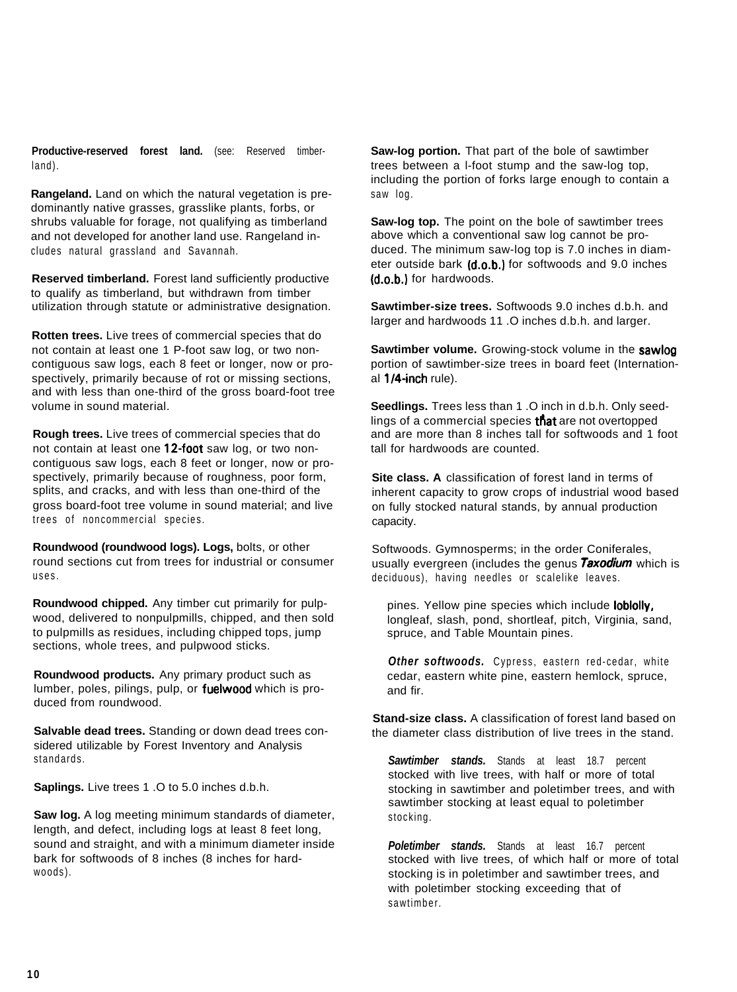**Productive-reserved forest land.** (see: Reserved timberland).

**Rangeland.** Land on which the natural vegetation is predominantly native grasses, grasslike plants, forbs, or shrubs valuable for forage, not qualifying as timberland and not developed for another land use. Rangeland includes natural grassland and Savannah.

**Reserved timberland.** Forest land sufficiently productive to qualify as timberland, but withdrawn from timber utilization through statute or administrative designation.

**Rotten trees.** Live trees of commercial species that do not contain at least one 1 P-foot saw log, or two noncontiguous saw logs, each 8 feet or longer, now or prospectively, primarily because of rot or missing sections, and with less than one-third of the gross board-foot tree volume in sound material.

**Rough trees.** Live trees of commercial species that do not contain at least one 12-foot saw log, or two noncontiguous saw logs, each 8 feet or longer, now or prospectively, primarily because of roughness, poor form, splits, and cracks, and with less than one-third of the gross board-foot tree volume in sound material; and live trees of noncommercial species.

**Roundwood (roundwood logs). Logs,** bolts, or other round sections cut from trees for industrial or consumer uses.

**Roundwood chipped.** Any timber cut primarily for pulpwood, delivered to nonpulpmills, chipped, and then sold to pulpmills as residues, including chipped tops, jump sections, whole trees, and pulpwood sticks.

**Roundwood products.** Any primary product such as lumber, poles, pilings, pulp, or **fuelwood** which is produced from roundwood.

**Salvable dead trees.** Standing or down dead trees considered utilizable by Forest Inventory and Analysis standards.

**Saplings.** Live trees 1 .O to 5.0 inches d.b.h.

**Saw log.** A log meeting minimum standards of diameter, length, and defect, including logs at least 8 feet long, sound and straight, and with a minimum diameter inside bark for softwoods of 8 inches (8 inches for hardwoods).

**Saw-log portion.** That part of the bole of sawtimber trees between a l-foot stump and the saw-log top, including the portion of forks large enough to contain a saw log.

**Saw-log top.** The point on the bole of sawtimber trees above which a conventional saw log cannot be produced. The minimum saw-log top is 7.0 inches in diameter outside bark  $(d.o.b.)$  for softwoods and 9.0 inches (d.o.b.1 for hardwoods.

**Sawtimber-size trees.** Softwoods 9.0 inches d.b.h. and larger and hardwoods 11 .O inches d.b.h. and larger.

**Sawtimber volume.** Growing-stock volume in the sawlog portion of sawtimber-size trees in board feet (International  $1/4$ -inch rule).

**Seedlings.** Trees less than 1 .O inch in d.b.h. Only seedlings of a commercial species  $t$ nat are not overtopped and are more than 8 inches tall for softwoods and 1 foot tall for hardwoods are counted.

**Site class. A** classification of forest land in terms of inherent capacity to grow crops of industrial wood based on fully stocked natural stands, by annual production capacity.

Softwoods. Gymnosperms; in the order Coniferales, usually evergreen (includes the genus *Taxodium* which is deciduous), having needles or scalelike leaves.

pines. Yellow pine species which include **lobiolly**, longleaf, slash, pond, shortleaf, pitch, Virginia, sand, spruce, and Table Mountain pines.

*Other softwoods.* Cypress, eastern red-cedar, white cedar, eastern white pine, eastern hemlock, spruce, and fir.

**Stand-size class.** A classification of forest land based on the diameter class distribution of live trees in the stand.

**Sawtimber stands.** Stands at least 18.7 percent stocked with live trees, with half or more of total stocking in sawtimber and poletimber trees, and with sawtimber stocking at least equal to poletimber stocking.

**Poletimber stands.** Stands at least 16.7 percent stocked with live trees, of which half or more of total stocking is in poletimber and sawtimber trees, and with poletimber stocking exceeding that of sawtimber.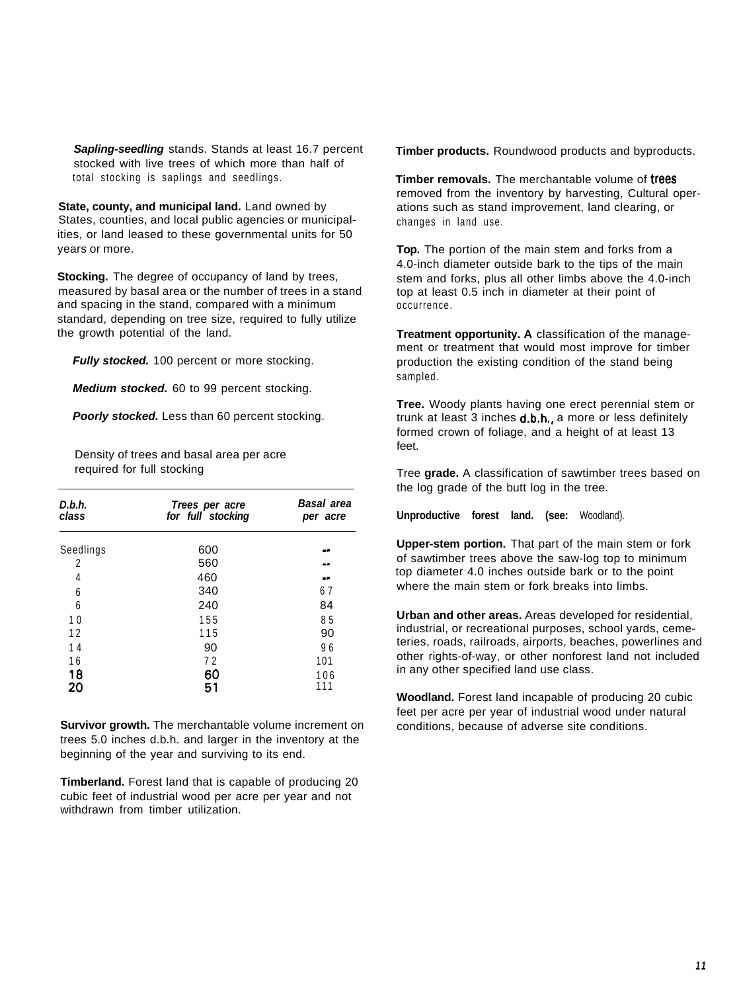*Sapling-seedling* stands. Stands at least 16.7 percent stocked with live trees of which more than half of total stocking is saplings and seedlings.

**State, county, and municipal land.** Land owned by States, counties, and local public agencies or municipalities, or land leased to these governmental units for 50 years or more.

**Stocking.** The degree of occupancy of land by trees, measured by basal area or the number of trees in a stand and spacing in the stand, compared with a minimum standard, depending on tree size, required to fully utilize the growth potential of the land.

*Fully stocked.* 100 percent or more stocking.

*Medium stocked.* 60 to 99 percent stocking.

**Poorly stocked.** Less than 60 percent stocking.

Density of trees and basal area per acre required for full stocking

| D.b.h.<br>class | Trees per acre<br>for full stocking | <b>Basal area</b><br>per acre |  |  |
|-----------------|-------------------------------------|-------------------------------|--|--|
| Seedlings       | 600                                 | $-1$                          |  |  |
| 2               | 560                                 | --                            |  |  |
| 4               | 460                                 | - 2                           |  |  |
| 6               | 340                                 | 67                            |  |  |
| 6               | 240                                 | 84                            |  |  |
| 10              | 155                                 | 85                            |  |  |
| 12              | 115                                 | 90                            |  |  |
| 14              | 90                                  | 96                            |  |  |
| 16              | 72                                  | 101                           |  |  |
| 18<br>20        | 60<br>51                            | 106<br>111                    |  |  |

**Survivor growth.** The merchantable volume increment on trees 5.0 inches d.b.h. and larger in the inventory at the beginning of the year and surviving to its end.

**Timberland.** Forest land that is capable of producing 20 cubic feet of industrial wood per acre per year and not withdrawn from timber utilization.

**Timber products.** Roundwood products and byproducts.

**Timber removals.** The merchantable volume of **trees** removed from the inventory by harvesting, Cultural operations such as stand improvement, land clearing, or changes in land use.

**Top.** The portion of the main stem and forks from a 4.0-inch diameter outside bark to the tips of the main stem and forks, plus all other limbs above the 4.0-inch top at least 0.5 inch in diameter at their point of occurrence.

**Treatment opportunity. A** classification of the management or treatment that would most improve for timber production the existing condition of the stand being sampled.

**Tree.** Woody plants having one erect perennial stem or trunk at least  $3$  inches  $d.b.h.,$  a more or less definitely formed crown of foliage, and a height of at least 13 feet.

Tree **grade.** A classification of sawtimber trees based on the log grade of the butt log in the tree.

**Unproductive forest land. (see:** Woodland).

**Upper-stem portion.** That part of the main stem or fork of sawtimber trees above the saw-log top to minimum top diameter 4.0 inches outside bark or to the point where the main stem or fork breaks into limbs.

**Urban and other areas.** Areas developed for residential, industrial, or recreational purposes, school yards, cemeteries, roads, railroads, airports, beaches, powerlines and other rights-of-way, or other nonforest land not included in any other specified land use class.

**Woodland.** Forest land incapable of producing 20 cubic feet per acre per year of industrial wood under natural conditions, because of adverse site conditions.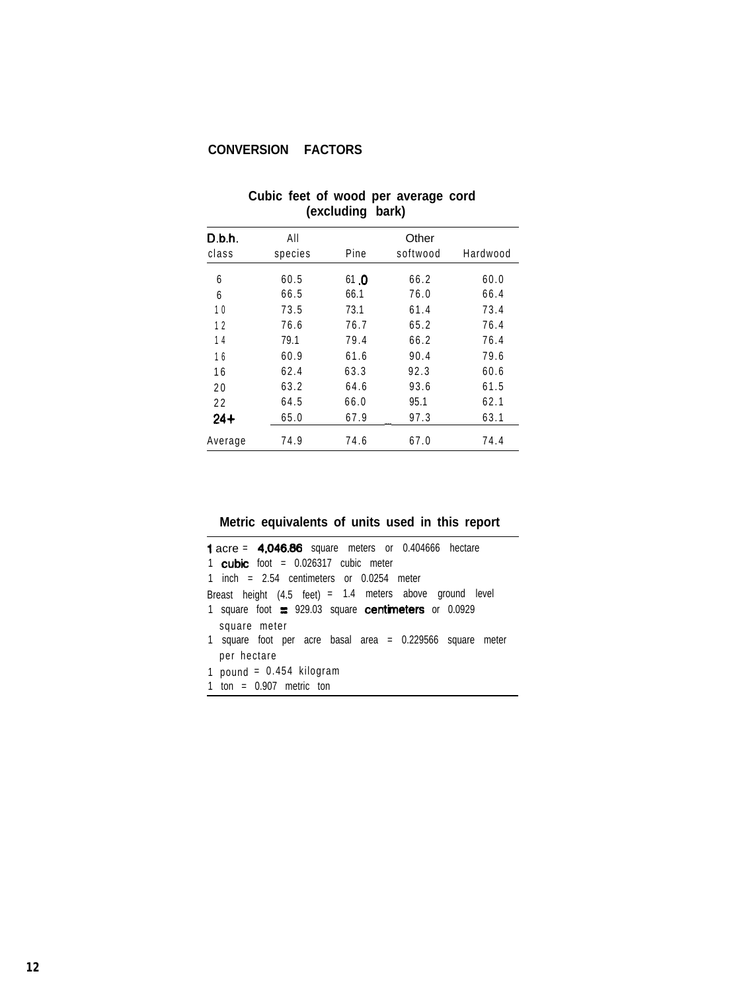# **CONVERSION FACTORS**

| D.b.h.  | All     |      | Other    |          |
|---------|---------|------|----------|----------|
| class   | species | Pine | softwood | Hardwood |
| 6       | 60.5    | 61 0 | 66.2     | 60.0     |
| 6       | 66.5    | 66.1 | 76.0     | 66.4     |
| 10      | 73.5    | 73.1 | 61.4     | 73.4     |
| 12      | 76.6    | 76.7 | 65.2     | 76.4     |
| 14      | 79.1    | 79.4 | 66.2     | 76.4     |
| 16      | 60.9    | 61.6 | 90.4     | 79.6     |
| 16      | 62.4    | 63.3 | 92.3     | 60.6     |
| 20      | 63.2    | 64.6 | 93.6     | 61.5     |
| 22      | 64.5    | 66.0 | 95.1     | 62.1     |
| $24+$   | 65.0    | 67.9 | 97.3     | 63.1     |
| Average | 74.9    | 74.6 | 67.0     | 74.4     |

#### **Cubic feet of wood per average cord (excluding bark)**

**Metric equivalents of units used in this report**

|              | <b>1</b> acre = $4.046.86$ square meters or $0.404666$ hectare |  |
|--------------|----------------------------------------------------------------|--|
|              | 1 cubic foot = $0.026317$ cubic meter                          |  |
|              | 1 inch = $2.54$ centimeters or 0.0254 meter                    |  |
|              | Breast height (4.5 feet) = 1.4 meters above ground level       |  |
|              | 1 square foot $\equiv$ 929.03 square centimeters or 0.0929     |  |
| square meter |                                                                |  |
|              | 1 square foot per acre basal area $= 0.229566$ square meter    |  |
| per hectare  |                                                                |  |
|              | 1 pound = $0.454$ kilogram                                     |  |
|              | 1 ton = $0.907$ metric ton                                     |  |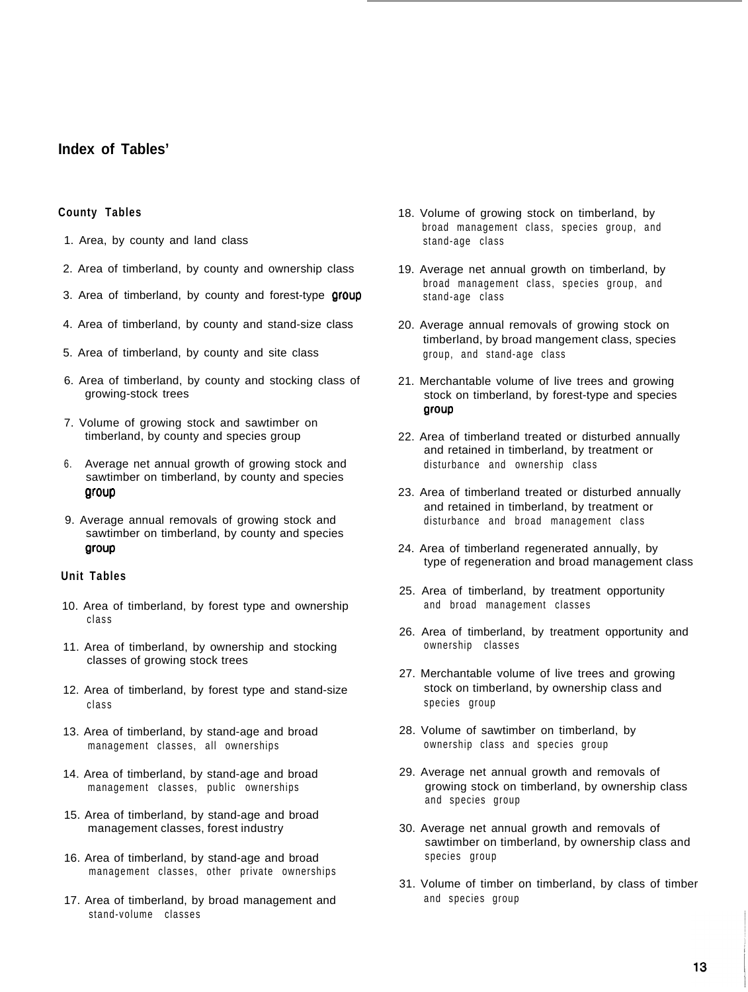# **Index of Tables'**

#### **County Tables**

- 1. Area, by county and land class
- 2. Area of timberland, by county and ownership class
- 3. Area of timberland, by county and forest-type group
- 4. Area of timberland, by county and stand-size class
- 5. Area of timberland, by county and site class
- 6. Area of timberland, by county and stocking class of growing-stock trees
- 7. Volume of growing stock and sawtimber on timberland, by county and species group
- 6. Average net annual growth of growing stock and sawtimber on timberland, by county and species group
- 9. Average annual removals of growing stock and sawtimber on timberland, by county and species group

#### **Unit Tables**

- 10. Area of timberland, by forest type and ownership class
- 11. Area of timberland, by ownership and stocking classes of growing stock trees
- 12. Area of timberland, by forest type and stand-size class
- 13. Area of timberland, by stand-age and broad management classes, all ownerships
- 14. Area of timberland, by stand-age and broad management classes, public ownerships
- 15. Area of timberland, by stand-age and broad management classes, forest industry
- 16. Area of timberland, by stand-age and broad management classes, other private ownerships
- 17. Area of timberland, by broad management and stand-volume classes
- 18. Volume of growing stock on timberland, by broad management class, species group, and stand-age class
- 19. Average net annual growth on timberland, by broad management class, species group, and stand-age class
- 20. Average annual removals of growing stock on timberland, by broad mangement class, species group, and stand-age class
- 21. Merchantable volume of live trees and growing stock on timberland, by forest-type and species grow
- 22. Area of timberland treated or disturbed annually and retained in timberland, by treatment or disturbance and ownership class
- 23. Area of timberland treated or disturbed annually and retained in timberland, by treatment or disturbance and broad management class
- 24. Area of timberland regenerated annually, by type of regeneration and broad management class
- 25. Area of timberland, by treatment opportunity and broad management classes
- 26. Area of timberland, by treatment opportunity and ownership classes
- 27. Merchantable volume of live trees and growing stock on timberland, by ownership class and species group
- 28. Volume of sawtimber on timberland, by ownership class and species group
- 29. Average net annual growth and removals of growing stock on timberland, by ownership class and species group
- 30. Average net annual growth and removals of sawtimber on timberland, by ownership class and species group
- 31. Volume of timber on timberland, by class of timber and species group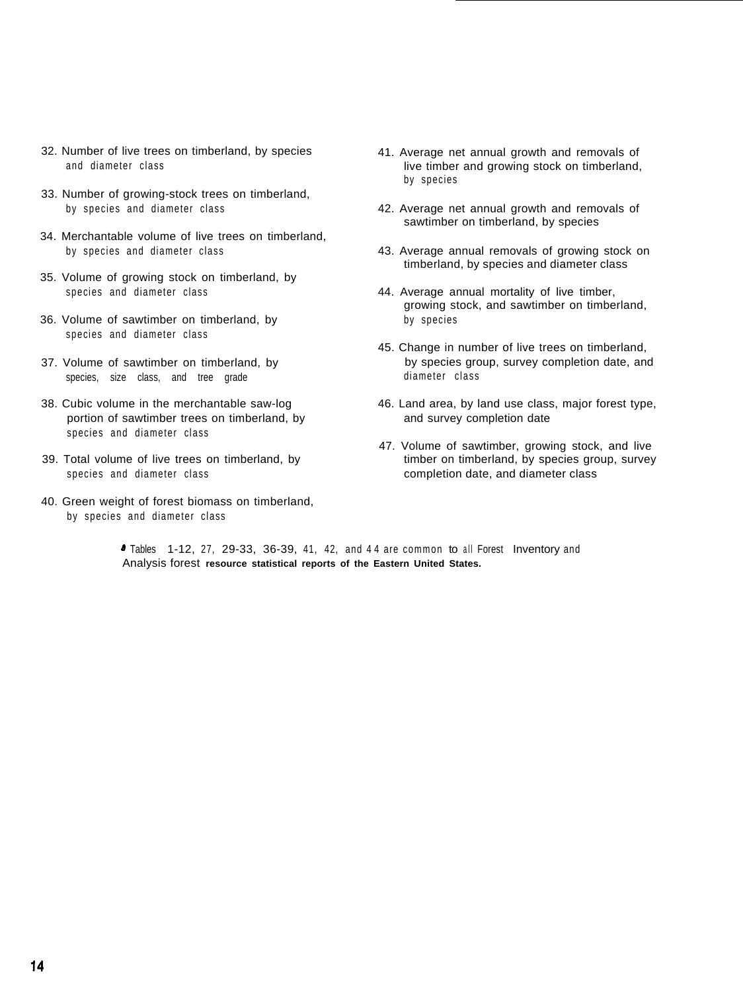- 32. Number of live trees on timberland, by species and diameter class
- 33. Number of growing-stock trees on timberland, by species and diameter class
- 34. Merchantable volume of live trees on timberland, by species and diameter class
- 35. Volume of growing stock on timberland, by species and diameter class
- 36. Volume of sawtimber on timberland, by species and diameter class
- 37. Volume of sawtimber on timberland, by species, size class, and tree grade
- 38. Cubic volume in the merchantable saw-log portion of sawtimber trees on timberland, by species and diameter class
- 39. Total volume of live trees on timberland, by species and diameter class
- 40. Green weight of forest biomass on timberland, by species and diameter class
- 41. Average net annual growth and removals of live timber and growing stock on timberland, by species
- 42. Average net annual growth and removals of sawtimber on timberland, by species
- 43. Average annual removals of growing stock on timberland, by species and diameter class
- 44. Average annual mortality of live timber, growing stock, and sawtimber on timberland, by species
- 45. Change in number of live trees on timberland, by species group, survey completion date, and diameter class
- 46. Land area, by land use class, major forest type, and survey completion date
- 47. Volume of sawtimber, growing stock, and live timber on timberland, by species group, survey completion date, and diameter class

' Tables 1-12, 27, 29-33, 36-39, 41, 42, and 4 4 are common to all Forest Inventory and Analysis forest **resource statistical reports of the Eastern United States.**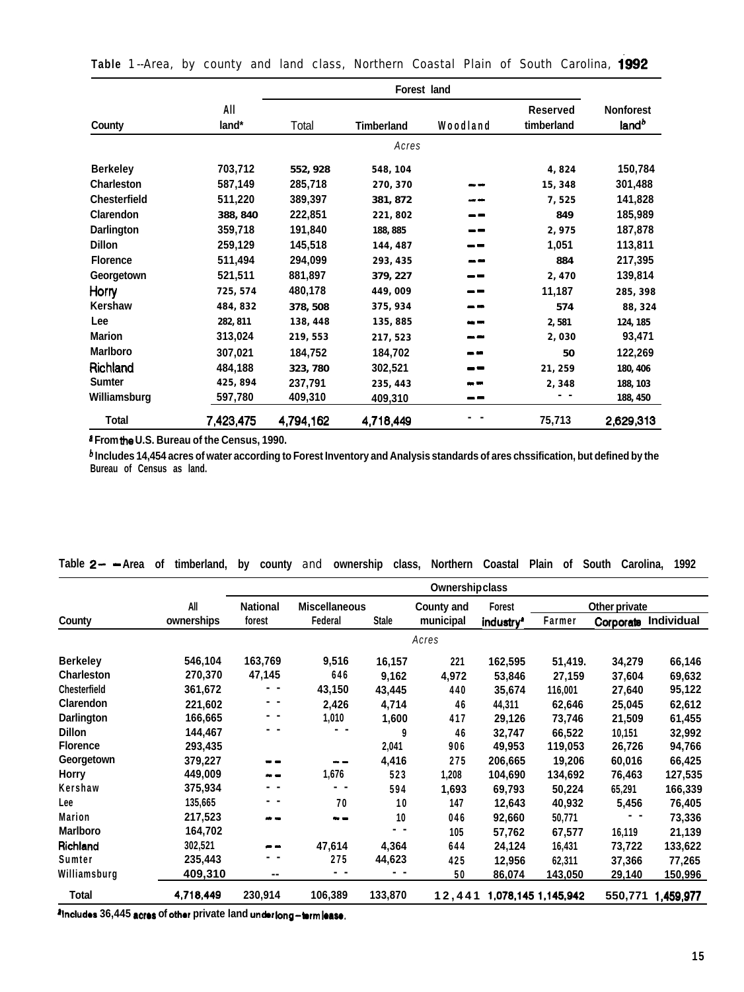|                     |              | Forest land |                   |          |                               |                                       |  |  |  |  |
|---------------------|--------------|-------------|-------------------|----------|-------------------------------|---------------------------------------|--|--|--|--|
| County              | All<br>land* | Total       | <b>Timberland</b> | Woodland | <b>Reserved</b><br>timberland | <b>Nonforest</b><br>land <sup>b</sup> |  |  |  |  |
|                     |              |             | Acres             |          |                               |                                       |  |  |  |  |
| <b>Berkeley</b>     | 703,712      | 552, 928    | 548, 104          |          | 4,824                         | 150,784                               |  |  |  |  |
| <b>Charleston</b>   | 587,149      | 285,718     | 270.370           |          | 15, 348                       | 301,488                               |  |  |  |  |
| <b>Chesterfield</b> | 511,220      | 389,397     | 381, 872          |          | 7,525                         | 141,828                               |  |  |  |  |
| Clarendon           | 388.840      | 222,851     | 221,802           |          | 849                           | 185,989                               |  |  |  |  |
| <b>Darlington</b>   | 359,718      | 191,840     | 188.885           |          | 2.975                         | 187,878                               |  |  |  |  |
| <b>Dillon</b>       | 259,129      | 145,518     | 144, 487          |          | 1,051                         | 113,811                               |  |  |  |  |
| <b>Florence</b>     | 511,494      | 294,099     | 293, 435          |          | 884                           | 217,395                               |  |  |  |  |
| Georgetown          | 521,511      | 881,897     | 379, 227          |          | 2,470                         | 139,814                               |  |  |  |  |
| Horry               | 725, 574     | 480,178     | 449,009           |          | 11,187                        | 285, 398                              |  |  |  |  |
| Kershaw             | 484, 832     | 378.508     | 375, 934          |          | 574                           | 88, 324                               |  |  |  |  |
| Lee                 | 282, 811     | 138, 448    | 135,885           |          | 2,581                         | 124, 185                              |  |  |  |  |
| <b>Marion</b>       | 313,024      | 219, 553    | 217.523           |          | 2,030                         | 93,471                                |  |  |  |  |
| <b>Marlboro</b>     | 307,021      | 184,752     | 184,702           |          | 50                            | 122,269                               |  |  |  |  |
| Richland            | 484,188      | 323, 780    | 302,521           |          | 21,259                        | 180, 406                              |  |  |  |  |
| <b>Sumter</b>       | 425,894      | 237,791     | 235, 443          |          | 2,348                         | 188, 103                              |  |  |  |  |
| Williamsburg        | 597,780      | 409,310     | 409,310           | --       |                               | 188, 450                              |  |  |  |  |
| <b>Total</b>        | 7,423,475    | 4,794,162   | 4.718.449         |          | 75,713                        | 2,629,313                             |  |  |  |  |

**Table** 1--Area, by county and land class, Northern Coastal Plain of South Carolina, 1992

**\* From the U.S. Bureau of the Census, 1990.**

**b Includes 14,454 acres of water according to Forest Inventory and Analysis standards of ares chssification, but defined by the Bureau of Census as land.**

|                     |            | Ownershipclass  |                      |              |                   |                       |                     |               |                      |
|---------------------|------------|-----------------|----------------------|--------------|-------------------|-----------------------|---------------------|---------------|----------------------|
|                     | All        | <b>National</b> | <b>Miscellaneous</b> |              | <b>County and</b> | Forest                |                     | Other private |                      |
| County              | ownerships | forest          | Federal              | <b>Stale</b> | municipal         | industry <sup>a</sup> | Farmer              |               | Corporate Individual |
|                     |            |                 |                      |              | Acres             |                       |                     |               |                      |
| <b>Berkeley</b>     | 546,104    | 163,769         | 9,516                | 16,157       | 221               | 162,595               | 51,419.             | 34,279        | 66,146               |
| <b>Charleston</b>   | 270,370    | 47,145          | 646                  | 9,162        | 4,972             | 53,846                | 27,159              | 37,604        | 69,632               |
| <b>Chesterfield</b> | 361,672    |                 | 43,150               | 43,445       | 440               | 35,674                | 116,001             | 27,640        | 95,122               |
| Clarendon           | 221,602    |                 | 2,426                | 4,714        | 46                | 44,311                | 62,646              | 25,045        | 62,612               |
| Darlington          | 166,665    |                 | 1,010                | 1,600        | 417               | 29,126                | 73,746              | 21,509        | 61,455               |
| <b>Dillon</b>       | 144,467    |                 | . .                  | 9            | 46                | 32,747                | 66,522              | 10,151        | 32,992               |
| <b>Florence</b>     | 293,435    |                 |                      | 2,041        | 906               | 49,953                | 119,053             | 26,726        | 94,766               |
| Georgetown          | 379,227    |                 |                      | 4,416        | 275               | 206,665               | 19,206              | 60,016        | 66,425               |
| Horry               | 449,009    |                 | 1,676                | 523          | 1,208             | 104,690               | 134,692             | 76,463        | 127,535              |
| Kershaw             | 375,934    |                 |                      | 594          | 1,693             | 69,793                | 50,224              | 65,291        | 166,339              |
| Lee                 | 135,665    |                 | 70                   | 10           | 147               | 12,643                | 40,932              | 5,456         | 76,405               |
| Marion              | 217,523    | <b>MAY 1980</b> |                      | 10           | 046               | 92,660                | 50,771              |               | 73,336               |
| Marlboro            | 164,702    |                 |                      | . .          | 105               | 57,762                | 67,577              | 16,119        | 21,139               |
| Richland            | 302,521    |                 | 47,614               | 4,364        | 644               | 24,124                | 16,431              | 73,722        | 133,622              |
| Sumter              | 235,443    |                 | 275                  | 44,623       | 425               | 12,956                | 62,311              | 37,366        | 77,265               |
| Williamsburg        | 409,310    | --              |                      |              | 50                | 86,074                | <u>143,050</u>      | 29,140        | 150,996              |
| Total               | 4,718,449  | 230,914         | 106,389              | 133,870      | 12,441            |                       | 1,078,145 1,145,942 | 550,771       | 1,459,977            |

# **Table 2- - Area of timberland, by county** and **ownership class, Northern Coastal Plain of South Carolina, 1992**

**'Includes 36,445 scros of other private land unbr long-brrn loam.**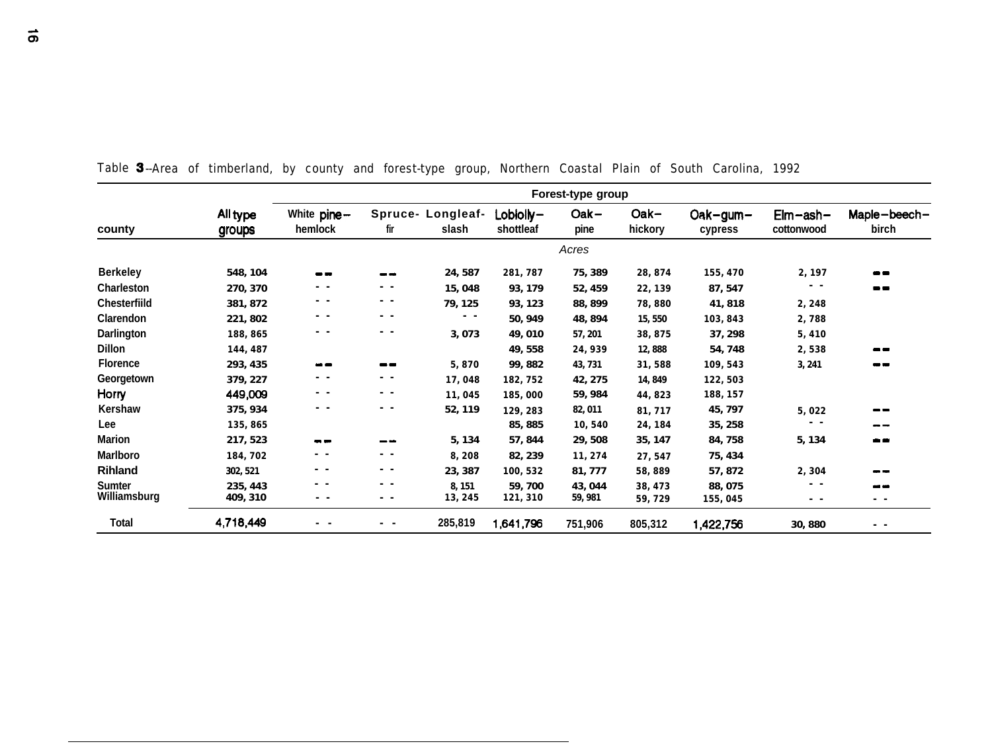|                     | Forest-type group         |                                                                                                |                                                                                                                                                                                                                                                                                                                                                                                                                                                |                            |                         |                 |                 |                       |                                  |                       |
|---------------------|---------------------------|------------------------------------------------------------------------------------------------|------------------------------------------------------------------------------------------------------------------------------------------------------------------------------------------------------------------------------------------------------------------------------------------------------------------------------------------------------------------------------------------------------------------------------------------------|----------------------------|-------------------------|-----------------|-----------------|-----------------------|----------------------------------|-----------------------|
| county              | All type<br><b>groups</b> | White pine-<br>hemlock                                                                         | fir                                                                                                                                                                                                                                                                                                                                                                                                                                            | Spruce- Longleaf-<br>slash | $Lobloly-$<br>shottleaf | $Oak -$<br>pine | Oak-<br>hickory | $Oak-gum-$<br>cypress | $E$ lm $-$ ash $-$<br>cottonwood | Maple-beech-<br>birch |
|                     |                           |                                                                                                |                                                                                                                                                                                                                                                                                                                                                                                                                                                |                            |                         | Acres           |                 |                       |                                  |                       |
| <b>Berkeley</b>     | 548, 104                  | --                                                                                             | --                                                                                                                                                                                                                                                                                                                                                                                                                                             | 24, 587                    | 281,787                 | 75, 389         | 28, 874         | 155, 470              | 2,197                            |                       |
| <b>Charleston</b>   | 270, 370                  | - -                                                                                            | $\frac{1}{2} \left( \frac{1}{2} \right) \frac{1}{2} \left( \frac{1}{2} \right) \frac{1}{2} \left( \frac{1}{2} \right) \frac{1}{2} \left( \frac{1}{2} \right) \frac{1}{2} \left( \frac{1}{2} \right) \frac{1}{2} \left( \frac{1}{2} \right) \frac{1}{2} \left( \frac{1}{2} \right) \frac{1}{2} \left( \frac{1}{2} \right) \frac{1}{2} \left( \frac{1}{2} \right) \frac{1}{2} \left( \frac{1}{2} \right) \frac{1}{2} \left( \frac{1}{2} \right)$ | 15,048                     | 93, 179                 | 52, 459         | 22, 139         | 87, 547               | . .                              | --                    |
| <b>Chesterfiild</b> | 381, 872                  | - -                                                                                            | . .                                                                                                                                                                                                                                                                                                                                                                                                                                            | 79, 125                    | 93, 123                 | 88, 899         | 78,880          | 41,818                | 2,248                            |                       |
| Clarendon           | 221, 802                  | - -                                                                                            | $ -$                                                                                                                                                                                                                                                                                                                                                                                                                                           | $\qquad \qquad \bullet$    | 50, 949                 | 48, 894         | 15,550          | 103, 843              | 2,788                            |                       |
| Darlington          | 188, 865                  | - -                                                                                            | - -                                                                                                                                                                                                                                                                                                                                                                                                                                            | 3,073                      | 49, 010                 | 57, 201         | 38, 875         | 37, 298               | 5,410                            |                       |
| <b>Dillon</b>       | 144, 487                  |                                                                                                |                                                                                                                                                                                                                                                                                                                                                                                                                                                |                            | 49.558                  | 24,939          | 12,888          | 54, 748               | 2,538                            | --                    |
| <b>Florence</b>     | 293, 435                  | --                                                                                             | --                                                                                                                                                                                                                                                                                                                                                                                                                                             | 5,870                      | 99.882                  | 43, 731         | 31,588          | 109, 543              | 3, 241                           | --                    |
| Georgetown          | 379, 227                  | . .                                                                                            | $\sim$ $ \sim$                                                                                                                                                                                                                                                                                                                                                                                                                                 | 17,048                     | 182, 752                | 42, 275         | 14, 849         | 122, 503              |                                  |                       |
| Horry               | 449,009                   | $\frac{1}{2} \left( \frac{1}{2} \right) \frac{1}{2} \left( \frac{1}{2} \right)$                | $\sim$ $ \sim$                                                                                                                                                                                                                                                                                                                                                                                                                                 | 11,045                     | 185,000                 | 59, 984         | 44,823          | 188, 157              |                                  |                       |
| Kershaw             | 375, 934                  | - -                                                                                            | - -                                                                                                                                                                                                                                                                                                                                                                                                                                            | 52, 119                    | 129.283                 | 82, 011         | 81,717          | 45, 797               | 5,022                            |                       |
| Lee                 | 135, 865                  |                                                                                                |                                                                                                                                                                                                                                                                                                                                                                                                                                                |                            | 85, 885                 | 10,540          | 24, 184         | 35, 258               |                                  |                       |
| <b>Marion</b>       | 217, 523                  | --                                                                                             | --                                                                                                                                                                                                                                                                                                                                                                                                                                             | 5, 134                     | 57, 844                 | 29.508          | 35, 147         | 84,758                | 5, 134                           |                       |
| Marlboro            | 184,702                   | - -                                                                                            | . .                                                                                                                                                                                                                                                                                                                                                                                                                                            | 8,208                      | 82, 239                 | 11,274          | 27, 547         | 75, 434               |                                  |                       |
| <b>Rihland</b>      | 302, 521                  | $\frac{1}{2} \left( \frac{1}{2} \right) \left( \frac{1}{2} \right) \left( \frac{1}{2} \right)$ | - -                                                                                                                                                                                                                                                                                                                                                                                                                                            | 23, 387                    | 100.532                 | 81,777          | 58,889          | 57,872                | 2,304                            |                       |
| <b>Sumter</b>       | 235, 443                  | - -                                                                                            | - -                                                                                                                                                                                                                                                                                                                                                                                                                                            | 8, 151                     | 59,700                  | 43, 044         | 38, 473         | 88, 075               | $ -$                             | an an                 |
| Williamsburg        | 409, 310                  | . .                                                                                            | - -                                                                                                                                                                                                                                                                                                                                                                                                                                            | 13, 245                    | 121, 310                | 59, 981         | 59,729          | 155, 045              | . .                              | . .                   |
| Total               | 4,718,449                 |                                                                                                | . .                                                                                                                                                                                                                                                                                                                                                                                                                                            | 285,819                    | 1,641,796               | 751,906         | 805,312         | 1,422,756             | 30, 880                          | $ -$                  |

Table 3--Area of timberland, by county and forest-type group, Northern Coastal Plain of South Carolina, 1992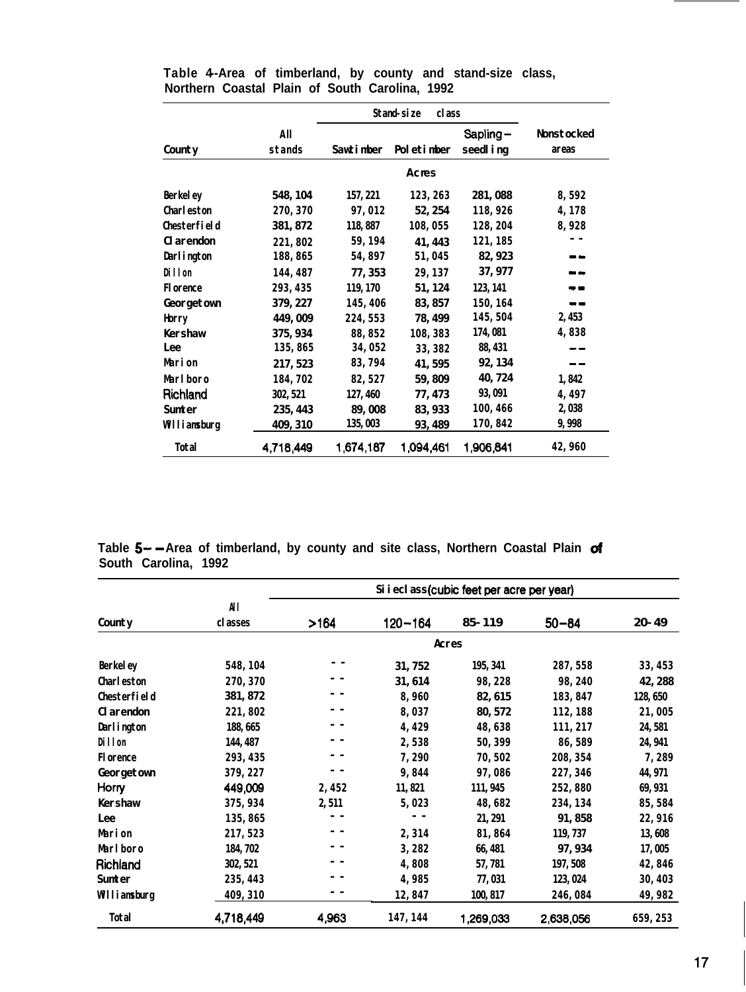|                   |               | <b>Stand</b> -size             |           |                        |                            |
|-------------------|---------------|--------------------------------|-----------|------------------------|----------------------------|
| County            | All<br>stands | Poletinber<br><b>Sawtimber</b> |           | $Sapling-$<br>seedling | <b>Nonstocked</b><br>areas |
|                   |               |                                | Acres     |                        |                            |
| <b>Berkeley</b>   | 548, 104      | 157, 221                       | 123, 263  | 281,088                | 8,592                      |
| <b>Charleston</b> | 270, 370      | 97,012                         | 52, 254   | 118,926                | 4,178                      |
| Chesterfield      | 381, 872      | 118,887                        | 108,055   | 128, 204               | 8,928                      |
| <b>Clarendon</b>  | 221,802       | 59, 194                        | 41, 443   | 121, 185               |                            |
| Darlington        | 188, 865      | 54,897                         | 51,045    | 82, 923                | - -                        |
| Dillon            | 144, 487      | 77, 353                        | 29, 137   | 37, 977                |                            |
| <b>Florence</b>   | 293, 435      | 119, 170                       | 51, 124   | 123, 141               | - -                        |
| Georgetown        | 379, 227      | 145, 406                       | 83, 857   | 150.164                | . .                        |
| Horry             | 449,009       | 224, 553                       | 78, 499   | 145,504                | 2, 453                     |
| <b>Kershaw</b>    | 375, 934      | 88, 852                        | 108, 383  | 174,081                | 4,838                      |
| Lee               | 135, 865      | 34,052                         | 33, 382   | 88, 431                |                            |
| Marion            | 217, 523      | 83, 794                        | 41, 595   | 92, 134                |                            |
| Marlboro          | 184,702       | 82, 527                        | 59, 809   | 40, 724                | 1,842                      |
| Richland          | 302, 521      | 127, 460                       | 77, 473   | 93, 091                | 4,497                      |
| Sunter            | 235, 443      | 89,008                         | 83, 933   | 100, 466               | 2,038                      |
| Williamsburg      | 409, 310      | 135, 003                       | 93, 489   | 170, 842               | 9,998                      |
| Total             | 4,718,449     | 1,674,187                      | 1,094,461 | 1,906,841              | 42,960                     |

**Table 4--Area of timberland, by county and stand-size class, Northern Coastal Plain of South Carolina, 1992**

**Table 5- -Area of timberland, by county and site class, Northern Coastal Plain of South Carolina, 1992**

|                   |           |       |             | Si i eclass (cubic feet per acre per year) |           |           |
|-------------------|-----------|-------|-------------|--------------------------------------------|-----------|-----------|
|                   | All       |       |             |                                            |           |           |
| County            | classes   | >164  | $120 - 164$ | 85-119                                     | $50 - 84$ | $20 - 49$ |
|                   |           |       |             | Acres                                      |           |           |
| <b>Berkeley</b>   | 548, 104  |       | 31, 752     | 195, 341                                   | 287, 558  | 33, 453   |
| <b>Charleston</b> | 270, 370  |       | 31, 614     | 98, 228                                    | 98, 240   | 42, 288   |
| Chesterfield      | 381, 872  |       | 8,960       | 82, 615                                    | 183, 847  | 128, 650  |
| <b>Clarendon</b>  | 221,802   |       | 8,037       | 80, 572                                    | 112, 188  | 21,005    |
| Darlington        | 188, 665  |       | 4,429       | 48,638                                     | 111, 217  | 24, 581   |
| Dillon            | 144, 487  |       | 2,538       | 50, 399                                    | 86,589    | 24, 941   |
| <b>Florence</b>   | 293, 435  |       | 7,290       | 70,502                                     | 208, 354  | 7,289     |
| Georgetown        | 379, 227  |       | 9,844       | 97,086                                     | 227, 346  | 44, 971   |
| Horry             | 449,009   | 2,452 | 11,821      | 111, 945                                   | 252,880   | 69, 931   |
| <b>Kershaw</b>    | 375, 934  | 2,511 | 5,023       | 48,682                                     | 234, 134  | 85, 584   |
| Lee               | 135, 865  |       |             | 21, 291                                    | 91, 858   | 22, 916   |
| <b>Marion</b>     | 217, 523  |       | 2,314       | 81,864                                     | 119, 737  | 13,608    |
| Marlboro          | 184, 702  |       | 3,282       | 66, 481                                    | 97, 934   | 17,005    |
| Richland          | 302, 521  |       | 4,808       | 57,781                                     | 197, 508  | 42,846    |
| <b>Sunter</b>     | 235, 443  |       | 4,985       | 77,031                                     | 123, 024  | 30, 403   |
| Williamsburg      | 409, 310  |       | 12,847      | 100, 817                                   | 246,084   | 49, 982   |
| Total             | 4,718,449 | 4,963 | 147, 144    | 1,269,033                                  | 2,638,056 | 659, 253  |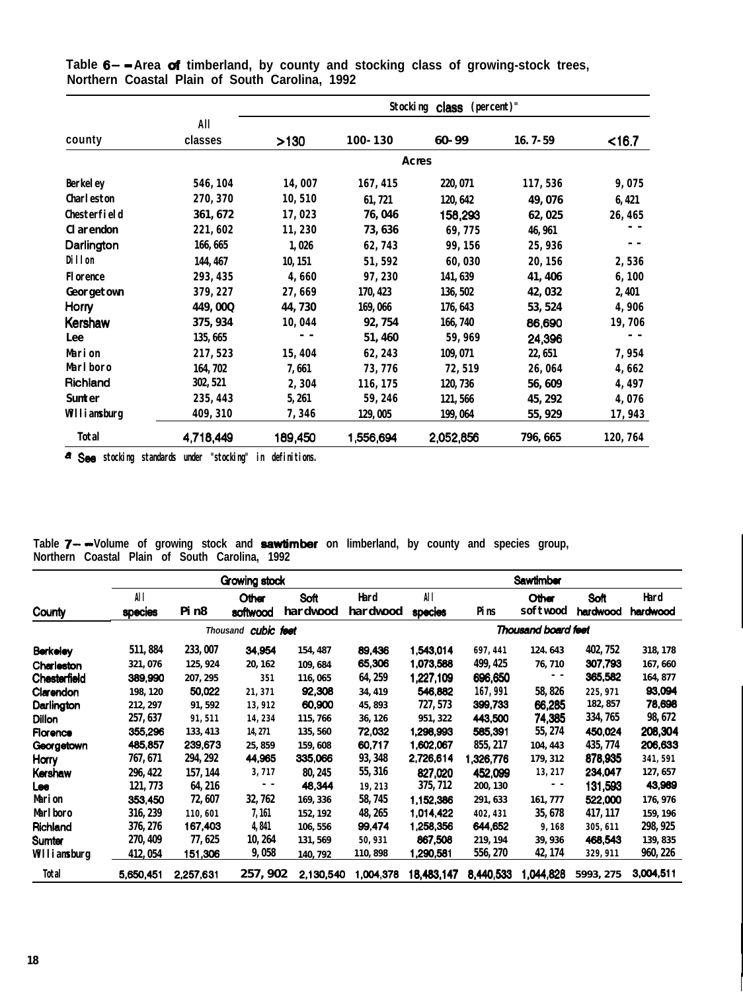|                   |           |         |             | Stocking class (percent)" |             |         |
|-------------------|-----------|---------|-------------|---------------------------|-------------|---------|
|                   | All       |         |             |                           |             |         |
| county            | classes   | >130    | $100 - 130$ | 60-99                     | $16.7 - 59$ | < 16.7  |
|                   |           |         |             | Acres                     |             |         |
| <b>Berkeley</b>   | 546, 104  | 14,007  | 167, 415    | 220, 071                  | 117,536     | 9,075   |
| <b>Charleston</b> | 270, 370  | 10,510  | 61, 721     | 120, 642                  | 49, 076     | 6, 421  |
| Chesterfield      | 361, 672  | 17,023  | 76, 046     | 158,293                   | 62, 025     | 26, 465 |
| <b>Clarendon</b>  | 221,602   | 11,230  | 73, 636     | 69,775                    | 46, 961     |         |
| Darlington        | 166, 665  | 1,026   | 62,743      | 99, 156                   | 25,936      |         |
| Dillon            | 144, 467  | 10, 151 | 51, 592     | 60,030                    | 20, 156     | 2,536   |
| <b>Florence</b>   | 293, 435  | 4,660   | 97,230      | 141, 639                  | 41, 406     | 6,100   |
| Georgetown        | 379, 227  | 27,669  | 170, 423    | 136, 502                  | 42, 032     | 2, 401  |
| Horry             | 449, 00Q  | 44,730  | 169,066     | 176, 643                  | 53, 524     | 4,906   |
| <b>Kershaw</b>    | 375, 934  | 10,044  | 92, 754     | 166, 740                  | 86,690      | 19,706  |
| Lee               | 135, 665  |         | 51,460      | 59,969                    | 24,396      |         |
| <b>Marion</b>     | 217, 523  | 15,404  | 62, 243     | 109, 071                  | 22, 651     | 7,954   |
| Marlboro          | 164, 702  | 7,661   | 73,776      | 72,519                    | 26,064      | 4,662   |
| Richland          | 302, 521  | 2,304   | 116, 175    | 120, 736                  | 56,609      | 4,497   |
| <b>Sunter</b>     | 235, 443  | 5, 261  | 59, 246     | 121,566                   | 45, 292     | 4,076   |
| Williamsburg      | 409, 310  | 7,346   | 129,005     | 199, 064                  | 55, 929     | 17,943  |
| Total             | 4,718,449 | 189,450 | 1,556,694   | 2,052,856                 | 796, 665    | 120,764 |

**Table 6- -Area of timberland, by county and stocking class of growing-stock trees, Northern Coastal Plain of South Carolina, 1992**

**a See stocking standards under "stocking" in definitions.**

**Table 7- -Volume of growing stock and sawtimber on limberland, by county and species group, Northern Coastal Plain of South Carolina, 1992**

|                 | Growing stock  |                  |                            |           |           | <b>Sawtimber</b> |             |                     |             |           |
|-----------------|----------------|------------------|----------------------------|-----------|-----------|------------------|-------------|---------------------|-------------|-----------|
|                 | All            |                  | Other                      | Soft      | Hard      | All              |             | Other               | <b>Soft</b> | Hard      |
| County          | <b>species</b> | Pin <sub>8</sub> | softwood                   | hardwood  | hardwood  | species          | <b>Pins</b> | softwood            | hardwood    | hardwood  |
|                 |                |                  | Thousand <b>cubic</b> feet |           |           |                  |             | Thousand board feet |             |           |
| <b>Berkeley</b> | 511, 884       | 233, 007         | 34,954                     | 154, 487  | 89,436    | 1,543,014        | 697, 441    | 124.643             | 402, 752    | 318, 178  |
| Charleston      | 321, 076       | 125, 924         | 20, 162                    | 109.684   | 65,306    | 1,073,588        | 499, 425    | 76, 710             | 307,793     | 167, 660  |
| Chesterfield    | 389,990        | 207, 295         | 351                        | 116, 065  | 64, 259   | 1,227,109        | 696,650     |                     | 365,582     | 164, 877  |
| Clarendon       | 198, 120       | 50,022           | 21,371                     | 92,308    | 34, 419   | 546,882          | 167,991     | 58, 826             | 225, 971    | 93,094    |
| Darlington      | 212, 297       | 91, 592          | 13,912                     | 60,900    | 45, 893   | 727, 573         | 399,733     | 66.285              | 182, 857    | 78,698    |
| Dillon          | 257, 637       | 91,511           | 14,234                     | 115,766   | 36, 126   | 951, 322         | 443,500     | 74.385              | 334, 765    | 98, 672   |
| Florence        | 355,296        | 133, 413         | 14, 271                    | 135, 560  | 72,032    | 1,298,993        | 585,391     | 55, 274             | 450,024     | 208,304   |
| Georgetown      | 485,857        | 239,673          | 25, 859                    | 159,608   | 60,717    | 1,602,067        | 855, 217    | 104, 443            | 435, 774    | 206,633   |
| Horry           | 767, 671       | 294, 292         | 44,965                     | 335,066   | 93, 348   | 2,726,614        | 1,326,776   | 179, 312            | 878,935     | 341,591   |
| Kershaw         | 296, 422       | 157, 144         | 3,717                      | 80, 245   | 55, 316   | 827,020          | 452,099     | 13, 217             | 234,047     | 127, 657  |
| <b>Lee</b>      | 121, 773       | 64, 216          | $\sim$ $\sim$              | 48,344    | 19,213    | 375, 712         | 200, 130    |                     | 131,593     | 43,969    |
| <b>Marion</b>   | 353,450        | 72.607           | 32.762                     | 169.336   | 58, 745   | 1.152.386        | 291, 633    | 161, 777            | 522,000     | 176, 976  |
| <b>Marlboro</b> | 316, 239       | 110,601          | 7, 161                     | 152, 192  | 48, 265   | 1,014,422        | 402, 431    | 35, 678             | 417, 117    | 159, 196  |
| Richland        | 376, 276       | 167,403          | 4,841                      | 106, 556  | 99,474    | 1,258,356        | 644,652     | 9,168               | 305, 611    | 298, 925  |
| Sumter          | 270, 409       | 77, 625          | 10, 264                    | 131, 569  | 50,931    | 867,508          | 219, 194    | 39, 936             | 468,543     | 139, 835  |
| Williamsburg    | 412, 054       | 151,306          | 9,058                      | 140, 792  | 110,898   | 1,290,581        | 556, 270    | 42, 174             | 329, 911    | 960, 226  |
| Total           | 5,650,451      | 2.257,631        | 257, 902                   | 2.130,540 | 1,004,378 | 18,483,147       | 8,440,533   | 1.044.828           | 5993, 275   | 3,004,511 |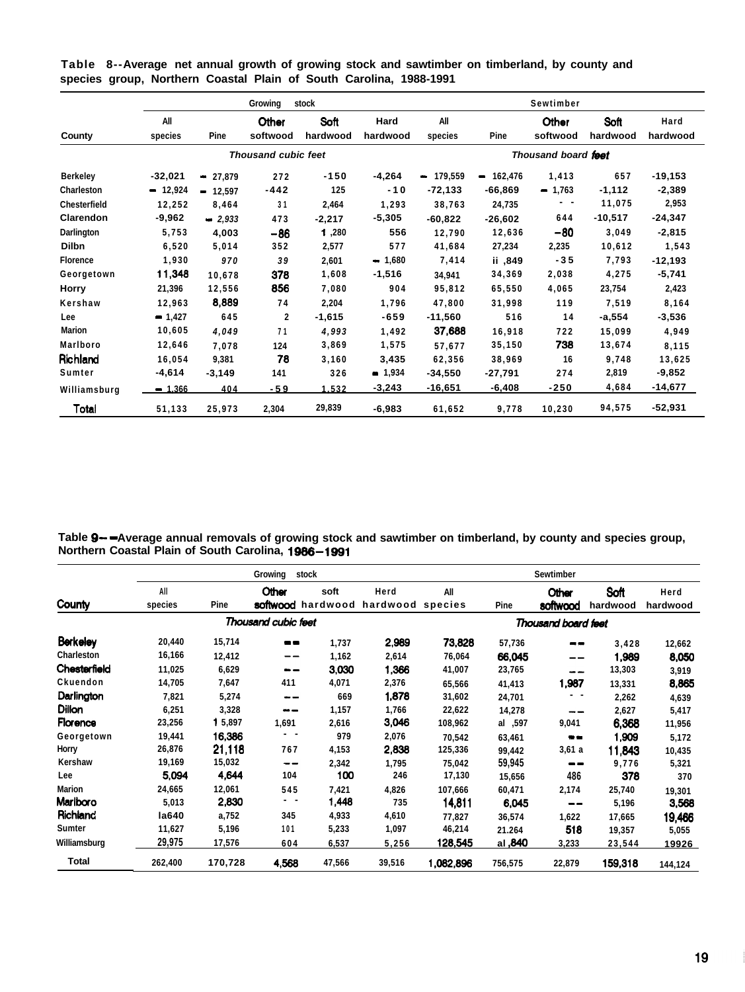|                     |                |           | Growina                    | stock            |                  |                |            | Sewtimber           |                  |                  |  |
|---------------------|----------------|-----------|----------------------------|------------------|------------------|----------------|------------|---------------------|------------------|------------------|--|
| County              | All<br>species | Pine      | Other<br>softwood          | Soft<br>hardwood | Hard<br>hardwood | All<br>species | Pine       | Other<br>softwood   | Soft<br>hardwood | Hard<br>hardwood |  |
|                     |                |           | <b>Thousand cubic feet</b> |                  |                  |                |            | Thousand board feet |                  |                  |  |
| <b>Berkeley</b>     | $-32,021$      | $-27,879$ | 272                        | $-150$           | $-4,264$         | $-179,559$     | $-162,476$ | 1,413               | 657              | $-19,153$        |  |
| Charleston          | $-12,924$      | $-12,597$ | $-442$                     | 125              | $-10$            | $-72,133$      | $-66,869$  | $-1,763$            | $-1,112$         | $-2,389$         |  |
| <b>Chesterfield</b> | 12,252         | 8,464     | 31                         | 2,464            | 1,293            | 38,763         | 24,735     | . .                 | 11,075           | 2,953            |  |
| Clarendon           | $-9,962$       | $-2,933$  | 473                        | $-2,217$         | $-5,305$         | $-60,822$      | $-26,602$  | 644                 | $-10,517$        | $-24,347$        |  |
| Darlington          | 5,753          | 4,003     | $-86$                      | 1,280            | 556              | 12,790         | 12,636     | -80                 | 3,049            | $-2,815$         |  |
| <b>Dilbn</b>        | 6,520          | 5,014     | 352                        | 2,577            | 577              | 41,684         | 27,234     | 2,235               | 10,612           | 1,543            |  |
| <b>Florence</b>     | 1,930          | 970       | 39                         | 2,601            | $-1,680$         | 7,414          | ii ,849    | $-35$               | 7,793            | $-12,193$        |  |
| Georgetown          | 11,348         | 10,678    | 378                        | 1,608            | $-1,516$         | 34,941         | 34,369     | 2,038               | 4,275            | $-5,741$         |  |
| Horry               | 21,396         | 12,556    | 856                        | 7,080            | 904              | 95,812         | 65,550     | 4,065               | 23,754           | 2,423            |  |
| Kershaw             | 12,963         | 8,889     | 74                         | 2,204            | 1,796            | 47,800         | 31.998     | 119                 | 7,519            | 8,164            |  |
| Lee                 | $-1,427$       | 645       | $\mathbf{2}$               | $-1,615$         | $-659$           | $-11,560$      | 516        | 14                  | -a,554           | $-3,536$         |  |
| <b>Marion</b>       | 10,605         | 4,049     | 71                         | 4,993            | 1,492            | 37,688         | 16,918     | 722                 | 15,099           | 4,949            |  |
| Marlboro            | 12,646         | 7,078     | 124                        | 3,869            | 1,575            | 57,677         | 35,150     | 738                 | 13,674           | 8,115            |  |
| Richland            | 16,054         | 9,381     | 78                         | 3,160            | 3,435            | 62,356         | 38,969     | 16                  | 9,748            | 13,625           |  |
| Sumter              | $-4,614$       | $-3,149$  | 141                        | 326              | $-1,934$         | $-34,550$      | -27,791    | 274                 | 2,819            | $-9,852$         |  |
| Williamsburg        | $-1.366$       | 404       | -59                        | 1.532            | $-3,243$         | -16,651        | $-6.408$   | $-250$              | 4,684            | $-14,677$        |  |
| Total               | 51,133         | 25,973    | 2,304                      | 29,839           | $-6,983$         | 61,652         | 9,778      | 10,230              | 94,575           | $-52,931$        |  |

**Table 8--Average net annual growth of growing stock and sawtimber on timberland, by county and species group, Northern Coastal Plain of South Carolina, 1988-1991**

**Table Q- -Average annual removals of growing stock and sawtimber on timberland, by county and species group, Northern Coastal Plain of South Carolina, 1986-1991**

|                 |                |         | Growing<br>stock    |        |                                   |           |         | <b>Sewtimber</b>    |                  |                  |  |
|-----------------|----------------|---------|---------------------|--------|-----------------------------------|-----------|---------|---------------------|------------------|------------------|--|
| County          | All<br>species | Pine    | Other<br>softwood   | soft   | Herd<br>hardwood hardwood species | All       | Pine    | Other<br>softwood   | Soft<br>hardwood | Herd<br>hardwood |  |
|                 |                |         | Thousand cubic feet |        |                                   |           |         | Thousand board feet |                  |                  |  |
| <b>Berkeley</b> | 20,440         | 15,714  | --                  | 1,737  | 2,989                             | 73,828    | 57,736  | --                  | 3,428            | 12,662           |  |
| Charleston      | 16,166         | 12,412  | --                  | 1,162  | 2,614                             | 76,064    | 66,045  | --                  | 1,989            | 8,050            |  |
| Chesterfield    | 11,025         | 6,629   | $-$                 | 3,030  | 1,366                             | 41,007    | 23,765  | --                  | 13,303           | 3,919            |  |
| Ckuendon        | 14,705         | 7,647   | 411                 | 4,071  | 2,376                             | 65,566    | 41,413  | 1,987               | 13,331           | 8,865            |  |
| Darlington      | 7,821          | 5,274   | --                  | 669    | 1,878                             | 31,602    | 24,701  |                     | 2,262            | 4,639            |  |
| Dillon          | 6,251          | 3,328   | $=$                 | 1,157  | 1,766                             | 22,622    | 14,278  | --                  | 2,627            | 5,417            |  |
| Florence        | 23,256         | 15,897  | 1,691               | 2,616  | 3,046                             | 108,962   | al ,597 | 9,041               | 6,368            | 11,956           |  |
| Georgetown      | 19,441         | 16.386  | . .                 | 979    | 2,076                             | 70,542    | 63,461  | $\bullet -$         | 1,909            | 5,172            |  |
| Horry           | 26,876         | 21,118  | 767                 | 4,153  | 2,838                             | 125,336   | 99,442  | 3,61a               | 11,843           | 10,435           |  |
| Kershaw         | 19,169         | 15,032  | --                  | 2,342  | 1,795                             | 75,042    | 59,945  | --                  | 9,776            | 5,321            |  |
| Lee             | 5,094          | 4.644   | 104                 | 100    | 246                               | 17,130    | 15,656  | 486                 | 378              | 370              |  |
| <b>Marion</b>   | 24,665         | 12,061  | 545                 | 7,421  | 4,826                             | 107,666   | 60,471  | 2,174               | 25,740           | 19,301           |  |
| Mariboro        | 5,013          | 2,830   | . .                 | 1,448  | 735                               | 14,811    | 6,045   | --                  | 5,196            | 3,568            |  |
| <b>Richland</b> | la640          | a,752   | 345                 | 4,933  | 4,610                             | 77,827    | 36,574  | 1,622               | 17,665           | 19,466           |  |
| Sumter          | 11,627         | 5,196   | 101                 | 5,233  | 1,097                             | 46,214    | 21.264  | 518                 | 19,357           | 5,055            |  |
| Williamsburg    | 29,975         | 17,576  | 604                 | 6,537  | 5,256                             | 128,545   | al, 840 | 3,233               | 23,544           | 19926            |  |
| Total           | 262,400        | 170,728 | 4.568               | 47,566 | 39,516                            | 1,082,896 | 756,575 | 22,879              | 159,318          | 144,124          |  |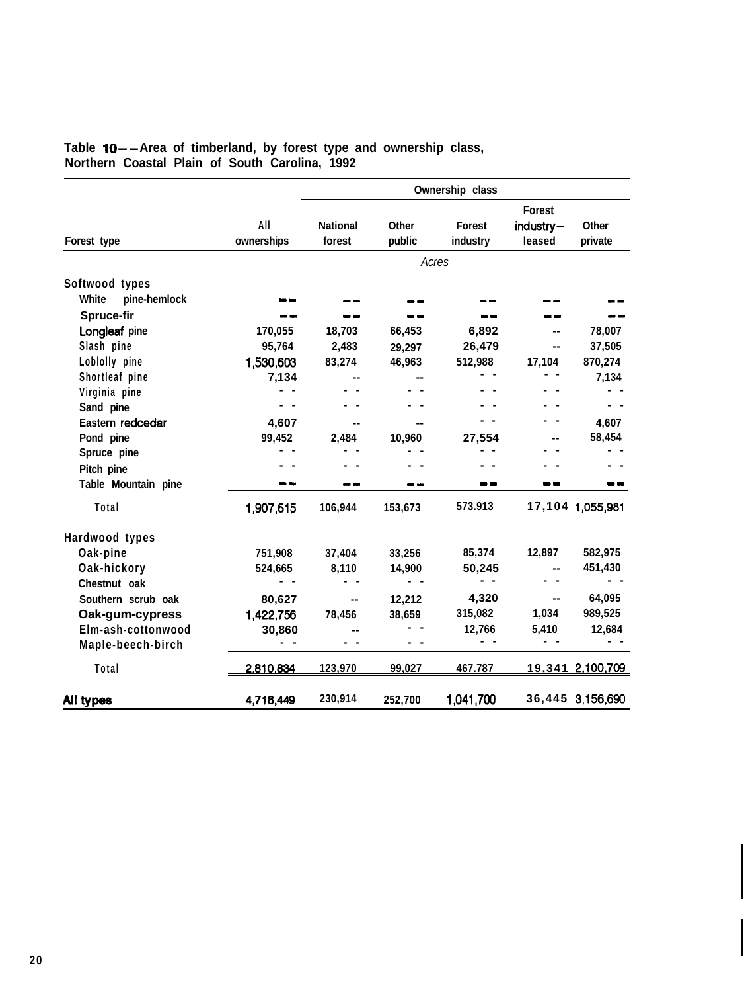|                       |                   |                           |                        | Ownership class           |                                         |                  |
|-----------------------|-------------------|---------------------------|------------------------|---------------------------|-----------------------------------------|------------------|
| Forest type           | All<br>ownerships | <b>National</b><br>forest | <b>Other</b><br>public | <b>Forest</b><br>industry | <b>Forest</b><br>$industry -$<br>leased | Other<br>private |
|                       |                   |                           |                        | Acres                     |                                         |                  |
| Softwood types        |                   |                           |                        |                           |                                         |                  |
| White<br>pine-hemlock |                   |                           |                        |                           |                                         |                  |
| Spruce-fir            |                   |                           |                        |                           |                                         |                  |
| Longleaf pine         | 170,055           | 18,703                    | 66,453                 | 6,892                     |                                         | 78,007           |
| Slash pine            | 95,764            | 2,483                     | 29,297                 | 26,479                    | --                                      | 37,505           |
| Loblolly pine         | 1,530,603         | 83,274                    | 46,963                 | 512,988                   | 17,104                                  | 870,274          |
| Shortleaf pine        | 7,134             |                           |                        |                           |                                         | 7,134            |
| Virginia pine         |                   |                           |                        |                           |                                         |                  |
| Sand pine             |                   |                           |                        |                           |                                         |                  |
| Eastern redcedar      | 4,607             |                           |                        |                           |                                         | 4,607            |
| Pond pine             | 99,452            | 2,484                     | 10,960                 | 27,554                    |                                         | 58,454           |
| Spruce pine           |                   |                           |                        |                           |                                         |                  |
| Pitch pine            |                   |                           |                        |                           |                                         |                  |
| Table Mountain pine   |                   |                           |                        |                           |                                         |                  |
| Total                 | 1,907,615         | 106,944                   | 153,673                | 573.913                   |                                         | 17,104 1,055,981 |
| Hardwood types        |                   |                           |                        |                           |                                         |                  |
| Oak-pine              | 751,908           | 37,404                    | 33,256                 | 85,374                    | 12,897                                  | 582,975          |
| Oak-hickory           | 524,665           | 8,110                     | 14,900                 | 50,245                    |                                         | 451,430          |
| Chestnut oak          |                   |                           |                        |                           |                                         |                  |
| Southern scrub oak    | 80,627            |                           | 12,212                 | 4,320                     |                                         | 64,095           |
| Oak-gum-cypress       | 1,422,756         | 78,456                    | 38,659                 | 315,082                   | 1,034                                   | 989,525          |
| Elm-ash-cottonwood    | 30,860            |                           |                        | 12,766                    | 5,410                                   | 12,684           |
| Maple-beech-birch     |                   |                           |                        |                           |                                         |                  |
| Total                 | 2,810,834         | 123,970                   | 99,027                 | 467.787                   |                                         | 19,341 2,100,709 |
| All types             | 4,718,449         | 230,914                   | 252,700                | 1,041,700                 |                                         | 36,445 3,156,690 |

# Table 10--Area of timberland, by forest type and ownership class, **Northern Coastal Plain of South Carolina, 1992**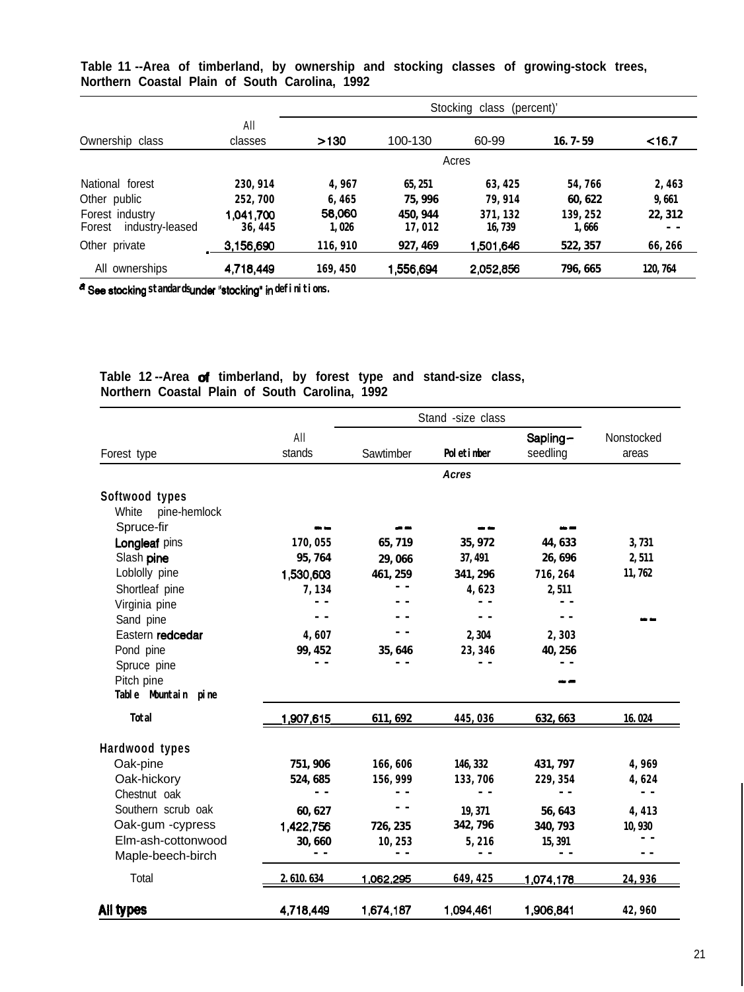|                                              |                      | Stocking class (percent)' |                   |                    |                  |          |  |  |
|----------------------------------------------|----------------------|---------------------------|-------------------|--------------------|------------------|----------|--|--|
| Ownership class                              | All<br>classes       | >130                      | 100-130           | 60-99              | $16.7 - 59$      | $<$ 16.7 |  |  |
|                                              |                      |                           |                   | Acres              |                  |          |  |  |
| National forest                              | 230, 914             | 4,967                     | 65, 251           | 63, 425            | 54.766           | 2,463    |  |  |
| Other public                                 | 252.700              | 6,465                     | 75.996            | 79.914             | 60.622           | 9.661    |  |  |
| Forest industry<br>industry-leased<br>Forest | 1,041.700<br>36, 445 | 58,060<br>1.026           | 450.944<br>17,012 | 371.132<br>16, 739 | 139.252<br>1.666 | 22, 312  |  |  |
| Other private                                | 3,156,690            | 116,910                   | 927, 469          | 1.501.646          | 522, 357         | 66,266   |  |  |
| All ownerships                               | 4,718,449            | 169, 450                  | <b>1,556,694</b>  | 2,052,856          | 796, 665         | 120, 764 |  |  |

**Table 11 --Area of timberland, by ownership and stocking classes of growing-stock trees, Northern Coastal Plain of South Carolina, 1992**

a See stocking standards under "stocking" in definitions.

# **Table 12 --Area of timberland, by forest type and stand-size class, Northern Coastal Plain of South Carolina, 1992**

|                       | All           |           |               | Sapling-  | Nonstocked |
|-----------------------|---------------|-----------|---------------|-----------|------------|
| Forest type           | stands        | Sawtimber | Poletinber    | seedling  | areas      |
|                       |               |           | Acres         |           |            |
| Softwood types        |               |           |               |           |            |
| White<br>pine-hemlock |               |           |               |           |            |
| Spruce-fir            |               |           |               |           |            |
| Longleaf pins         | 170,055       | 65, 719   | 35, 972       | 44, 633   | 3,731      |
| Slash pine            | 95,764        | 29,066    | 37, 491       | 26,696    | 2,511      |
| Loblolly pine         | 1,530,603     | 461, 259  | 341, 296      | 716, 264  | 11,762     |
| Shortleaf pine        | 7,134         | - -       | 4,623         | 2,511     |            |
| Virginia pine         |               |           | - -           |           |            |
| Sand pine             |               |           | $ -$          |           |            |
| Eastern redcedar      | 4,607         | - -       | 2,304         | 2,303     |            |
| Pond pine             | 99, 452       | 35, 646   | 23, 346       | 40, 256   |            |
| Spruce pine           |               |           |               |           |            |
| Pitch pine            |               |           |               |           |            |
| Table Muntain pine    |               |           |               |           |            |
| <b>Total</b>          | 1,907,615     | 611, 692  | 445,036       | 632, 663  | 16.024     |
| Hardwood types        |               |           |               |           |            |
| Oak-pine              | 751, 906      | 166,606   | 146, 332      | 431, 797  | 4,969      |
| Oak-hickory           | 524, 685      | 156, 999  | 133,706       | 229, 354  | 4,624      |
| Chestnut oak          |               |           | $\sim$ $\sim$ | $ -$      | $ -$       |
| Southern scrub oak    | 60, 627       | - -       | 19, 371       | 56, 643   | 4,413      |
| Oak-gum -cypress      | 1,422,756     | 726, 235  | 342, 796      | 340, 793  | 10,930     |
| Elm-ash-cottonwood    | 30,660        | 10,253    | 5,216         | 15, 391   |            |
| Maple-beech-birch     | $\sim$ $\sim$ |           | $\sim$ $\sim$ |           |            |
| Total                 | 2.610.634     | 1.062.295 | 649.425       | 1,074,178 | 24.936     |
| All types             | 4,718,449     | 1,674,187 | 1,094,461     | 1,906,841 | 42,960     |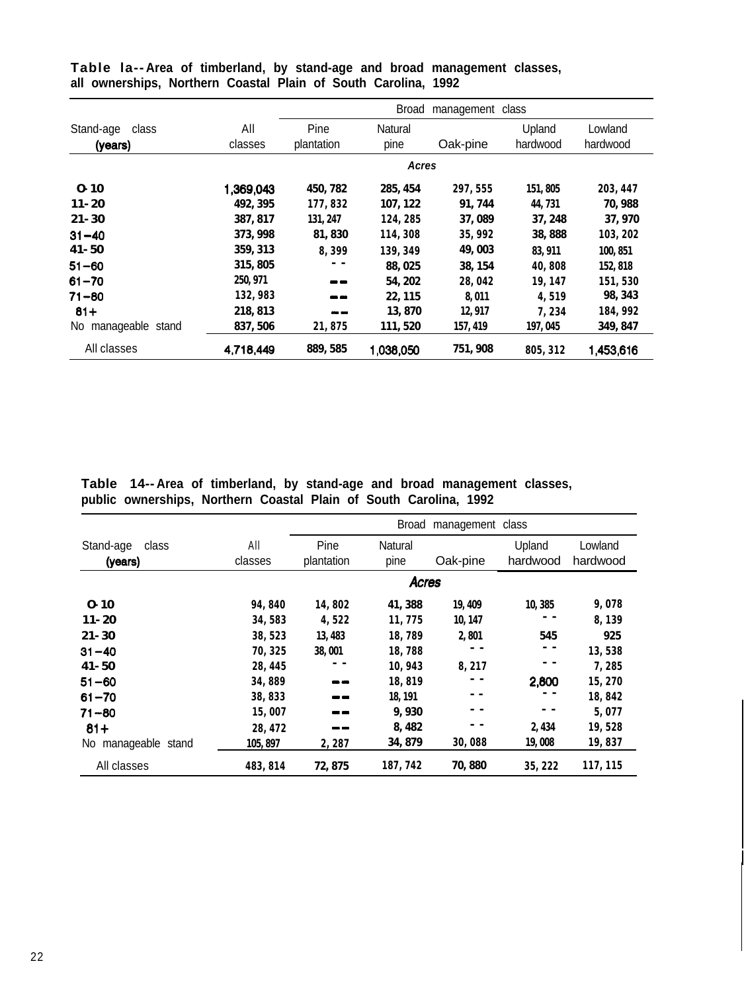|                               |                |                    | Broad           | management class |                    |                     |
|-------------------------------|----------------|--------------------|-----------------|------------------|--------------------|---------------------|
| Stand-age<br>class<br>(years) | All<br>classes | Pine<br>plantation | Natural<br>pine | Oak-pine         | Upland<br>hardwood | Lowland<br>hardwood |
|                               |                |                    | Acres           |                  |                    |                     |
| $0 - 10$                      | 1,369,043      | 450, 782           | 285, 454        | 297, 555         | 151,805            | 203, 447            |
| $11 - 20$                     | 492, 395       | 177, 832           | 107, 122        | 91, 744          | 44, 731            | 70, 988             |
| $21 - 30$                     | 387, 817       | 131, 247           | 124, 285        | 37,089           | 37, 248            | 37,970              |
| $31 - 40$                     | 373, 998       | 81,830             | 114,308         | 35, 992          | 38,888             | 103, 202            |
| $41 - 50$                     | 359, 313       | 8.399              | 139, 349        | 49,003           | 83, 911            | 100, 851            |
| $51 - 60$                     | 315, 805       | - -                | 88, 025         | 38, 154          | 40,808             | 152, 818            |
| $61 - 70$                     | 250, 971       | --                 | 54, 202         | 28,042           | 19, 147            | 151,530             |
| $71 - 80$                     | 132,983        | --                 | 22, 115         | 8.011            | 4,519              | 98, 343             |
| $81 +$                        | 218, 813       |                    | 13,870          | 12, 917          | 7,234              | 184, 992            |
| manageable stand<br>No.       | 837, 506       | 21,875             | 111, 520        | 157, 419         | 197,045            | 349, 847            |
| All classes                   | 4,718,449      | 889, 585           | 1,038,050       | 751, 908         | 805, 312           | 1,453,616           |

**Table la-- Area of timberland, by stand-age and broad management classes, all ownerships, Northern Coastal Plain of South Carolina, 1992**

**Table 14-- Area of timberland, by stand-age and broad management classes, public ownerships, Northern Coastal Plain of South Carolina, 1992**

|                               |                | Broad management class |                 |          |                    |                     |  |  |
|-------------------------------|----------------|------------------------|-----------------|----------|--------------------|---------------------|--|--|
| Stand-age<br>class<br>(years) | All<br>classes | Pine<br>plantation     | Natural<br>pine | Oak-pine | Upland<br>hardwood | Lowland<br>hardwood |  |  |
|                               |                |                        | <b>Acres</b>    |          |                    |                     |  |  |
| $0 - 10$                      | 94,840         | 14,802                 | 41, 388         | 19, 409  | 10,385             | 9,078               |  |  |
| $11 - 20$                     | 34,583         | 4.522                  | 11,775          | 10, 147  |                    | 8,139               |  |  |
| $21 - 30$                     | 38, 523        | 13, 483                | 18,789          | 2,801    | 545                | 925                 |  |  |
| $31 - 40$                     | 70, 325        | 38.001                 | 18,788          |          |                    | 13,538              |  |  |
| 41-50                         | 28, 445        |                        | 10,943          | 8,217    |                    | 7,285               |  |  |
| $51 - 60$                     | 34,889         | --                     | 18,819          |          | 2,800              | 15,270              |  |  |
| $61 - 70$                     | 38,833         | $ -$                   | 18.191          |          |                    | 18,842              |  |  |
| $71 - 80$                     | 15,007         | --                     | 9,930           |          |                    | 5,077               |  |  |
| $81+$                         | 28, 472        |                        | 8, 482          |          | 2, 434             | 19,528              |  |  |
| manageable stand<br>No.       | 105, 897       | 2,287                  | 34, 879         | 30,088   | 19,008             | 19,837              |  |  |
| All classes                   | 483.814        | 72.875                 | 187, 742        | 70,880   | 35, 222            | 117, 115            |  |  |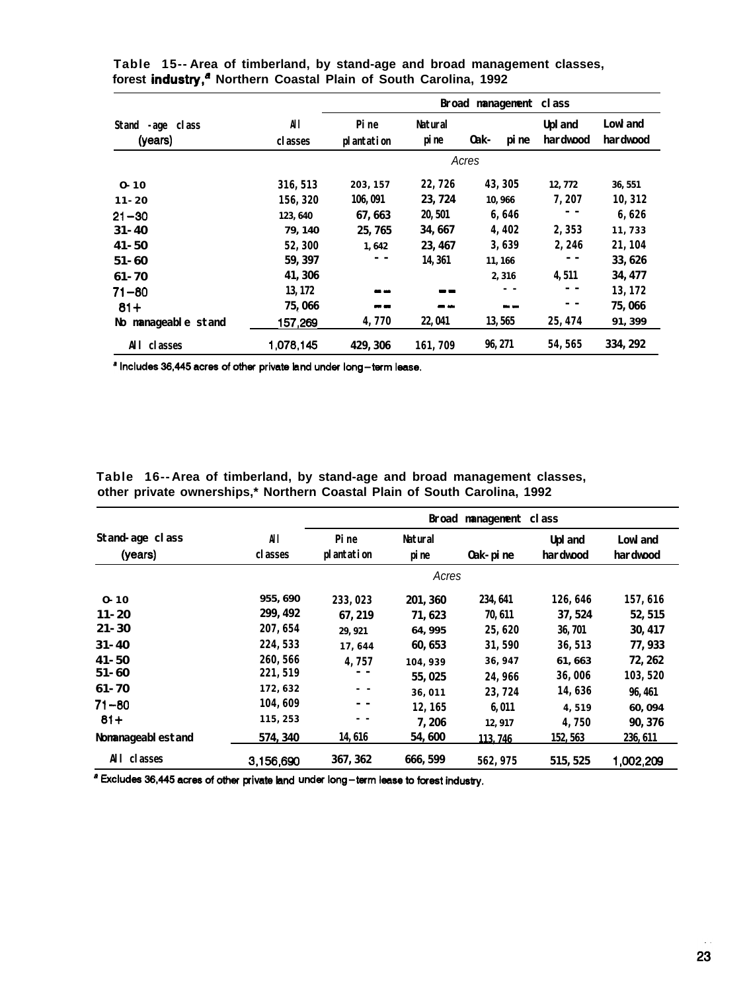|                                |                |                    |                  | <b>Broad management class</b> |                            |                             |
|--------------------------------|----------------|--------------------|------------------|-------------------------------|----------------------------|-----------------------------|
| Stand<br>-age class<br>(years) | All<br>classes | Pine<br>plantation | Natural<br>pi ne | 0ak-<br>pi ne                 | <b>Upl</b> and<br>hardwood | <b>Lowl</b> and<br>hardwood |
|                                |                |                    |                  | Acres                         |                            |                             |
| $0 - 10$                       | 316, 513       | 203, 157           | 22,726           | 43.305                        | 12, 772                    | 36, 551                     |
| $11 - 20$                      | 156.320        | 106, 091           | 23, 724          | 10,966                        | 7,207                      | 10, 312                     |
| $21 - 30$                      | 123, 640       | 67, 663            | 20, 501          | 6,646                         | - -                        | 6,626                       |
| $31 - 40$                      | 79, 140        | 25, 765            | 34, 667          | 4,402                         | 2,353                      | 11,733                      |
| $41 - 50$                      | 52,300         | 1,642              | 23.467           | 3,639                         | 2,246                      | 21, 104                     |
| $51 - 60$                      | 59, 397        |                    | 14, 361          | 11, 166                       |                            | 33, 626                     |
| 61-70                          | 41, 306        |                    |                  | 2,316                         | 4, 511                     | 34, 477                     |
| $71 - 80$                      | 13, 172        | - -                | $\blacksquare$   |                               | $ -$                       | 13, 172                     |
| $81 +$                         | 75,066         |                    | - -              | --                            | - -                        | 75,066                      |
| No manageable stand            | 157,269        | 4,770              | 22, 041          | 13, 565                       | 25, 474                    | 91, 399                     |
| classes<br>All                 | 1,078,145      | 429, 306           | 161,709          | 96, 271                       | 54, 565                    | 334, 292                    |

**Table 15-- Area of timberland, by stand-age and broad management classes,** forest industry,<sup>a</sup> Northern Coastal Plain of South Carolina, 1992

a Includes 36,445 acres of other private land under long-term lease.

**Table 16-- Area of timberland, by stand-age and broad management classes, other private ownerships,\* Northern Coastal Plain of South Carolina, 1992**

| Stand-age class<br>(years) | All<br>classes | Pine<br>plantation | Natural<br>pi ne | Oak-pine | <b>Upl</b> and<br>hardwood | <b>Lowl</b> and<br>hardwood |
|----------------------------|----------------|--------------------|------------------|----------|----------------------------|-----------------------------|
|                            |                |                    | Acres            |          |                            |                             |
| $0 - 10$                   | 955, 690       | 233.023            | 201, 360         | 234, 641 | 126,646                    | 157,616                     |
| $11 - 20$                  | 299, 492       | 67, 219            | 71.623           | 70, 611  | 37, 524                    | 52, 515                     |
| $21 - 30$                  | 207, 654       | 29, 921            | 64, 995          | 25,620   | 36, 701                    | 30, 417                     |
| $31 - 40$                  | 224, 533       | 17,644             | 60, 653          | 31,590   | 36, 513                    | 77, 933                     |
| $41 - 50$                  | 260, 566       | 4,757              | 104, 939         | 36, 947  | 61, 663                    | 72, 262                     |
| $51 - 60$                  | 221, 519       | - -                | 55, 025          | 24.966   | 36,006                     | 103, 520                    |
| 61-70                      | 172,632        | - -                | 36,011           | 23,724   | 14,636                     | 96.461                      |
| $71 - 80$                  | 104,609        | $ -$               | 12.165           | 6.011    | 4,519                      | 60, 094                     |
| $81+$                      | 115, 253       | - -                | 7,206            | 12, 917  | 4,750                      | 90, 376                     |
| Nomanageablestand          | 574, 340       | 14, 616            | 54,600           | 113.746  | 152, 563                   | 236, 611                    |
| All classes                | 3,156,690      | 367, 362           | 666, 599         | 562, 975 | 515, 525                   | 1,002,209                   |

**aExcludes36,445acresofother privateland under long-tsrmleasetoforestindustry.**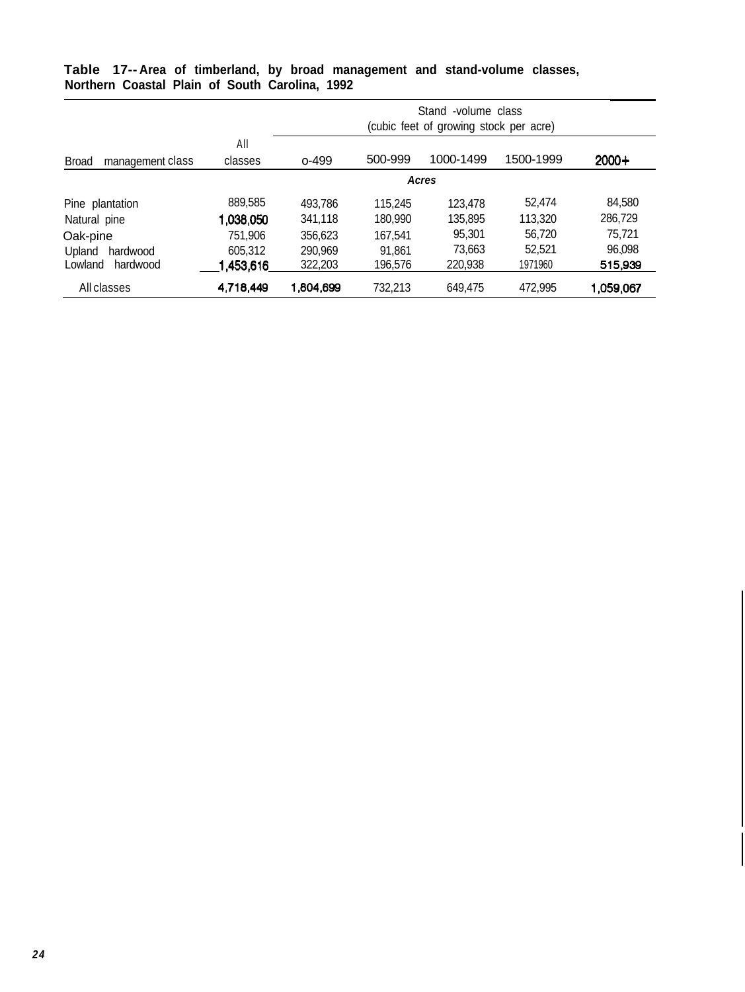|                                  |                | Stand<br>-volume class<br>(cubic feet of growing stock per acre) |         |           |           |           |  |
|----------------------------------|----------------|------------------------------------------------------------------|---------|-----------|-----------|-----------|--|
| <b>Broad</b><br>management class | All<br>classes | $0 - 499$                                                        | 500-999 | 1000-1499 | 1500-1999 | $2000+$   |  |
|                                  |                |                                                                  |         | Acres     |           |           |  |
| Pine plantation                  | 889,585        | 493,786                                                          | 115.245 | 123.478   | 52.474    | 84,580    |  |
| Natural pine                     | 1,038,050      | 341.118                                                          | 180.990 | 135,895   | 113.320   | 286,729   |  |
| Oak-pine                         | 751.906        | 356,623                                                          | 167.541 | 95.301    | 56.720    | 75.721    |  |
| Upland<br>hardwood               | 605.312        | 290,969                                                          | 91.861  | 73,663    | 52,521    | 96.098    |  |
| Lowland<br>hardwood              | 1,453,616      | 322,203                                                          | 196.576 | 220,938   | 1971960   | 515,939   |  |
| All classes                      | 4,718,449      | 1,804,699                                                        | 732,213 | 649.475   | 472.995   | 1,059,067 |  |

#### **Table 17-- Area of timberland, by broad management and stand-volume classes, Northern Coastal Plain of South Carolina, 1992**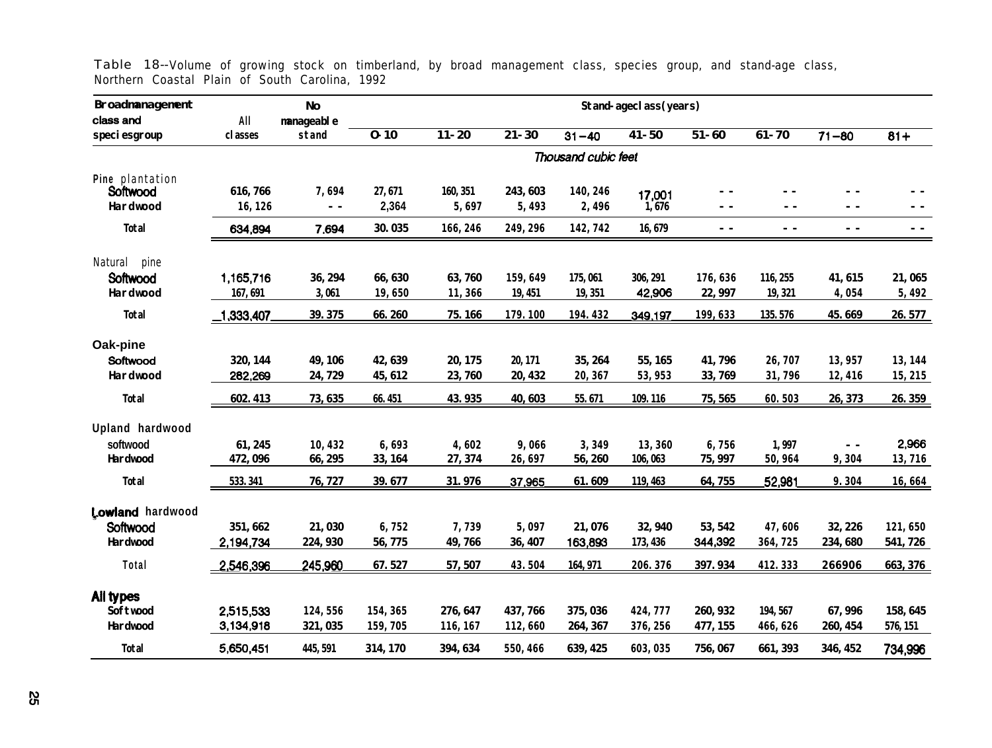| <b>Broadmanagement</b>    |                | <b>No</b>           |                                           | <b>Stand-ageclass(years)</b> |           |                     |           |               |           |               |            |  |  |
|---------------------------|----------------|---------------------|-------------------------------------------|------------------------------|-----------|---------------------|-----------|---------------|-----------|---------------|------------|--|--|
| class and<br>speciesgroup | All<br>classes | nanageable<br>stand | $\overline{\mathbf{0} \cdot \mathbf{10}}$ | $11 - 20$                    | $21 - 30$ | $31 - 40$           | $41 - 50$ | $51 - 60$     | $61 - 70$ | $71 - 80$     | $81+$      |  |  |
|                           |                |                     |                                           |                              |           | Thousand cubic feet |           |               |           |               |            |  |  |
| Pine plantation           |                |                     |                                           |                              |           |                     |           |               |           |               |            |  |  |
| Softwood                  | 616,766        | 7,694               | 27,671                                    | 160, 351                     | 243, 603  | 140, 246            | 17,001    |               |           |               |            |  |  |
| Hardwood                  | 16, 126        | $ -$                | 2,364                                     | 5,697                        | 5,493     | 2,496               | 1,676     | - -           |           | $ -$          | $ -$       |  |  |
| <b>Total</b>              | 634,894        | 7,694               | 30.035                                    | 166, 246                     | 249, 296  | 142, 742            | 16,679    | $\sim$ $\sim$ | $ -$      | $\sim$ $-$    | $\sim$ $-$ |  |  |
| Natural<br>pine           |                |                     |                                           |                              |           |                     |           |               |           |               |            |  |  |
| Softwood                  | 1,165,716      | 36, 294             | 66, 630                                   | 63,760                       | 159,649   | 175,061             | 306, 291  | 176,636       | 116, 255  | 41,615        | 21,065     |  |  |
| Hardwood                  | 167, 691       | 3,061               | 19,650                                    | 11,366                       | 19, 451   | 19, 351             | 42,906    | 22, 997       | 19, 321   | 4,054         | 5,492      |  |  |
| <b>Total</b>              | $\_1,333,407$  | 39.375              | 66.260                                    | 75.166                       | 179.100   | 194.432             | 349,197   | 199, 633      | 135.576   | 45.669        | 26.577     |  |  |
| Oak-pine                  |                |                     |                                           |                              |           |                     |           |               |           |               |            |  |  |
| Softwood                  | 320, 144       | 49, 106             | 42,639                                    | 20, 175                      | 20, 171   | 35, 264             | 55, 165   | 41,796        | 26,707    | 13,957        | 13, 144    |  |  |
| Hardwood                  | 282,269        | 24,729              | 45, 612                                   | 23,760                       | 20, 432   | 20, 367             | 53, 953   | 33,769        | 31,796    | 12,416        | 15,215     |  |  |
| <b>Total</b>              | 602.413        | 73, 635             | 66.451                                    | 43.935                       | 40,603    | 55.671              | 109.116   | 75, 565       | 60.503    | 26, 373       | 26.359     |  |  |
| Upland hardwood           |                |                     |                                           |                              |           |                     |           |               |           |               |            |  |  |
| softwood                  | 61, 245        | 10,432              | 6,693                                     | 4,602                        | 9,066     | 3,349               | 13,360    | 6,756         | 1,997     | $\sim$ $\sim$ | 2,966      |  |  |
| <b>Hardwood</b>           | 472,096        | 66, 295             | 33, 164                                   | 27, 374                      | 26,697    | 56, 260             | 106,063   | 75, 997       | 50,964    | 9,304         | 13,716     |  |  |
| <b>Total</b>              | 533.341        | 76, 727             | 39.677                                    | 31.976                       | 37,965    | 61.609              | 119, 463  | 64,755        | 52,981    | 9.304         | 16,664     |  |  |
| Lowland hardwood          |                |                     |                                           |                              |           |                     |           |               |           |               |            |  |  |
| Softwood                  | 351, 662       | 21,030              | 6,752                                     | 7,739                        | 5,097     | 21,076              | 32, 940   | 53, 542       | 47,606    | 32, 226       | 121,650    |  |  |
| <b>Hardwood</b>           | 2,194,734      | 224, 930            | 56,775                                    | 49,766                       | 36, 407   | 163,893             | 173, 436  | 344,392       | 364,725   | 234,680       | 541,726    |  |  |
| Total                     | 2,546,396      | 245,960             | 67.527                                    | 57,507                       | 43.504    | 164, 971            | 206.376   | 397.934       | 412.333   | 266906        | 663, 376   |  |  |
|                           |                |                     |                                           |                              |           |                     |           |               |           |               |            |  |  |
| All types                 |                |                     |                                           |                              |           |                     |           |               |           |               |            |  |  |
| <b>Softwood</b>           | 2,515,533      | 124,556             | 154, 365                                  | 276, 647                     | 437, 766  | 375, 036            | 424, 777  | 260, 932      | 194, 567  | 67, 996       | 158, 645   |  |  |
| <b>Hardwood</b>           | 3,134,918      | 321, 035            | 159,705                                   | 116, 167                     | 112,660   | 264, 367            | 376, 256  | 477, 155      | 466, 626  | 260, 454      | 576, 151   |  |  |
| <b>Total</b>              | 5,650,451      | 445, 591            | 314, 170                                  | 394, 634                     | 550, 466  | 639, 425            | 603, 035  | 756, 067      | 661, 393  | 346, 452      | 734,996    |  |  |

Table 18--Volume of growing stock on timberland, by broad management class, species group, and stand-age class, Northern Coastal Plain of South Carolina, 1992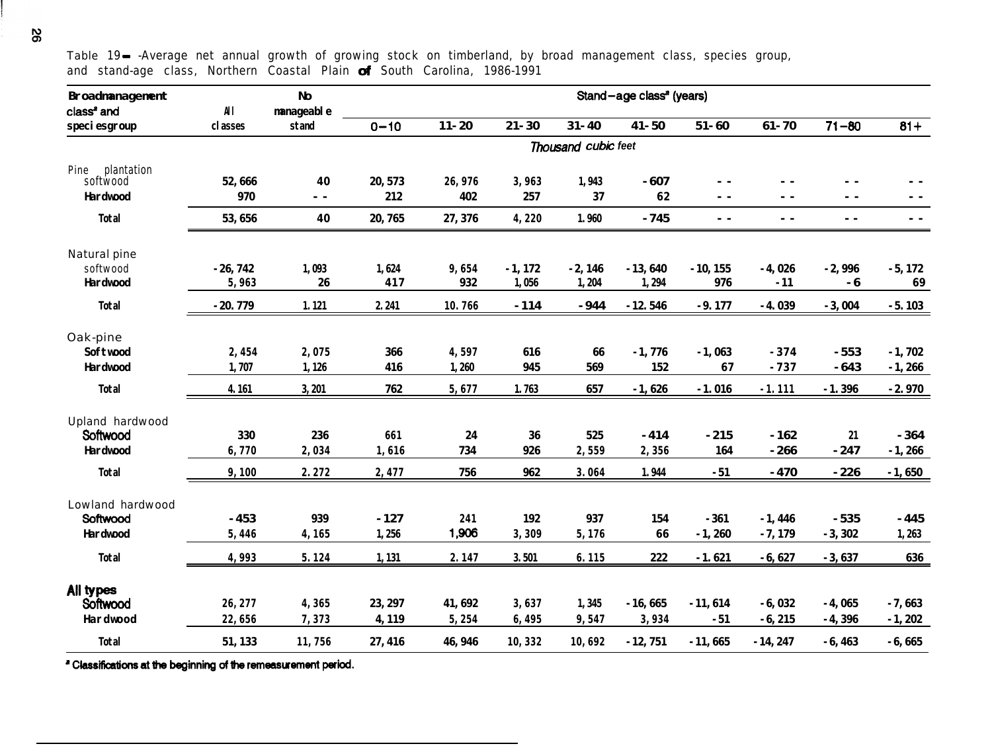**Broadmanagement** class<sup>a</sup> and **speciesgroup No Stand-age class<sup>2</sup> (years) All manageable classes stand O-10 11-20 21-30 31-40 41-50 51-60 61-70 71-60 61+** *Thousand cubk feet* Pine plantation softwood **Hardwood Total 52,666 40 20,573 26,976 3,963 1,943 -607 - - - - - - - - 970 - - 212 402 257 37 62 - - - - - - - - 53,656 40 20,765 27,376 4,220 1.960 -745 - - - - - - - -** Natural pine softwood **Hardwood Total -26,742 1,093 1,624 9,654 -1,172 -2,146 -13,640 -10,155 -4,026 -2,996 -5,172 5,963 26 417 932 1,056 1,204 1,294 976 -11 -6 69 -20.779 1.121 2.241 10.766 -114 -944 -12.546 -9.177 -4.039 -3,004 -5.103** Oak-pine **Softwood Hardwood Total 2,454 2,075 366 4,597 616 66 -1,776 -1,063 -374 -553 -1,702 1,707 1,126 416 1,260 945 569 152 67 -737 -643 -1,266 4.161 3,201 762 5,677 1.763 657 -1,626 -1.016 -1.111 -1.396 -2.970** Upland hardwood Softwood **Hardwood Total 330 236 <sup>661</sup> 24 36 525 -414 -215 -162 <sup>21</sup> -364 6,770 2,034 1,616 734 926 2,559 2,356 164 -266 -247 -1,266 9,100 2.272 2,477 756 962 3.064 1.944 -51 -470 -226 -1,650** Lowland hardwood Softwood **Hardwood Total -453 939 -127 <sup>241</sup> 192 937 154 -361 -1,446 -535 -445 5,446 4,165 1,256 1,906 3,309 5,176 66 -1,260 -7,179 -3,302 1,263 4,993 5.124 1,131 2.147 3.501 6.115 222 -1.621 -6,627 -3,637 636** AlI types softwood **26,277 4,365 23,297 41,692 3,637 1,345 -16,665 -11,614 -6,032 -4,065 -7,663 Hardwood 22,656 7,373 4,119 5,254 6,495 9,547 3,934 -51 -6,215 -4,396 -1,202 Total 51,133 11,756 27,416 46,946 10,332 10,692 -12,751 -11,665 -14,247 -6,463 -6,665**

Table 19- -Average net annual growth of growing stock on timberland, by broad management class, species group, and stand-age class, Northern Coastal Plain of South Carolina, 1986-1991

<sup>a</sup> Classifications at the beginning of the remeasurement period.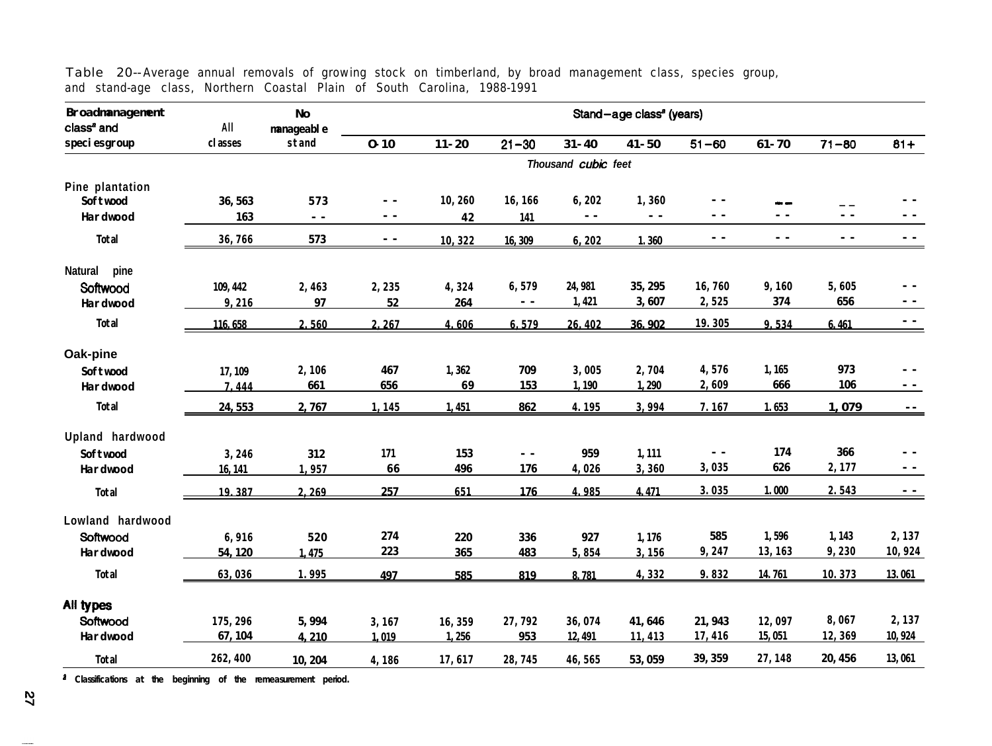| <b>Broadmanagement</b><br>class <sup>a</sup> and | All      | <b>No</b><br>manageable |            |           |           |                     | Stand-age class <sup>a</sup> (years) |                                          |           |               |               |
|--------------------------------------------------|----------|-------------------------|------------|-----------|-----------|---------------------|--------------------------------------|------------------------------------------|-----------|---------------|---------------|
| speciesgroup                                     | classes  | stand                   | $0 - 10$   | $11 - 20$ | $21 - 30$ | $31 - 40$           | $41 - 50$                            | $51 - 60$                                | $61 - 70$ | $71 - 80$     | $81+$         |
|                                                  |          |                         |            |           |           | Thousand cubic feet |                                      |                                          |           |               |               |
| Pine plantation                                  |          |                         |            |           |           |                     |                                      |                                          |           |               |               |
| Softwood                                         | 36, 563  | 573                     | $ -$       | 10,260    | 16, 166   | 6,202               | 1,360                                | - -                                      |           | $-$           |               |
| Hardwood                                         | 163      | $\sim$ $\sim$           | $ -$       | 42        | 141       | $\sim$ $-$          | $\sim$ $-$                           | $ -$                                     | $ -$      | $\sim$ $\sim$ | $\sim$ $\sim$ |
| <b>Total</b>                                     | 36,766   | 573                     | $\sim$ $-$ | 10,322    | 16,309    | 6, 202              | 1.360                                | $\frac{1}{2} \left( \frac{1}{2} \right)$ | $ -$      | $\sim$ $\sim$ | $\sim$ $-$    |
| pine<br><b>Natural</b>                           |          |                         |            |           |           |                     |                                      |                                          |           |               |               |
| Softwood                                         | 109, 442 | 2,463                   | 2,235      | 4,324     | 6,579     | 24, 981             | 35, 295                              | 16,760                                   | 9,160     | 5,605         | $ -$          |
| Hardwood                                         | 9,216    | 97                      | 52         | 264       | $ -$      | 1,421               | 3,607                                | 2,525                                    | 374       | 656           | $\sim$ $-$    |
| <b>Total</b>                                     | 116, 658 | 2.560                   | 2,267      | 4.606     | 6.579     | 26,402              | 36.902                               | 19.305                                   | 9.534     | 6.461         |               |
| Oak-pine                                         |          |                         |            |           |           |                     |                                      |                                          |           |               |               |
| <b>Softwood</b>                                  | 17, 109  | 2,106                   | 467        | 1,362     | 709       | 3,005               | 2,704                                | 4,576                                    | 1, 165    | 973           | $\sim$ $-$    |
| Hardwood                                         | 7.444    | 661                     | 656        | 69        | 153       | 1,190               | 1,290                                | 2,609                                    | 666       | <b>106</b>    | $\sim$ $-$    |
| <b>Total</b>                                     | 24, 553  | 2,767                   | 1,145      | 1,451     | 862       | 4.195               | 3,994                                | 7.167                                    | 1.653     | 1,079         | $ -$          |
| Upland hardwood                                  |          |                         |            |           |           |                     |                                      |                                          |           |               |               |
| <b>Softwood</b>                                  | 3,246    | 312                     | 171        | 153       | $ -$      | 959                 | 1,111                                | - -                                      | 174       | 366           | - -           |
| <b>Hardwood</b>                                  | 16, 141  | 1,957                   | 66         | 496       | 176       | 4,026               | 3,360                                | 3,035                                    | 626       | 2,177         | $ -$          |
| <b>Total</b>                                     | 19.387   | 2.269                   | 257        | 651       | 176       | 4.985               | 4.471                                | 3.035                                    | 1.000     | 2.543         | $\sim$ $-$    |
| Lowland hardwood                                 |          |                         |            |           |           |                     |                                      |                                          |           |               |               |
| Softwood                                         | 6,916    | 520                     | 274        | 220       | 336       | 927                 | 1,176                                | 585                                      | 1,596     | 1,143         | 2,137         |
| <b>Hardwood</b>                                  | 54, 120  | 1.475                   | 223        | 365       | 483       | 5,854               | 3.156                                | 9,247                                    | 13, 163   | 9,230         | 10,924        |
| Total                                            | 63,036   | 1.995                   | 497        | 585       | 819       | 8.781               | 4,332                                | 9.832                                    | 14.761    | 10.373        | 13.061        |
| All types                                        |          |                         |            |           |           |                     |                                      |                                          |           |               |               |
| Softwood                                         | 175, 296 | 5,994                   | 3,167      | 16, 359   | 27,792    | 36,074              | 41,646                               | 21, 943                                  | 12,097    | 8,067         | 2,137         |
| <b>Hardwood</b>                                  | 67, 104  | 4.210                   | 1.019      | 1,256     | 953       | 12, 491             | 11,413                               | 17,416                                   | 15,051    | 12,369        | 10, 924       |
| <b>Total</b>                                     | 262, 400 | 10, 204                 | 4,186      | 17,617    | 28,745    | 46,565              | 53, 059                              | 39, 359                                  | 27, 148   | 20, 456       | 13,061        |

Table 20-- Average annual removals of growing stock on timberland, by broad management class, species group, and stand-age class, Northern Coastal Plain of South Carolina, 1988-1991

**a Classifications at the beginning of the remeasurement period.**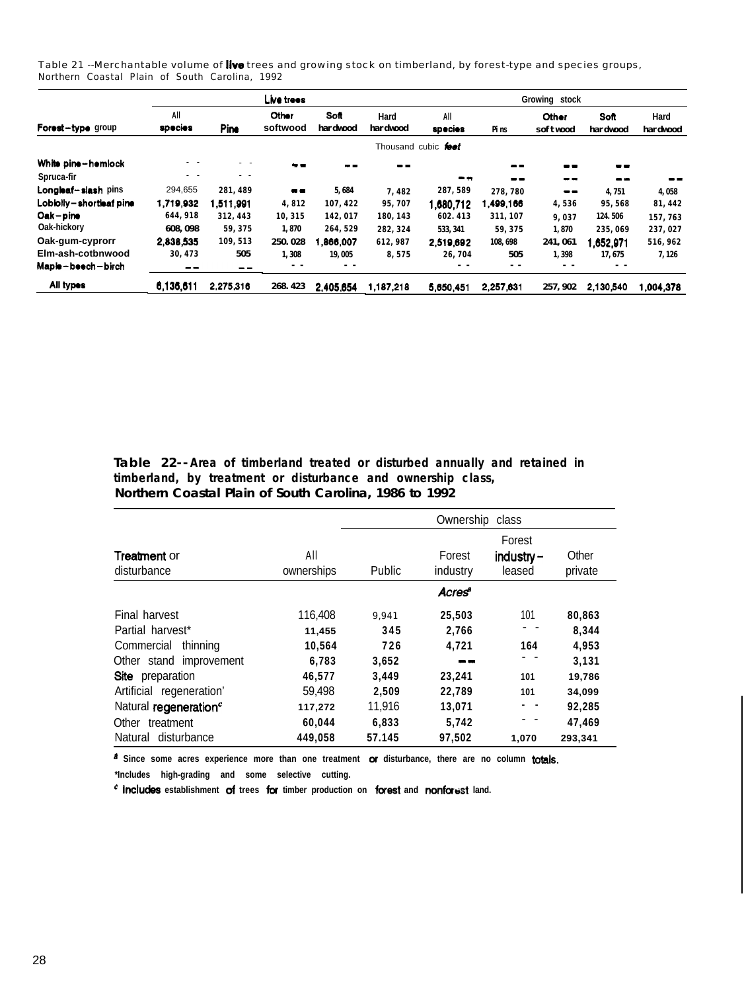Table 21 --Merchantable volume of live trees and growing stock on timberland, by forest-type and species groups, Northern Coastal Plain of South Carolina, 1992

|                         |                |             | Live trees        |                  |                     | Growing stock       |           |                     |                  |                  |  |
|-------------------------|----------------|-------------|-------------------|------------------|---------------------|---------------------|-----------|---------------------|------------------|------------------|--|
| Forest-type group       | All<br>species | <b>Pine</b> | Other<br>softwood | Soft<br>hardwood | Hard<br>hardwood    | All<br>species      | Pins      | Other<br>softwood   | Soft<br>hardwood | Hard<br>hardwood |  |
|                         |                |             |                   |                  |                     | Thousand cubic feet |           |                     |                  |                  |  |
| White pine-hemlock      | - -            | $ -$        | $\sim -$          | --               | $\bullet$ $\bullet$ |                     | $- -$     | $\bullet$ $\bullet$ | $\bullet$        |                  |  |
| Spruca-fir              | $ -$           | . .         |                   |                  |                     | - -                 | --        | --                  | --               | --               |  |
| Longleaf-slash pins     | 294,655        | 281.489     | $\blacksquare$    | 5,684            | 7,482               | 287, 589            | 278,780   | $- -$               | 4,751            | 4,058            |  |
| Lobiolly-shortleaf pine | 1.719.932      | 1,511,991   | 4.812             | 107.422          | 95,707              | 1,680,712           | .499,166  | 4,536               | 95,568           | 81, 442          |  |
| Oak-pine                | 644, 918       | 312, 443    | 10,315            | 142,017          | 180, 143            | 602.413             | 311, 107  | 9.037               | 124.506          | 157,763          |  |
| Oak-hickory             | 608, 098       | 59, 375     | 1.870             | 264, 529         | 282.324             | 533, 341            | 59.375    | 1,870               | 235,069          | 237,027          |  |
| Oak-gum-cyprorr         | 2.838.535      | 109, 513    | 250.028           | 1,866,007        | 612,987             | 2.519.692           | 108, 698  | 241,061             | 652.971,         | 516,962          |  |
| Elm-ash-cotbnwood       | 30, 473        | 505         | 1.308             | 19,005           | 8.575               | 26,704              | 505       | 1,398               | 17, 675          | 7, 126           |  |
| Maple-beech-birch       |                | $- -$       | - -               | - -              |                     |                     | $ -$      |                     | $ -$             |                  |  |
| All types               | 6,136,611      | 2,275,316   | 268, 423          | 2.405.654        | 1,187,218           | 5,650,451           | 2,257,631 | 257, 902            | 2,130,540        | ,004,378         |  |

**Table 22-- Area of timberland treated or disturbed annually and retained in timberland, by treatment or disturbance and ownership class, Northern Coastal Plain of South Carolina, 1986 to 1992**

|                                    |                   | Ownership<br>class |                    |                                  |                  |  |  |  |  |  |  |
|------------------------------------|-------------------|--------------------|--------------------|----------------------------------|------------------|--|--|--|--|--|--|
| <b>Treatment or</b><br>disturbance | All<br>ownerships | Public             | Forest<br>industry | Forest<br>$industry -$<br>leased | Other<br>private |  |  |  |  |  |  |
|                                    |                   |                    | Acres              |                                  |                  |  |  |  |  |  |  |
| Final harvest                      | 116,408           | 9.941              | 25,503             | 101                              | 80.863           |  |  |  |  |  |  |
| Partial harvest*                   | 11,455            | 345                | 2.766              |                                  | 8.344            |  |  |  |  |  |  |
| Commercial<br>thinning             | 10.564            | 726                | 4.721              | 164                              | 4,953            |  |  |  |  |  |  |
| Other stand improvement            | 6.783             | 3,652              |                    |                                  | 3,131            |  |  |  |  |  |  |
| Site preparation                   | 46,577            | 3.449              | 23,241             | 101                              | 19,786           |  |  |  |  |  |  |
| Artificial regeneration'           | 59,498            | 2,509              | 22,789             | 101                              | 34,099           |  |  |  |  |  |  |
| Natural regeneration <sup>c</sup>  | 117,272           | 11,916             | 13.071             | . .                              | 92,285           |  |  |  |  |  |  |
| Other treatment                    | 60,044            | 6,833              | 5,742              |                                  | 47,469           |  |  |  |  |  |  |
| Natural disturbance                | 449.058           | 57.145             | 97.502             | 1,070                            | 293,341          |  |  |  |  |  |  |

**a Since some acres experience more than one treatment OT disturbance, there are no column totals. \*Includes high-grading and some selective cutting.**

<sup>c</sup> **includes** establishment of trees for timber production on forest and nonforest land.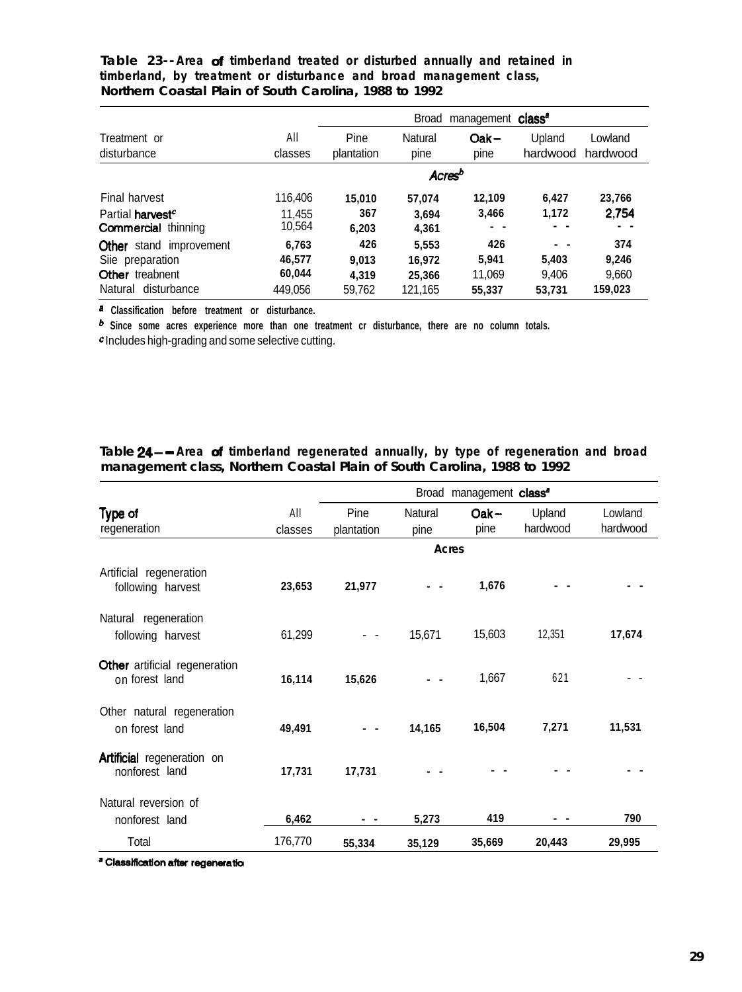|                                                                          |                           | management class <sup>®</sup><br><b>Broad</b> |                    |                  |                    |                     |  |  |  |  |  |
|--------------------------------------------------------------------------|---------------------------|-----------------------------------------------|--------------------|------------------|--------------------|---------------------|--|--|--|--|--|
| Treatment or<br>disturbance                                              | All<br>classes            | Pine<br>plantation                            | Natural<br>pine    | $Oak -$<br>pine  | Upland<br>hardwood | Lowland<br>hardwood |  |  |  |  |  |
|                                                                          |                           |                                               | Acres <sup>b</sup> |                  |                    |                     |  |  |  |  |  |
| Final harvest                                                            | 116,406                   | 15.010                                        | 57.074             | 12,109           | 6,427              | 23,766              |  |  |  |  |  |
| Partial harvest <sup>c</sup><br><b>Commercial thinning</b>               | 11,455<br>10,564          | 367<br>6,203                                  | 3.694<br>4,361     | 3,466            | 1,172              | 2.754               |  |  |  |  |  |
| Other<br>stand improvement<br>Siie preparation<br><b>Other</b> treabnent | 6.763<br>46,577<br>60,044 | 426<br>9.013                                  | 5,553<br>16.972    | 426<br>5,941     | - -<br>5,403       | 374<br>9.246        |  |  |  |  |  |
| disturbance<br>Natural                                                   | 449,056                   | 4.319<br>59,762                               | 25,366<br>121,165  | 11,069<br>55,337 | 9,406<br>53,731    | 9,660<br>159,023    |  |  |  |  |  |

**Table 23-- Area of timberland treated or disturbed annually and retained in timberland, by treatment or disturbance and broad management class, Northern Coastal Plain of South Carolina, 1988 to 1992**

**a Classification before treatment or disturbance.**

**b Since some acres experience more than one treatment cr disturbance, there are no column totals.**

c Includes high-grading and some selective cutting.

|                                                        |         | Broad management class <sup>®</sup> |         |         |          |          |  |  |  |  |
|--------------------------------------------------------|---------|-------------------------------------|---------|---------|----------|----------|--|--|--|--|
| Type of                                                | All     | Pine                                | Natural | $Oak -$ | Upland   | Lowland  |  |  |  |  |
| regeneration                                           | classes | plantation                          | pine    | pine    | hardwood | hardwood |  |  |  |  |
|                                                        |         |                                     | Acres   |         |          |          |  |  |  |  |
| Artificial regeneration<br>following harvest           | 23,653  | 21,977                              |         | 1,676   |          |          |  |  |  |  |
| Natural regeneration<br>following harvest              | 61,299  |                                     | 15,671  | 15,603  | 12,351   | 17,674   |  |  |  |  |
| <b>Other</b> artificial regeneration<br>on forest land | 16,114  | 15,626                              |         | 1,667   | 621      |          |  |  |  |  |
| Other natural regeneration<br>on forest land           | 49,491  |                                     | 14,165  | 16,504  | 7,271    | 11,531   |  |  |  |  |
| <b>Artificial</b> regeneration on<br>nonforest land    | 17,731  | 17,731                              |         |         |          |          |  |  |  |  |
| Natural reversion of                                   |         |                                     |         |         |          |          |  |  |  |  |
| nonforest land                                         | 6,462   |                                     | 5,273   | 419     |          | 790      |  |  |  |  |
| Total                                                  | 176,770 | 55,334                              | 35,129  | 35,669  | 20,443   | 29,995   |  |  |  |  |

**Table 24- - Area of timberland regenerated annually, by type of regeneration and broad management class, Northern Coastal Plain of South Carolina, 1988 to 1992**

<sup>a</sup> Classification after regeneration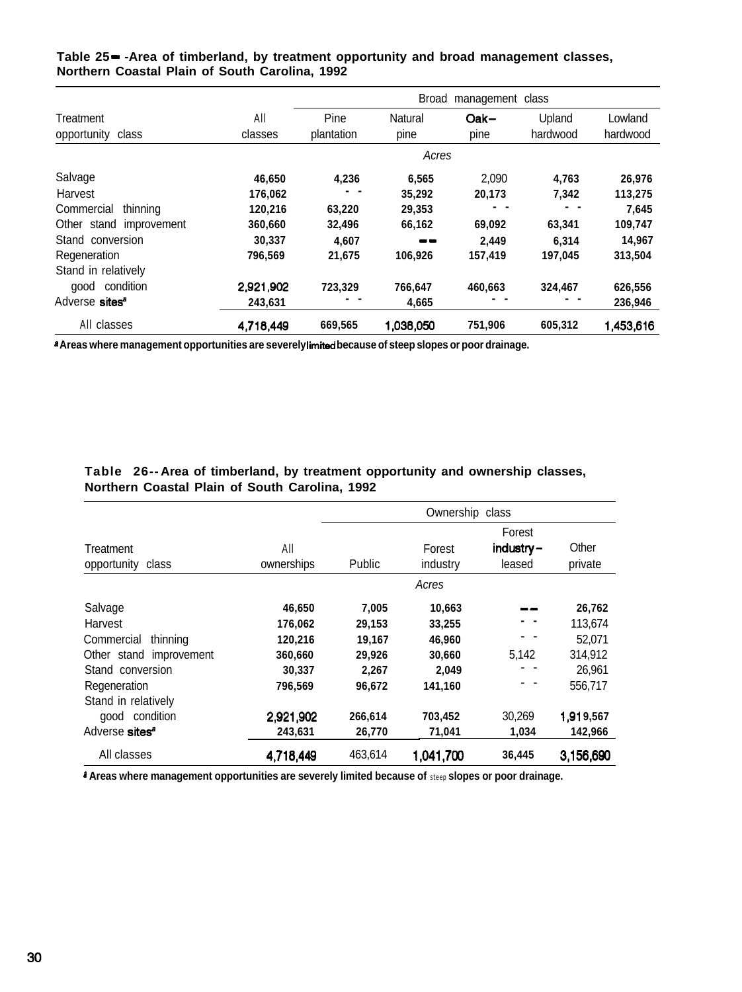|                            | Broad<br>management class |            |           |         |          |           |  |  |  |  |  |  |
|----------------------------|---------------------------|------------|-----------|---------|----------|-----------|--|--|--|--|--|--|
| Treatment                  | All                       | Pine       | Natural   | $Oak -$ | Upland   | Lowland   |  |  |  |  |  |  |
| opportunity<br>class       | classes                   | plantation | pine      | pine    | hardwood | hardwood  |  |  |  |  |  |  |
|                            |                           | Acres      |           |         |          |           |  |  |  |  |  |  |
| Salvage                    | 46,650                    | 4,236      | 6,565     | 2.090   | 4,763    | 26,976    |  |  |  |  |  |  |
| Harvest                    | 176,062                   |            | 35,292    | 20,173  | 7,342    | 113,275   |  |  |  |  |  |  |
| thinning<br>Commercial     | 120,216                   | 63,220     | 29,353    |         |          | 7,645     |  |  |  |  |  |  |
| Other stand improvement    | 360,660                   | 32,496     | 66,162    | 69,092  | 63,341   | 109,747   |  |  |  |  |  |  |
| Stand conversion           | 30,337                    | 4.607      | - -       | 2.449   | 6.314    | 14,967    |  |  |  |  |  |  |
| Regeneration               | 796,569                   | 21,675     | 106,926   | 157,419 | 197,045  | 313,504   |  |  |  |  |  |  |
| Stand in relatively        |                           |            |           |         |          |           |  |  |  |  |  |  |
| good condition             | 2,921,902                 | 723,329    | 766,647   | 460.663 | 324,467  | 626,556   |  |  |  |  |  |  |
| Adverse sites <sup>a</sup> | 243,631                   |            | 4,665     |         |          | 236,946   |  |  |  |  |  |  |
| All classes                | 4,718,449                 | 669,565    | 1,038,050 | 751,906 | 605,312  | 1,453,616 |  |  |  |  |  |  |

**Table 25 - -Area of timberland, by treatment opportunity and broad management classes, Northern Coastal Plain of South Carolina, 1992**

**a Areas where management opportunities are severely limitad because of steep slopes or poor drainage.**

|                            |            |         | Ownership class |              |           |
|----------------------------|------------|---------|-----------------|--------------|-----------|
|                            |            |         |                 | Forest       |           |
| Treatment                  | All        |         | Forest          | $industry -$ | Other     |
| opportunity<br>class       | ownerships | Public  | industry        | leased       | private   |
|                            |            |         | Acres           |              |           |
| Salvage                    | 46,650     | 7,005   | 10,663          |              | 26,762    |
| Harvest                    | 176,062    | 29,153  | 33,255          |              | 113,674   |
| thinning<br>Commercial     | 120,216    | 19,167  | 46,960          |              | 52,071    |
| Other stand improvement    | 360,660    | 29,926  | 30,660          | 5,142        | 314,912   |
| Stand conversion           | 30,337     | 2,267   | 2,049           |              | 26,961    |
| Regeneration               | 796,569    | 96,672  | 141,160         |              | 556,717   |
| Stand in relatively        |            |         |                 |              |           |
| good condition             | 2,921,902  | 266,614 | 703,452         | 30.269       | 1,919,567 |
| Adverse sites <sup>®</sup> | 243,631    | 26,770  | 71,041          | 1,034        | 142,966   |
| All classes                | 4,718,449  | 463.614 | 1,041,700       | 36,445       | 3,156,690 |

**Table 26-- Area of timberland, by treatment opportunity and ownership classes, Northern Coastal Plain of South Carolina, 1992**

**a Areas where management opportunities are severely limited because of** steep **slopes or poor drainage.**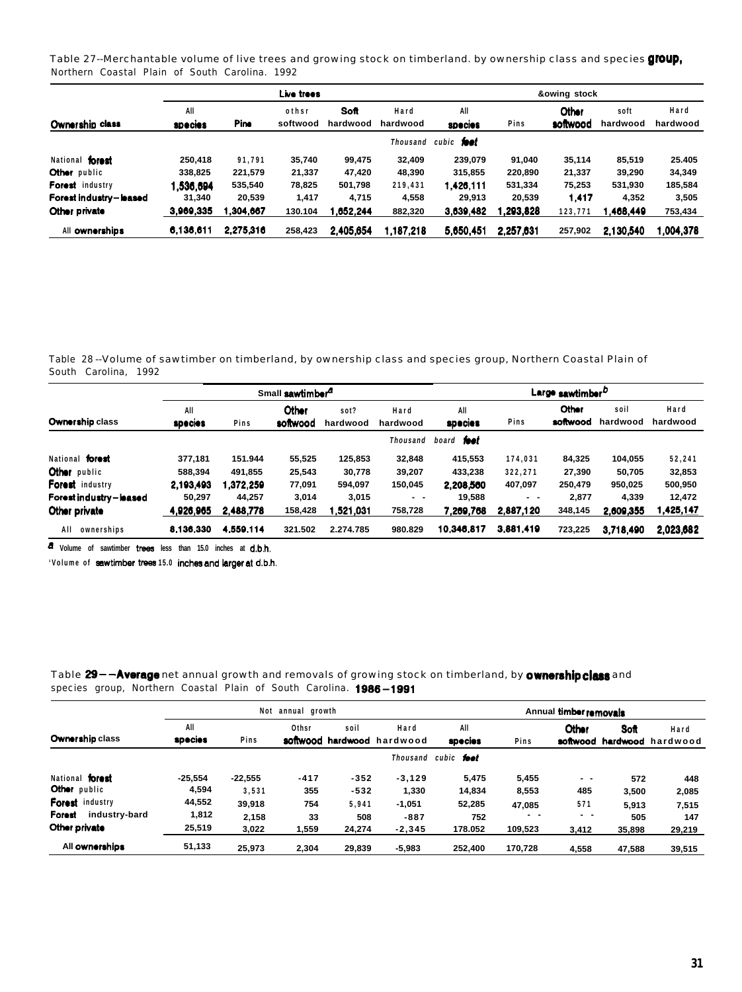Table 27--Merchantable volume of live trees and growing stock on timberland. by ownership class and species group, Northern Coastal Plain of South Carolina. 1992

|                        |                |           | Live trees |           |           | &owing stock      |           |          |           |           |  |
|------------------------|----------------|-----------|------------|-----------|-----------|-------------------|-----------|----------|-----------|-----------|--|
|                        | All            |           | othsr      | Soft      | Hard      | All               |           | Other    | soft      | Hard      |  |
| Ownership class        | <b>species</b> | Pine      | softwood   | hardwood  | hardwood  | species           | Pins      | softwood | hardwood  | hardwood  |  |
|                        |                |           |            |           | Thousand  | cubic <b>foot</b> |           |          |           |           |  |
| National forest        | 250.418        | 91.791    | 35,740     | 99.475    | 32.409    | 239.079           | 91.040    | 35,114   | 85.519    | 25.405    |  |
| Other public           | 338.825        | 221,579   | 21,337     | 47.420    | 48,390    | 315.855           | 220.890   | 21,337   | 39.290    | 34,349    |  |
| Forest industry        | .536.694       | 535,540   | 78,825     | 501,798   | 219,431   | 1.426,111         | 531,334   | 75,253   | 531.930   | 185,584   |  |
| Forest industry-leased | 31.340         | 20,539    | 1,417      | 4.715     | 4,558     | 29.913            | 20.539    | 1.417    | 4,352     | 3,505     |  |
| Other private          | 3,969,335      | .304.667  | 130.104    | 1.652.244 | 882,320   | 3.639.482         | .293.828  | 123,771  | 1.468.449 | 753,434   |  |
| All ownerships         | 6.136.611      | 2.275.316 | 258,423    | 2.405.654 | 1.187.218 | 5.650.451         | 2.257.631 | 257,902  | 2.130.540 | 1.004.378 |  |

Table 28 --Volume of sawtimber on timberland, by ownership class and species group, Northern Coastal Plain of South Carolina, 1992

|                        |                |           | Small sawtimber <sup>4</sup> |                  | Large sawtimber <sup>D</sup> |                |           |                          |                  |                  |
|------------------------|----------------|-----------|------------------------------|------------------|------------------------------|----------------|-----------|--------------------------|------------------|------------------|
| Ownership class        | All<br>species | Pins      | Other<br>softwood            | sot?<br>hardwood | Hard<br>hardwood             | All<br>species | Pins      | <b>Other</b><br>softwood | soil<br>hardwood | Hard<br>hardwood |
|                        |                |           |                              |                  | Thousand                     | board foot     |           |                          |                  |                  |
| National forest        | 377,181        | 151.944   | 55,525                       | 125,853          | 32,848                       | 415,553        | 174,031   | 84,325                   | 104,055          | 52,241           |
| Other public           | 588.394        | 491.855   | 25,543                       | 30,778           | 39,207                       | 433.238        | 322.271   | 27.390                   | 50.705           | 32,853           |
| Forest industry        | 2.193,493      | .372.259  | 77,091                       | 594.097          | 150,045                      | 2.208.560      | 407,097   | 250.479                  | 950.025          | 500,950          |
| Forest industry-leased | 50.297         | 44.257    | 3,014                        | 3,015            | - -                          | 19.588         | $ -$      | 2.877                    | 4.339            | 12,472           |
| Other private          | 4,926,965      | 2,488,778 | 158,428                      | 1,521,031        | 758,728                      | 7,269,768      | 2,887,120 | 348,145                  | 2,609,355        | 1,425,147        |
| AII<br>ownerships      | 8.136.330      | 4.559.114 | 321.502                      | 2.274.785        | 980.829                      | 10,346,817     | 3.881.419 | 723.225                  | 3.718.490        | 2.023,682        |

**a Volume of sawtimber tows less than 15.0 inches at d.b.h.**

'Volume of sawtimber trees 15.0 inches and larger at d.b.h.

Table 29 - **Average** net annual growth and removals of growing stock on timberland, by **ownership class** and species group, Northern Coastal Plain of South Carolina. 1986-1991

|                         |                | Not       | annual growth     |        |                           | Annual timber removals |         |              |        |                                    |  |
|-------------------------|----------------|-----------|-------------------|--------|---------------------------|------------------------|---------|--------------|--------|------------------------------------|--|
| Ownership class         | All<br>species | Pins      | Othsr<br>softwood | soil   | Hard<br>hardwood hardwood | All<br>species         | Pins    | <b>Other</b> | Soft   | Hard<br>softwood hardwood hardwood |  |
|                         |                |           |                   |        | Thousand                  | cubic foot             |         |              |        |                                    |  |
| National forest         | $-25.554$      | $-22.555$ | $-417$            | $-352$ | $-3.129$                  | 5.475                  | 5,455   | $ -$         | 572    | 448                                |  |
| Other public            | 4,594          | 3.531     | 355               | $-532$ | 1,330                     | 14.834                 | 8,553   | 485          | 3,500  | 2,085                              |  |
| Forest industry         | 44,552         | 39,918    | 754               | 5.941  | $-1,051$                  | 52,285                 | 47.085  | 571          | 5.913  | 7,515                              |  |
| Forest<br>industry-bard | 1,812          | 2.158     | 33                | 508    | $-887$                    | 752                    | $ -$    | $ -$         | 505    | 147                                |  |
| Other private           | 25,519         | 3.022     | 1.559             | 24.274 | $-2.345$                  | 178.052                | 109.523 | 3.412        | 35.898 | 29,219                             |  |
| All ownerships          | 51,133         | 25.973    | 2.304             | 29.839 | $-5.983$                  | 252.400                | 170.728 | 4.558        | 47.588 | 39,515                             |  |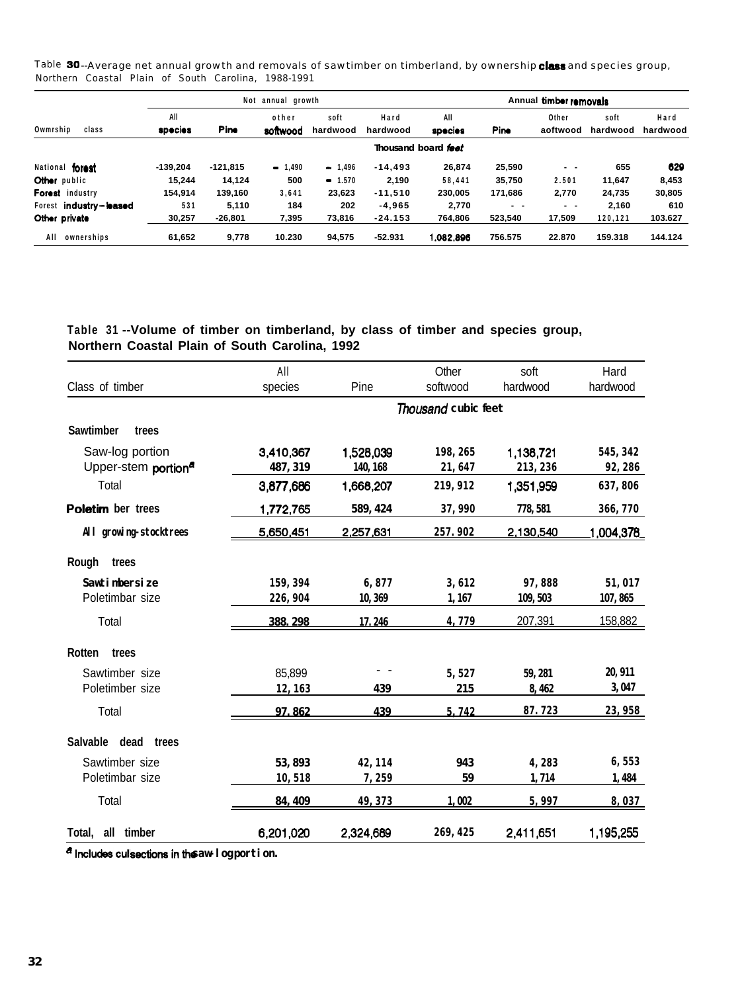Table 30--Average net annual growth and removals of sawtimber on timberland, by ownership class and species group, Northern Coastal Plain of South Carolina, 1988-1991

|                        |                | annual growth | Annual timber removals |                  |                  |                       |         |                   |                  |                  |
|------------------------|----------------|---------------|------------------------|------------------|------------------|-----------------------|---------|-------------------|------------------|------------------|
| Owmrship<br>class      | All<br>species | <b>Pine</b>   | other<br>softwood      | soft<br>hardwood | Hard<br>hardwood | All<br><b>species</b> | Pine    | Other<br>aoftwood | soft<br>hardwood | Hard<br>hardwood |
|                        |                |               |                        |                  |                  | Thousand board feet   |         |                   |                  |                  |
| National forest        | $-139.204$     | $-121,815$    | $-1,490$               | $-1,496$         | $-14.493$        | 26,874                | 25,590  | $ -$              | 655              | 629              |
| Other public           | 15.244         | 14.124        | 500                    | $-1.570$         | 2.190            | 58.441                | 35.750  | 2.501             | 11,647           | 8,453            |
| Forest industry        | 154,914        | 139,160       | 3.641                  | 23,623           | $-11.510$        | 230.005               | 171,686 | 2,770             | 24.735           | 30,805           |
| Forest industry-leased | 531            | 5,110         | 184                    | 202              | $-4.965$         | 2,770                 | $ -$    | $ -$              | 2.160            | 610              |
| Other private          | 30,257         | $-26,801$     | 7,395                  | 73,816           | $-24.153$        | 764.806               | 523,540 | 17,509            | 120,121          | 103.627          |
| AII<br>ownerships      | 61,652         | 9,778         | 10.230                 | 94,575           | $-52.931$        | .082.896              | 756.575 | 22.870            | 159.318          | 144.124          |

### **Table 31 --Volume of timber on timberland, by class of timber and species group, Northern Coastal Plain of South Carolina, 1992**

|                                 | All              |                  | Other                      | soft      | Hard      |
|---------------------------------|------------------|------------------|----------------------------|-----------|-----------|
| Class of timber                 | species          | Pine             | softwood                   | hardwood  | hardwood  |
|                                 |                  |                  | <b>Thousand cubic feet</b> |           |           |
| <b>Sawtimber</b><br>trees       |                  |                  |                            |           |           |
| Saw-log portion                 | 3,410,367        | 1,528,039        | 198, 265                   | 1,138,721 | 545, 342  |
| Upper-stem portion <sup>a</sup> | 487, 319         | 140, 168         | 21,647                     | 213, 236  | 92,286    |
| Total                           | 3,877,686        | 1,668,207        | 219, 912                   | 1,351,959 | 637,806   |
| Poletim ber trees               | 1,772,765        | 589, 424         | 37,990                     | 778, 581  | 366, 770  |
| All growing-stocktrees          | <u>5,650,451</u> | <u>2,257,631</u> | 257.902                    | 2,130,540 | 1,004,378 |
| Rough<br>trees                  |                  |                  |                            |           |           |
| Sawtimbersize                   | 159.394          | 6,877            | 3,612                      | 97,888    | 51,017    |
| Poletimbar size                 | 226, 904         | 10, 369          | 1, 167                     | 109, 503  | 107,865   |
| Total                           | 388.298          | 17.246           | 4,779                      | 207,391   | 158,882   |
| Rotten<br>trees                 |                  |                  |                            |           |           |
| Sawtimber size                  | 85,899           |                  | 5,527                      | 59.281    | 20, 911   |
| Poletimber size                 | 12, 163          | 439              | 215                        | 8,462     | 3,047     |
| Total                           | 97.862           | 439              | 5.742                      | 87.723    | 23,958    |
| Salvable dead<br>trees          |                  |                  |                            |           |           |
| Sawtimber size                  | 53, 893          | 42, 114          | 943                        | 4,283     | 6,553     |
| Poletimbar size                 | 10,518           | 7,259            | 59                         | 1,714     | 1,484     |
| Total                           | 84, 409          | <u>49, 373</u>   | 1.002                      | 5,997     | 8,037     |
| all timber<br>Total,            | 6,201,020        | 2,324,689        | 269, 425                   | 2,411,651 | 1,195,255 |
|                                 |                  |                  |                            |           |           |

**alnclu~cullsectionsinthe saw-log portion.**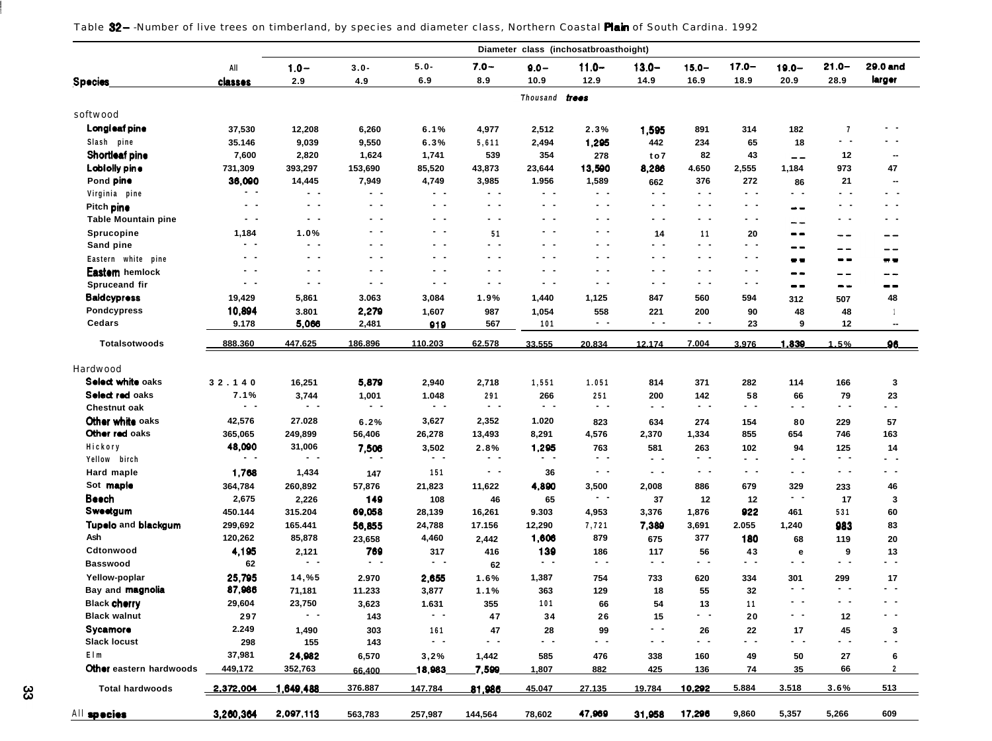| Table 82– Number of live trees on timberland, by species and diameter class, Northern Coastal Plain of South Cardina. 1992 |  |  |  |  |
|----------------------------------------------------------------------------------------------------------------------------|--|--|--|--|
|----------------------------------------------------------------------------------------------------------------------------|--|--|--|--|

|                            |                   |                |                      |                                                                            |                   |                | Diameter class (inchosatbroasthoight) |                   |                          |                |                   |                         |                          |
|----------------------------|-------------------|----------------|----------------------|----------------------------------------------------------------------------|-------------------|----------------|---------------------------------------|-------------------|--------------------------|----------------|-------------------|-------------------------|--------------------------|
|                            | All               | $1.0 -$        | $3.0 -$              | $5.0 -$                                                                    | $7.0 -$           | $9.0 -$        | $11.0 -$                              | $13.0 -$          | $15.0 -$                 | $17.0 -$       | $19.0 -$          | $21.0 -$                | 29.0 and                 |
| <b>Species</b>             | classes           | 2.9            | 4.9                  | 6.9                                                                        | 8.9               | 10.9           | 12.9                                  | 14.9              | 16.9                     | 18.9           | 20.9              | 28.9                    | larger                   |
|                            |                   |                |                      |                                                                            |                   | Thousand trees |                                       |                   |                          |                |                   |                         |                          |
| softwood                   |                   |                |                      |                                                                            |                   |                |                                       |                   |                          |                |                   |                         |                          |
| Longleaf pine              | 37,530            | 12,208         | 6,260                | 6.1%                                                                       | 4,977             | 2,512          | 2.3%                                  | 1,595             | 891                      | 314            | 182               | $\overline{\mathbf{r}}$ | . .                      |
| Slash pine                 | 35.146            | 9,039          | 9,550                | 6.3%                                                                       | 5,611             | 2,494          | 1,295                                 | 442               | 234                      | 65             | 18                | $ -$                    | . .                      |
| Shortleaf pine             | 7,600             | 2,820          | 1,624                | 1,741                                                                      | 539               | 354            | 278                                   | to 7              | 82                       | 43             | $- -$             | 12                      | $\sim$                   |
| Lobiolly pine              | 731,309           | 393,297        | 153,690              | 85,520                                                                     | 43,873            | 23,644         | 13,590                                | 8,286             | 4.650                    | 2,555          | 1,184             | 973                     | 47                       |
| Pond pine                  | 36,090            | 14,445         | 7,949                | 4,749                                                                      | 3,985             | 1.956          | 1,589                                 | 662               | 376                      | 272            | 86                | 21                      | $\sim$                   |
| Virginia pine              | $\sim$ $-$        | $\sim$ $-$     | $\sim$ $-$           | $\qquad \qquad -$                                                          | $\qquad \qquad -$ | $\sim$ $-$     | $ -$                                  | $\sim$ $-$        | $\sim$ $-$               | $\sim$ $-$     | $\qquad \qquad -$ | $\qquad \qquad -$       | - -                      |
| Pitch pine                 | $\sim$ $-$        | $\sim$ $-$     | $\sim$ $\sim$        | . .                                                                        | - -               | $\sim$ $-$     | $\sim$ $\sim$                         | $\sim$ $\sim$     | - -                      | $\sim$ $\sim$  | --                | . .                     | . .                      |
| <b>Table Mountain pine</b> | $\sim$ $-$        | $\sim$ $-$     | $\sim$ $\sim$        | . .                                                                        | - -               | $\sim$ $\sim$  | $\sim$ $\sim$                         | - -               | - -                      | $\sim$ $-$     | - -               | $\sim$ $\sim$           | . .                      |
| Sprucopine                 | 1,184             | 1.0%           | $ -$                 | - -                                                                        | 51                | $ -$           | . .                                   | 14                | 11                       | 20             | --                |                         |                          |
| Sand pine                  | $\qquad \qquad -$ | $\sim$ $\sim$  | $ -$                 | . .                                                                        | - -               | $\sim$ $\sim$  | . .                                   | - -               | - -                      | $\sim$ $\sim$  | --                | --                      | --                       |
| Eastern white pine         | $\sim$ $-$        | $\sim$ $-$     | $\sim$ $-$           | . .                                                                        | - -               | $\sim$ $\sim$  | $\sim$ $\sim$                         | $\qquad \qquad -$ | - -                      | $\sim$ $-$     | - -               | --<br>$\sim$ $\sim$     | $ -$<br>--               |
| Eastem hemlock             | $\sim$ $-$        | $\sim$ $-$     | $\sim$ $\sim$        | . .                                                                        | - -               | $\sim$ $-$     | . .                                   | - -               | . .                      | $\sim$ $\sim$  | --                |                         |                          |
| Spruceand fir              | $\sim$ $-$        | $\sim$ $-$     | $\sim$ $ \sim$       | $\sim$ $\sim$                                                              | - -               | $\sim$ $-$     | . .                                   | $\sim$ $\sim$     | . .                      | $\sim$ $-$     | --                | $- -$<br>$- -$          | -- --<br>--              |
| <b>Baldcypress</b>         | 19,429            | 5,861          | 3.063                | 3,084                                                                      | 1.9%              | 1,440          | 1,125                                 | 847               | 560                      | 594            |                   |                         | 48                       |
| Pondcypress                | 10,894            |                |                      |                                                                            |                   |                |                                       |                   |                          |                | 312               | 507                     |                          |
| Cedars                     | 9.178             | 3.801<br>5,066 | 2,279                | 1,607                                                                      | 987               | 1,054          | 558<br>$ -$                           | 221<br>$\sim$ $-$ | 200<br>$\qquad \qquad -$ | 90<br>23       | 48<br>9           | 48<br>12                |                          |
|                            |                   |                | 2,481                | 919                                                                        | 567               | 101            |                                       |                   |                          |                |                   |                         | $\overline{\phantom{a}}$ |
| Totalsotwoods              | 888.360           | 447.625        | 186.896              | 110.203                                                                    | 62.578            | 33.555         | 20.834                                | 12.174            | 7.004                    | 3.976          | 1,839             | 1.5%                    | 96                       |
| Hardwood                   |                   |                |                      |                                                                            |                   |                |                                       |                   |                          |                |                   |                         |                          |
| Select white oaks          | 32.140            | 16,251         | 5,879                | 2,940                                                                      | 2,718             | 1,551          | 1.051                                 | 814               | 371                      | 282            | 114               | 166                     | 3                        |
| Select red oaks            | 7.1%              | 3,744          | 1,001                | 1.048                                                                      | 291               | 266            | 251                                   | 200               | 142                      | 58             | 66                | 79                      | 23                       |
| Chestnut oak               | $\sim$ $-$        | $ -$           | $ -$                 | $\sim$ $-$                                                                 | $ -$              | $\sim$ $-$     | $\qquad \qquad -$                     | $\sim$ $-$        | $\sim$ $-$               | . .            | - -               | $\sim$ $\sim$           | . .                      |
| Other white oaks           | 42,576            | 27.028         | 6.2%                 | 3,627                                                                      | 2,352             | 1.020          | 823                                   | 634               | 274                      | 154            | 80                | 229                     | 57                       |
| Other red oaks             | 365,065           | 249,899        | 56,406               | 26,278                                                                     | 13,493            | 8,291          | 4,576                                 | 2,370             | 1,334                    | 855            | 654               | 746                     | 163                      |
| Hickory                    | 48,090            | 31,006         |                      | 3,502                                                                      | 2.8%              | 1,295          | 763                                   | 581               | 263                      | 102            | 94                | 125                     | 14                       |
| Yellow birch               | $\sim$ $-$        | $ -$           | 7,506<br>. .         | $\sim$ $\sim$                                                              | - -               | $ -$           | $ -$                                  | $\sim$ $\sim$     | $\sim$ $\sim$            | $ -$           | - -               | $ -$                    | . .                      |
| Hard maple                 | 1,768             | 1,434          | 147                  | 151                                                                        | $ -$              | 36             | $\sim$ $-$                            | $\sim$ $\sim$     | $\qquad \qquad -$        | $\sim$ $ \sim$ | $\sim$            | $\sim$ $\sim$           | . .                      |
| Sot maple                  |                   |                |                      |                                                                            |                   |                | 3,500                                 |                   | 886                      | 679            |                   |                         |                          |
| Beech                      | 364,784<br>2,675  | 260,892        | 57,876               | 21,823                                                                     | 11,622            | 4,890          | $\sim$ $-$                            | 2,008             |                          |                | 329<br>$\sim$ $-$ | 233                     | 46                       |
| Sweetgum                   |                   | 2,226          | 149<br>69,058        | 108                                                                        | 46                | 65<br>9.303    |                                       | 37                | 12                       | 12<br>922      | 461               | 17<br>531               | 3                        |
| Tupelo and blackgum        | 450.144           | 315.204        |                      | 28,139                                                                     | 16,261            |                | 4,953                                 | 3,376             | 1,876                    |                |                   |                         | 60                       |
| Ash                        | 299,692           | 165.441        | 56,855               | 24,788                                                                     | 17.156            | 12,290         | 7,721                                 | 7,389             | 3,691                    | 2.055          | 1,240             | 983                     | 83                       |
| Cdtonwood                  | 120,262           | 85,878         | 23,658               | 4,460                                                                      | 2,442             | 1,606          | 879                                   | 675               | 377                      | 180            | 68                | 119                     | 20                       |
|                            | 4,195             | 2,121<br>$ -$  | 769<br>$\sim$ $\sim$ | 317<br>$\frac{1}{2} \left( \frac{1}{2} \right) \left( \frac{1}{2} \right)$ | 416               | 139<br>$ -$    | 186<br>$\sim$ $-$                     | 117<br>$ -$       | 56<br>$ -$               | 43<br>$ -$     | e<br>$ -$         | 9<br>$\sim$ $-$         | 13<br>- -                |
| <b>Basswood</b>            | 62                |                |                      |                                                                            | 62                |                |                                       |                   |                          |                |                   |                         |                          |
| Yellow-poplar              | 25,795            | 14,%5          | 2.970                | 2,655                                                                      | 1.6%              | 1,387          | 754                                   | 733               | 620                      | 334            | 301<br>$\sim$ $-$ | 299<br>$\sim$ $-$       | 17<br>. .                |
| Bay and magnolia           | 87,986            | 71,181         | 11.233               | 3,877                                                                      | 1.1%              | 363            | 129                                   | 18                | 55                       | 32             | . .               | $\sim$ $-$              | . .                      |
| <b>Black cherry</b>        | 29,604            | 23,750<br>. .  | 3,623                | 1.631<br>$\sim$ $\sim$                                                     | 355               | 101            | 66                                    | 54                | 13<br>$\sim$ $\sim$      | 11             | . .               |                         | . .                      |
| <b>Black walnut</b>        | 297               |                | 143                  |                                                                            | 47                | 34             | 26                                    | 15                |                          | 20             |                   | 12                      |                          |
| Sycamore                   | 2.249             | 1,490          | 303                  | 161                                                                        | 47                | 28             | 99                                    |                   | 26                       | 22             | 17                | 45                      | 3                        |
| <b>Slack locust</b>        | 298               | 155            | 143                  | $\sim$ $\sim$                                                              | - -               | $ -$           | н.                                    | $\sim$ $\sim$     | . .                      | $ -$           | . .               |                         | $\overline{\phantom{a}}$ |
| Elm                        | 37,981            | 24,982         | 6,570                | 3,2%                                                                       | 1,442             | 585            | 476                                   | 338               | 160                      | 49             | 50                | 27                      | 6                        |
| Other eastern hardwoods    | 449,172           | 352,763        | 66.400               | 18,983                                                                     | 7,599             | 1,807          | 882                                   | 425               | 136                      | 74             | 35                | 66                      | $\overline{2}$           |
| <b>Total hardwoods</b>     | 2,372,004         | ,649,488       | 376.887              | 147.784                                                                    | 81,986            | 45.047         | 27.135                                | 19.784            | 10,292                   | 5.884          | 3.518             | 3.6%                    | 513                      |
| All species                | 3,260,364         | 2,097,113      | 563,783              | 257,987                                                                    | 144,564           | 78,602         | 47,969                                | 31,958            | 17,296                   | 9,860          | 5,357             | 5,266                   | 609                      |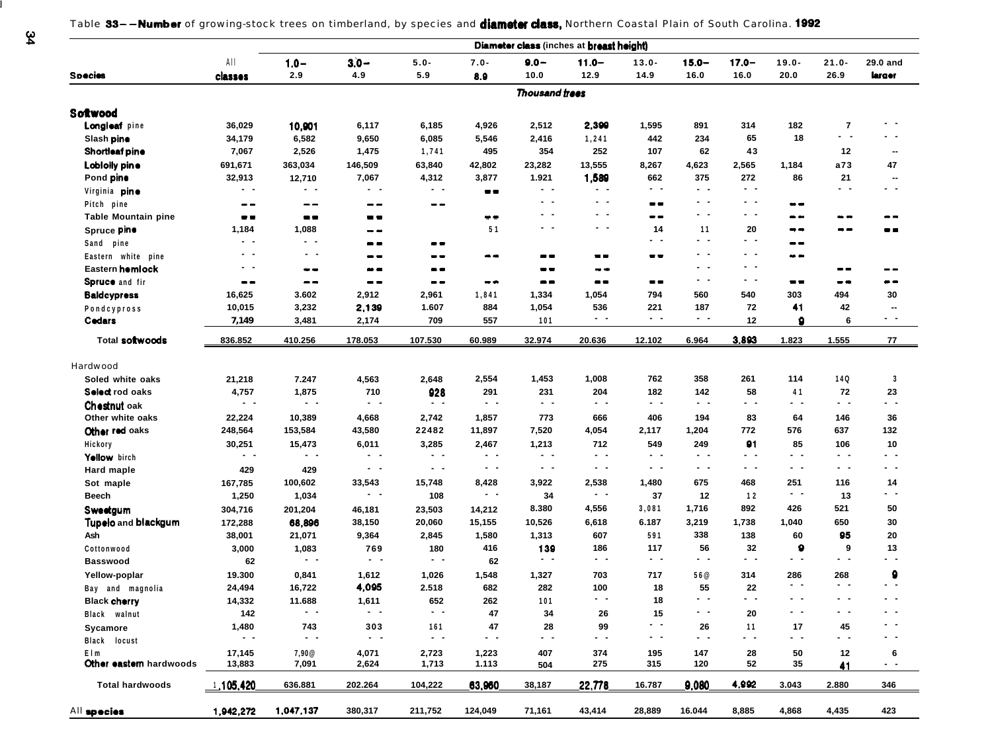Table 33--Number of growing-stock trees on timberland, by species and diameter class, Northern Coastal Plain of South Carolina. 1992

|                                       |                              |                |                |                              |                | Diameter class (inches at breast height)       |                                       |                              |                   |                     |                              |                       |                  |
|---------------------------------------|------------------------------|----------------|----------------|------------------------------|----------------|------------------------------------------------|---------------------------------------|------------------------------|-------------------|---------------------|------------------------------|-----------------------|------------------|
|                                       | AII                          | $1.0 -$        | $3.0 -$        | $5.0 -$                      | $7.0 -$        | $9.0 -$                                        | $11.0 -$                              | $13.0 -$                     | $15.0 -$          | $17.0 -$            | $19.0 -$                     | $21.0 -$              | 29.0 and         |
| <b>Species</b>                        | classes                      | 2.9            | 4.9            | 5.9                          | 8.9            | 10.0                                           | 12.9                                  | 14.9                         | 16.0              | 16.0                | 20.0                         | 26.9                  | larger           |
|                                       |                              |                |                |                              |                | Thousand trees                                 |                                       |                              |                   |                     |                              |                       |                  |
| Softwood                              |                              |                |                |                              |                |                                                |                                       |                              |                   |                     |                              |                       |                  |
| Longicaf pine                         | 36,029                       | 10,901         | 6,117          | 6,185                        | 4,926          | 2,512                                          | 2,399                                 | 1,595                        | 891               | 314                 | 182                          | $\overline{7}$        |                  |
| Slash pine                            | 34,179                       | 6,582          | 9,650          | 6,085                        | 5,546          | 2,416                                          | 1,241                                 | 442                          | 234               | 65                  | 18                           | $\sim$ $ \sim$        |                  |
| Shortleaf pine                        | 7,067                        | 2,526          | 1,475          | 1,741                        | 495            | 354                                            | 252                                   | 107                          | 62                | 43                  |                              | 12                    |                  |
| Lobiolly pine                         | 691,671                      | 363,034        | 146,509        | 63,840                       | 42,802         | 23,282                                         | 13,555                                | 8,267                        | 4,623             | 2,565               | 1,184                        | a73                   | 47               |
| Pond pine                             | 32,913                       | 12,710         | 7,067          | 4,312                        | 3,877          | 1.921                                          | 1,589                                 | 662                          | 375               | 272                 | 86                           | 21                    |                  |
| Virginia <b>pine</b>                  | $\qquad \qquad -$            | $ -$           | $ -$           | $\sim$ $-$                   | $- -$          | $\sim$ $\sim$                                  | $\sim$ $-$                            | $ -$                         | $\sim$ $-$        | $ -$                |                              | $\sim$ $-$            | $\sim$ $\sim$    |
| Pitch pine                            | $\qquad \qquad \blacksquare$ | $- -$          | --             | $- -$                        |                | $ -$                                           | $\sim$ $-$                            | $= -$                        | $\sim$ $-$        | $\blacksquare$      | --                           |                       |                  |
| <b>Table Mountain pine</b>            | $\qquad \qquad \blacksquare$ | $\blacksquare$ | --             |                              | $\bullet$      | . .                                            | $ -$                                  | $\qquad \qquad \blacksquare$ | . .               | $\sim$ $\sim$       | $\qquad \qquad \blacksquare$ | . .                   | --               |
| Spruce pine                           | 1,184                        | 1,088          | --             |                              | 51             | $\sim$ $-$                                     | $\sim$ $\sim$                         | 14                           | 11                | 20                  | --                           | --                    | - -              |
| Sand pine                             | $\sim$ $-$                   | $\sim$ $-$     | --             | $\blacksquare$               |                |                                                |                                       | $\sim$ $-$                   | - -               | - -                 | --                           |                       |                  |
|                                       | . .                          | . .            | $- -$          | --                           | --             | $\qquad \qquad \blacksquare$                   | $\qquad \qquad \blacksquare$          | $\blacksquare$               | . .               | . .                 | . .                          |                       |                  |
| Eastern white pine<br>Eastern homlock | $\sim$ $-$                   |                |                |                              |                |                                                |                                       |                              | . .               | $\sim$ $ -$         |                              | --                    | - -              |
|                                       |                              | $\sim$ $\sim$  | --             | --                           |                | $\qquad \qquad \blacksquare$<br>$\blacksquare$ | $- -$<br>$\qquad \qquad \blacksquare$ | $=$ $-$                      | $\sim$ $\sim$     | $\sim$ $-$          | $\qquad \qquad \blacksquare$ |                       | $-$              |
| Spruce and fir                        | $- -$                        | $- -$          | --             | $\qquad \qquad \blacksquare$ | $- -$          |                                                |                                       |                              |                   |                     |                              | --                    | 30               |
| <b>Baldcypress</b>                    | 16,625                       | 3.602          | 2,912          | 2,961                        | 1,841          | 1,334                                          | 1,054                                 | 794                          | 560               | 540<br>72           | 303<br>41                    | 494                   |                  |
| Pondcypross                           | 10,015                       | 3,232          | 2,139          | 1.607                        | 884            | 1,054                                          | 536<br>$ -$                           | 221<br>$\sim$ $\sim$         | 187<br>$\sim$ $-$ |                     | ٠                            | 42                    | $ -$             |
| Cedars                                | 7,149                        | 3,481          | 2,174          | 709                          | 557            | 101                                            |                                       |                              |                   | 12                  |                              | 6                     |                  |
| Total softwoods                       | 836.852                      | 410.256        | 178.053        | 107.530                      | 60.989         | 32.974                                         | 20.636                                | 12.102                       | 6.964             | 3.893               | 1.823                        | 1.555                 | 77               |
| Hardwood                              |                              |                |                |                              |                |                                                |                                       |                              |                   |                     |                              |                       |                  |
| Soled white oaks                      | 21,218                       | 7.247          | 4,563          | 2,648                        | 2,554          | 1,453                                          | 1,008                                 | 762                          | 358               | 261                 | 114                          | 14Q                   |                  |
| Select rod oaks                       | 4,757                        | 1,875          | 710            | 928                          | 291            | 231                                            | 204                                   | 182                          | 142               | 58                  | 41                           | 72                    | 23               |
| Chestnut oak                          | $\sim$ $-$                   | $\sim$ $-$     | $ -$           | $\sim$ $-$                   | $\sim$ $-$     | $\sim$ $\sim$                                  | $\sim$ $-$                            | $\sim$ $-$                   | $\sim$ $-$        | $\sim$ $\sim$       | $\sim$                       | $ -$                  | $ -$             |
| Other white oaks                      | 22,224                       | 10,389         | 4,668          | 2,742                        | 1,857          | 773                                            | 666                                   | 406                          | 194               | 83                  | 64                           | 146                   | 36               |
| Other red oaks                        | 248,564                      | 153,584        | 43,580         | 22482                        | 11,897         | 7,520                                          | 4,054                                 | 2,117                        | 1,204             | 772                 | 576                          | 637                   | 132              |
| Hickory                               | 30,251                       | 15,473         | 6,011          | 3,285                        | 2,467          | 1,213                                          | 712                                   | 549                          | 249               | 91                  | 85                           | 106                   | 10               |
| Yellow birch                          | $\sim$ $-$                   | $\sim$ $\sim$  | $\sim$ $-$     | $ -$                         | $ -$           | $\sim$ $\sim$                                  | $\sim$ $ -$                           | $\sim$ $-$                   | $\sim$ $\sim$     | $\sim$ $\sim$       | $\sim$                       | $\sim$ $\sim$         | $ -$             |
| Hard maple                            | 429                          | 429            | $\sim$ $-$     | $ -$                         | $\sim$ $\sim$  | $\sim$ $\sim$                                  | $\sim$ $\sim$                         | $\sim$ $-$                   | $\sim$ $-$        | $\sim$ $-$          | $\sim$                       | $\sim$ $ -$           | $\sim$ $\sim$    |
|                                       |                              | 100,602        | 33,543         | 15,748                       | 8,428          | 3,922                                          | 2,538                                 | 1,480                        | 675               | 468                 | 251                          | 116                   | 14               |
| Sot maple                             | 167,785                      |                | $ -$           | 108                          | $\sim$ $\sim$  | 34                                             | $\sim$ $\sim$                         | 37                           | 12                |                     | $\sim$ $-$                   | 13                    | . .              |
| Beech                                 | 1,250                        | 1,034          |                |                              |                | 8.380                                          | 4,556                                 | 3,081                        | 1,716             | 12<br>892           | 426                          | 521                   | 50               |
| Sweetgum                              | 304,716                      | 201,204        | 46,181         | 23,503                       | 14,212         |                                                |                                       |                              |                   |                     |                              |                       |                  |
| Tupelo and blackgum                   | 172,288                      | 68,896         | 38,150         | 20,060                       | 15,155         | 10,526                                         | 6,618                                 | 6.187                        | 3,219             | 1,738               | 1,040                        | 650                   | 30               |
| Ash                                   | 38,001                       | 21,071         | 9,364          | 2,845                        | 1,580          | 1,313                                          | 607                                   | 591                          | 338               | 138                 | 60                           | 95                    | 20               |
| Cottonwood                            | 3,000                        | 1,083          | 769            | 180                          | 416            | 139<br>$\sim$ $\sim$                           | 186<br>$\sim$ $\sim$                  | 117<br>$\sim$ $-$            | 56<br>$\sim$ $-$  | 32<br>$\sim$ $\sim$ | 9<br>$\sim$                  | 9<br>$\sim$ $-$       | 13<br>$\sim$ $-$ |
| <b>Basswood</b>                       | 62                           | $\sim$ $\sim$  | $ -$           | $\sim$ $-$                   | 62             |                                                |                                       |                              |                   |                     |                              |                       |                  |
| Yellow-poplar                         | 19.300                       | 0,841          | 1,612          | 1,026                        | 1,548          | 1,327                                          | 703                                   | 717                          | 56 @              | 314                 | 286<br>$\sim$ $\sim$         | 268<br>$\sim$ $ \sim$ | - -              |
| Bay and magnolia                      | 24,494                       | 16,722         | 4,095          | 2.518                        | 682            | 282                                            | 100                                   | 18                           | 55                | 22                  |                              |                       |                  |
| <b>Black cherry</b>                   | 14,332                       | 11.688         | 1,611          | 652                          | 262            | 101                                            | $\sim$ $-$                            | 18                           | . .               | - -                 | $ -$                         | $\sim$ $\sim$         | $\sim$ $-$       |
| Black walnut                          | 142                          | $\sim$         |                |                              | 47             | 34                                             | 26                                    | 15                           | $\sim$ $-$        | 20                  |                              |                       |                  |
| Sycamore                              | 1,480                        | 743            | 303            | 161                          | 47             | 28                                             | 99                                    | $ -$                         | 26                | 11                  | 17                           | 45                    | - -              |
| Black locust                          | $\sim$ $\sim$                | $\sim$ $\sim$  | $\sim$ $\sim$  | $\sim$ $-$                   | $\sim$ $-$     | $\sim$ $-$                                     | $\sim$ $-$                            | $\sim$ $-$                   | $\sim$ $\sim$     | $ -$                | $ -$                         | - -                   |                  |
| Elm<br>Other eastern hardwoods        | 17,145<br>13,883             | 7,90@<br>7,091 | 4,071<br>2,624 | 2,723<br>1,713               | 1,223<br>1.113 | 407<br>504                                     | 374<br>275                            | 195<br>315                   | 147<br>120        | 28<br>52            | 50<br>35                     | 12<br><u>41</u>       | $\sim$ $-$       |
| <b>Total hardwoods</b>                | 1,105,420                    | 636.881        | 202.264        | 104,222                      | 63,960         | 38,187                                         | 22,778                                | 16.787                       | 9,080             | 4.992               | 3.043                        | 2.880                 | 346              |
|                                       |                              |                |                |                              |                |                                                |                                       |                              |                   |                     |                              |                       |                  |
| All species                           | 1,942,272                    | 1,047,137      | 380,317        | 211,752                      | 124,049        | 71,161                                         | 43,414                                | 28,889                       | 16.044            | 8,885               | 4,868                        | 4,435                 | 423              |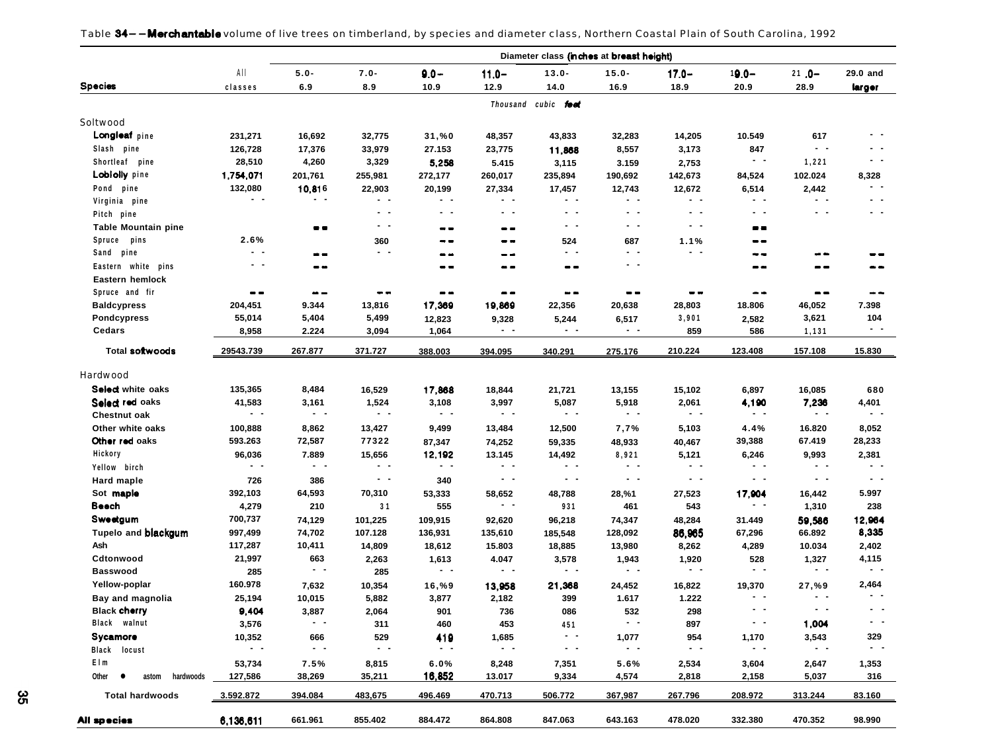|                                      |                    |                        |                   |                     |                         | Diameter class (inches at breast height) |                   |                    |                         |                        |                      |
|--------------------------------------|--------------------|------------------------|-------------------|---------------------|-------------------------|------------------------------------------|-------------------|--------------------|-------------------------|------------------------|----------------------|
|                                      | AII                | $5.0 -$                | $7.0 -$           | $9.0 -$             | $11.0 -$                | $13.0 -$                                 | $15.0 -$          | $17.0 -$           | $19.0 -$                | $21.0 -$               | 29.0 and             |
| <b>Species</b>                       | classes            | 6.9                    | 8.9               | 10.9                | 12.9                    | 14.0                                     | 16.9              | 18.9               | 20.9                    | 28.9                   | larger               |
|                                      |                    |                        |                   |                     |                         | Thousand cubic feet                      |                   |                    |                         |                        |                      |
| Soltwood                             |                    |                        |                   |                     |                         |                                          |                   |                    |                         |                        |                      |
| Longleaf pine                        | 231,271            | 16,692                 | 32,775            | 31,%0               | 48,357                  | 43,833                                   | 32,283            | 14,205             | 10.549                  | 617                    |                      |
| Slash pine                           | 126,728            | 17,376                 | 33,979            | 27.153              | 23,775                  | 11,868                                   | 8,557             | 3,173              | 847                     | $ -$                   | . .                  |
| Shortleaf pine                       | 28,510             | 4,260                  | 3,329             | 5,258               | 5.415                   | 3,115                                    | 3.159             | 2,753              | $\sim$ $\sim$           | 1,221                  | $ -$                 |
| <b>Lobiolly</b> pine                 | 1,754,071          | 201,761                | 255,981           | 272,177             | 260,017                 | 235,894                                  | 190,692           | 142,673            | 84,524                  | 102.024                | 8,328                |
| Pond pine                            | 132,080            | 10,816                 | 22,903            | 20,199              |                         | 17,457                                   | 12,743            | 12,672             | 6,514                   | 2,442                  | $\sim$ $-$           |
| Virginia pine                        | $\sim$ $\sim$      | $\sim$ $-$             | $\sim$ $-$        | $\sim$ $\sim$       | 27,334<br>- -           | $\sim$ $\sim$                            | $\sim$ $-$        | $\sim$ $-$         | $\sim$ $-$              | $\sim$ $\sim$          | $\sim$ $-$           |
| Pitch pine                           |                    |                        | $\sim$ $\sim$     | $\sim$ $\sim$       | $\blacksquare$          | - -                                      | $\sim$ $-$        | $\sim$ $-$         | $ -$                    | $\sim$ $\sim$          | $\sim$ $\sim$        |
|                                      |                    | $- -$                  | $\qquad \qquad -$ |                     |                         | - -                                      | $\sim$ $-$        | $ -$               | --                      |                        |                      |
| <b>Table Mountain pine</b><br>Spruce | 2.6%               |                        |                   | $- -$               | --                      |                                          |                   |                    |                         |                        |                      |
| pins<br>Sand pine                    | - -                |                        | 360<br>$\sim$ $-$ | --                  | --                      | 524<br>$\sim$ $\sim$                     | 687<br>$ -$       | 1.1%<br>$\sim$ $-$ | --                      |                        |                      |
|                                      | $ -$               | --                     |                   | --                  | --                      |                                          | $\sim$ $-$        |                    | - -                     | --                     | --                   |
| Eastern white pins                   |                    | --                     |                   | --                  | - -                     | --                                       |                   |                    | --                      |                        |                      |
| Eastern hemlock                      |                    |                        |                   |                     |                         |                                          |                   |                    |                         |                        |                      |
| Spruce and fir                       | --                 | $\bullet -$            | --                | $- -$               | --                      | --                                       | --                | --                 | --                      | --                     | - -                  |
| <b>Baldcypress</b>                   | 204,451            | 9.344                  | 13,816            | 17,369              | 19,869                  | 22,356                                   | 20,638            | 28,803             | 18.806                  | 46,052                 | 7.398                |
| <b>Pondcypress</b>                   | 55,014             | 5,404                  | 5,499             | 12,823              | 9,328                   | 5,244                                    | 6,517             | 3,901              | 2,582                   | 3,621                  | 104<br>$ -$          |
| Cedars                               | 8,958              | 2.224                  | 3,094             | 1,064               | $ -$                    | - -                                      | $\sim$ $-$        | 859                | 586                     | 1,131                  |                      |
| <b>Total softwoods</b>               | 29543.739          | 267.877                | 371.727           | 388.003             | 394.095                 | 340.291                                  | 275.176           | 210.224            | 123.408                 | 157.108                | 15.830               |
| Hardwood                             |                    |                        |                   |                     |                         |                                          |                   |                    |                         |                        |                      |
| Select white oaks                    | 135,365            | 8,484                  |                   | 17,868              |                         |                                          | 13,155            |                    |                         |                        |                      |
| Select red oaks                      | 41,583             | 3,161                  | 16,529<br>1,524   | 3,108               | 18,844<br>3,997         | 21,721<br>5,087                          | 5,918             | 15,102<br>2,061    | 6,897<br>4,190          | 16,085<br>7,236        | 680<br>4,401         |
| <b>Chestnut oak</b>                  | $\sim$ $\sim$      | $ -$                   | $\qquad \qquad -$ | $ -$                | $ -$                    | . .                                      | $\sim$ $-$        | $\sim$ $\sim$      | $\sim$ $-$              | $\sim$ $\sim$          | $\sim$ $\sim$        |
| Other white oaks                     |                    |                        |                   | 9,499               |                         | 12,500                                   | 7,7%              | 5,103              |                         | 16.820                 | 8,052                |
| Other red oaks                       | 100,888<br>593.263 | 8,862<br>72,587        | 13,427<br>77322   |                     | 13,484                  |                                          |                   |                    | 4.4%<br>39,388          | 67.419                 | 28,233               |
| Hickory                              | 96,036             | 7.889                  | 15,656            | 87,347<br>12,192    | 74,252<br>13.145        | 59,335<br>14,492                         | 48,933<br>8,921   | 40,467<br>5,121    | 6,246                   | 9,993                  | 2,381                |
| Yellow birch                         | $\sim$ $ \sim$     | $\sim$ $\sim$          | $\qquad \qquad -$ | $\sim$ $-$          | $\blacksquare$          | . .                                      | $ -$              | $\sim$ $\sim$      | $ -$                    | $\sim$ $-$             | $\sim$ $\sim$        |
|                                      |                    |                        | $\sim$ $-$        | 340                 | $\sim$ $\sim$           | $ -$                                     | $\sim$ $-$        | $ -$               | $\sim$ $-$              | $\sim$ $-$             | $\sim$ $-$           |
| <b>Hard maple</b><br>Sot maple       | 726                | 386                    |                   |                     |                         |                                          |                   |                    |                         |                        | 5.997                |
| Beech                                | 392,103            | 64,593                 | 70,310            | 53,333              | 58,652<br>$\sim$ $\sim$ | 48,788                                   | 28,%1             | 27,523             | 17,904<br>$\sim$ $\sim$ | 16,442                 |                      |
|                                      | 4,279              | 210                    | 31                | 555                 |                         | 931                                      | 461               | 543                |                         | 1,310                  | 238                  |
| Sweetgum                             | 700,737            | 74,129                 | 101,225           | 109,915             | 92,620                  | 96,218                                   | 74,347            | 48,284             | 31.449                  | 59,586                 | 12,964               |
| Tupelo and <b>blackgum</b><br>Ash    | 997,499            | 74,702                 | 107.128           | 136,931             | 135,610                 | 185,548                                  | 128,092           | 86,965             | 67,296                  | 66.892                 | 8,335                |
|                                      | 117,287            | 10,411                 | 14,809            | 18,612              | 15.803                  | 18,885                                   | 13,980            | 8,262              | 4,289                   | 10.034                 | 2,402                |
| Cdtonwood<br><b>Basswood</b>         | 21,997             | 663<br>$ -$            | 2,263             | 1,613<br>$\sim$ $-$ | 4.047<br>$ -$           | 3,578<br>. .                             | 1,943<br>$ -$     | 1,920<br>$ -$      | 528<br>$\sim$ $-$       | 1,327<br>$\sim$ $\sim$ | 4,115<br>$ -$        |
|                                      | 285                |                        | 285               |                     |                         |                                          |                   |                    |                         |                        |                      |
| Yellow-poplar                        | 160.978            | 7,632                  | 10,354            | 16,%9               | 13,958                  | 21,368                                   | 24,452            | 16,822             | 19,370<br>- -           | 27,%9                  | 2,464                |
| Bay and magnolia                     | 25,194             | 10,015                 | 5,882             | 3,877               | 2,182                   | 399                                      | 1.617             | 1.222              | $\sim$ $-$              | $\sim$ $\sim$          |                      |
| <b>Black cherry</b>                  | 9,404              | 3,887<br>$\sim$ $\sim$ | 2,064             | 901                 | 736                     | 086                                      | 532<br>$\sim$ $-$ | 298                | $\sim$ $-$              |                        | $\sim$ $\sim$        |
| Black walnut                         | 3,576              |                        | 311               | 460                 | 453                     | 451                                      |                   | 897                |                         | 1,004                  |                      |
| Sycamore                             | 10,352             | 666                    | 529               | 419                 | 1,685                   | $\sim$ $\sim$                            | 1,077             | 954                | 1,170                   | 3,543                  | 329<br>$\sim$ $\sim$ |
| Black locust                         | $\sim$ $\sim$      | $ -$                   | $\sim$ $\sim$     | $\sim$ $-$          | $\sim$ $\sim$           | $\sim$ $-$                               | $\sim$ $-$        | $ -$               | $\sim$ $-$              | $ -$                   |                      |
| Elm                                  | 53,734             | 7.5%                   | 8,815             | 6.0%                | 8,248                   | 7,351                                    | 5.6%              | 2,534              | 3,604                   | 2,647                  | 1,353                |
| Other $\bullet$<br>astom hardwoods   | 127,586            | 38,269                 | 35,211            | 16,852              | 13.017                  | 9,334                                    | 4,574             | 2,818              | 2,158                   | 5,037                  | 316                  |
| <b>Total hardwoods</b>               | 3.592.872          | 394.084                | 483,675           | 496.469             | 470.713                 | 506.772                                  | 367,987           | 267.796            | 208.972                 | 313.244                | 83.160               |
| All species                          | 6,136,611          | 661.961                | 855.402           | 884.472             | 864.808                 | 847.063                                  | 643.163           | 478.020            | 332.380                 | 470.352                | 98.990               |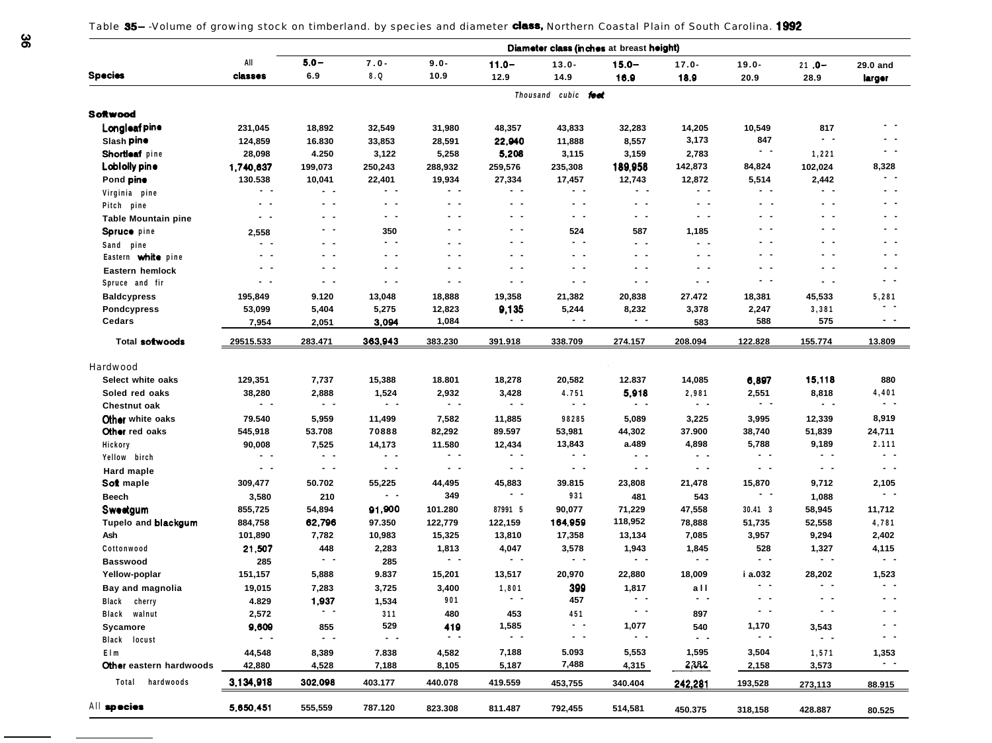Table 35--Volume of growing stock on timberland. by species and diameter class, Northern Coastal Plain of South Carolina. 1992

| All<br>$5.0 -$<br>$7.0 -$<br>$9.0 -$<br>$11.0 -$<br>$13.0 -$<br>$15.0 -$<br>$19.0 -$<br>$17.0 -$<br>$21.0 -$<br>29.0 and<br><b>Species</b><br>6.9<br>8.Q<br>10.9<br>classes<br>12.9<br>14.9<br>16.9<br>18.9<br>20.9<br>28.9<br>larger<br>Thousand cubic feet<br>Softwood<br>Longleaf pine<br>817<br>231,045<br>18,892<br>32,549<br>31,980<br>48,357<br>43,833<br>32,283<br>14,205<br>10,549<br>$ -$<br>$ -$<br>3,173<br>847<br>Slash pine<br>22,940<br>124,859<br>16.830<br>33,853<br>28,591<br>11,888<br>8,557<br>$ -$<br>Shortleaf pine<br>28,098<br>4.250<br>3,122<br>5,258<br>5,208<br>3,115<br>3,159<br>2,783<br>1,221<br>142,873<br>8,328<br>Lobi olly pine<br>189,958<br>84,824<br>102,024<br>1,740,637<br>199,073<br>250,243<br>288,932<br>259,576<br>235,308<br>$\sim$ $\sim$<br>130.538<br>19,934<br>27,334<br>17,457<br>12,872<br>5,514<br>2,442<br>Pond pine<br>10,041<br>22,401<br>12,743<br>$\sim$ $-$<br>$ -$<br>$ -$<br>$ -$<br>$\sim$ $\sim$<br>$ -$<br>$\sim$ $\sim$<br>$\sim$ $\sim$<br>$\sim$ $\sim$<br>$\sim$ $-$<br>$\sim$ $\sim$<br>Virginia pine<br>$\sim$ $\sim$<br>$\sim$ $-$<br>$ -$<br>$ -$<br>$ -$<br>$ -$<br>. .<br>$\sim$ $\sim$<br>$ -$<br>$\sim$ $-$<br>$ -$<br>Pitch pine<br>$\sim$ $\sim$<br>$\sim$ $-$<br>$\sim$ $\sim$<br>$\sim$ $\sim$<br>$\sim$ $-$<br>$\sim$ $\sim$<br>$\sim$ $\sim$<br>$\sim$ $\sim$<br>$\sim$ $-$<br>. .<br>. .<br><b>Table Mountain pine</b><br>- -<br>. .<br>$ -$<br>. .<br>. .<br>$\sim$ $-$<br>524<br>350<br>587<br>1,185<br>Spruce pine<br>2,558<br>$ -$<br>$\sim$ $\sim$<br>$\sim$ $\sim$<br>$\sim$ $\sim$<br>$\sim$ $\sim$<br>- -<br>- -<br>$ -$<br>$\sim$ $-$<br>- -<br>$\sim$ $\sim$<br>Sand pine<br>- -<br>- -<br>$ -$<br>$\sim$ $-$<br>$\sim$ $\sim$<br>$\sim$ $\sim$<br>$\sim$ $\sim$<br>. .<br>. .<br>$ -$<br>- -<br>Eastern white pine<br>$\sim$ $-$<br>$\sim$ $-$<br>$\sim$ $-$<br>$\sim$ $-$<br>$\sim$ $\sim$<br>$\sim$ $-$<br>$\sim$ $\sim$<br>$\sim$ $\sim$<br>$\sim$<br>$\sim$ $-$<br>$\sim$ $\sim$<br>Eastern hemlock<br>$ -$<br>- -<br>- -<br>$\sim$ $-$<br>$\sim$ $-$<br>$\sim$ $\sim$<br>$\sim$ $\sim$<br>$\sim$ $\sim$<br>$\sim$ $\sim$<br>$\sim$ $\sim$<br>$\sim$ $-$<br>Spruce and fir<br>9.120<br>18,888<br>19,358<br>21,382<br>20,838<br>27.472<br><b>Baldcypress</b><br>195,849<br>13,048<br>18,381<br>45,533<br>5,281<br>- -<br>9,135<br>53,099<br>5,404<br>5,275<br>12,823<br>5,244<br>8,232<br>3,378<br>2,247<br><b>Pondcypress</b><br>3,381<br>$ -$<br>$ -$<br>$\sim$ $\sim$<br>$\sim$ $-$<br><b>Cedars</b><br>588<br>3,094<br>1,084<br>575<br>7,954<br>2,051<br>583<br>363.943<br>Total softwoods<br>29515.533<br>283.471<br>383.230<br>391.918<br>338.709<br>208.094<br>122.828<br>155.774<br>13.809<br><u>274.157</u><br>Hardwood<br>15,118<br>Select white oaks<br>129,351<br>7,737<br>15,388<br>18.801<br>18,278<br>20,582<br>12.837<br>14,085<br>6,897<br>880<br>5,918<br>4,401<br>Soled red oaks<br>38,280<br>2,888<br>1,524<br>2,932<br>3,428<br>4.751<br>2,981<br>2,551<br>8,818<br>$ -$<br>$\sim$ $-$<br>$\sim$ $\sim$<br>$\sim$ $\sim$<br>$\sim$ $-$<br>$\sim$ $\sim$<br>$\sim$ $\sim$<br>$ -$<br>$\sim$ $-$<br>$ -$<br>$\sim$ $-$<br>Chestnut oak<br>8,919<br>Other white oaks<br>79.540<br>7,582<br>98285<br>12,339<br>5,959<br>11,499<br>11,885<br>5,089<br>3,225<br>3,995<br>Other red oaks<br>545,918<br>53.708<br>70888<br>82,292<br>89.597<br>53,981<br>44,302<br>37.900<br>38,740<br>51,839<br>24,711<br>5,788<br>2.111<br>13,843<br>a.489<br>4,898<br>9,189<br>90,008<br>7,525<br>14,173<br>11.580<br>12,434<br>Hickory<br>$ -$<br>$ -$<br>$ -$<br>$ -$<br>$\sim$ $\sim$<br>$\sim$ $\sim$<br>$\sim$ $-$<br>$ -$<br>$\sim$ $\sim$<br>$\sim$ $\sim$<br>. .<br>Yellow birch<br>$ -$<br>$\sim$ $-$<br>$\sim$ $\sim$<br>$\sim$ $\sim$<br>$ -$<br>$ -$<br>$\sim$ $\sim$<br>$ -$<br>$\sim$ $\sim$<br>$ -$<br>$ -$<br>Hard maple<br>Soft maple<br>50.702<br>55,225<br>45,883<br>39.815<br>23,808<br>15,870<br>2,105<br>309,477<br>44,495<br>21,478<br>9,712 |
|--------------------------------------------------------------------------------------------------------------------------------------------------------------------------------------------------------------------------------------------------------------------------------------------------------------------------------------------------------------------------------------------------------------------------------------------------------------------------------------------------------------------------------------------------------------------------------------------------------------------------------------------------------------------------------------------------------------------------------------------------------------------------------------------------------------------------------------------------------------------------------------------------------------------------------------------------------------------------------------------------------------------------------------------------------------------------------------------------------------------------------------------------------------------------------------------------------------------------------------------------------------------------------------------------------------------------------------------------------------------------------------------------------------------------------------------------------------------------------------------------------------------------------------------------------------------------------------------------------------------------------------------------------------------------------------------------------------------------------------------------------------------------------------------------------------------------------------------------------------------------------------------------------------------------------------------------------------------------------------------------------------------------------------------------------------------------------------------------------------------------------------------------------------------------------------------------------------------------------------------------------------------------------------------------------------------------------------------------------------------------------------------------------------------------------------------------------------------------------------------------------------------------------------------------------------------------------------------------------------------------------------------------------------------------------------------------------------------------------------------------------------------------------------------------------------------------------------------------------------------------------------------------------------------------------------------------------------------------------------------------------------------------------------------------------------------------------------------------------------------------------------------------------------------------------------------------------------------------------------------------------------------------------------------------------------------------------------------------------------------------------------------------------------------------------------------------------------------------------------------------------------------------------------------------------------------------------------------------------------------------------------------------------------------------------------------------------------------------------------------------------------------------------------------------------------------------------------------------------------------------------------------------------------------------------------------------------------------|
|                                                                                                                                                                                                                                                                                                                                                                                                                                                                                                                                                                                                                                                                                                                                                                                                                                                                                                                                                                                                                                                                                                                                                                                                                                                                                                                                                                                                                                                                                                                                                                                                                                                                                                                                                                                                                                                                                                                                                                                                                                                                                                                                                                                                                                                                                                                                                                                                                                                                                                                                                                                                                                                                                                                                                                                                                                                                                                                                                                                                                                                                                                                                                                                                                                                                                                                                                                                                                                                                                                                                                                                                                                                                                                                                                                                                                                                                                                                                                                    |
|                                                                                                                                                                                                                                                                                                                                                                                                                                                                                                                                                                                                                                                                                                                                                                                                                                                                                                                                                                                                                                                                                                                                                                                                                                                                                                                                                                                                                                                                                                                                                                                                                                                                                                                                                                                                                                                                                                                                                                                                                                                                                                                                                                                                                                                                                                                                                                                                                                                                                                                                                                                                                                                                                                                                                                                                                                                                                                                                                                                                                                                                                                                                                                                                                                                                                                                                                                                                                                                                                                                                                                                                                                                                                                                                                                                                                                                                                                                                                                    |
|                                                                                                                                                                                                                                                                                                                                                                                                                                                                                                                                                                                                                                                                                                                                                                                                                                                                                                                                                                                                                                                                                                                                                                                                                                                                                                                                                                                                                                                                                                                                                                                                                                                                                                                                                                                                                                                                                                                                                                                                                                                                                                                                                                                                                                                                                                                                                                                                                                                                                                                                                                                                                                                                                                                                                                                                                                                                                                                                                                                                                                                                                                                                                                                                                                                                                                                                                                                                                                                                                                                                                                                                                                                                                                                                                                                                                                                                                                                                                                    |
|                                                                                                                                                                                                                                                                                                                                                                                                                                                                                                                                                                                                                                                                                                                                                                                                                                                                                                                                                                                                                                                                                                                                                                                                                                                                                                                                                                                                                                                                                                                                                                                                                                                                                                                                                                                                                                                                                                                                                                                                                                                                                                                                                                                                                                                                                                                                                                                                                                                                                                                                                                                                                                                                                                                                                                                                                                                                                                                                                                                                                                                                                                                                                                                                                                                                                                                                                                                                                                                                                                                                                                                                                                                                                                                                                                                                                                                                                                                                                                    |
|                                                                                                                                                                                                                                                                                                                                                                                                                                                                                                                                                                                                                                                                                                                                                                                                                                                                                                                                                                                                                                                                                                                                                                                                                                                                                                                                                                                                                                                                                                                                                                                                                                                                                                                                                                                                                                                                                                                                                                                                                                                                                                                                                                                                                                                                                                                                                                                                                                                                                                                                                                                                                                                                                                                                                                                                                                                                                                                                                                                                                                                                                                                                                                                                                                                                                                                                                                                                                                                                                                                                                                                                                                                                                                                                                                                                                                                                                                                                                                    |
|                                                                                                                                                                                                                                                                                                                                                                                                                                                                                                                                                                                                                                                                                                                                                                                                                                                                                                                                                                                                                                                                                                                                                                                                                                                                                                                                                                                                                                                                                                                                                                                                                                                                                                                                                                                                                                                                                                                                                                                                                                                                                                                                                                                                                                                                                                                                                                                                                                                                                                                                                                                                                                                                                                                                                                                                                                                                                                                                                                                                                                                                                                                                                                                                                                                                                                                                                                                                                                                                                                                                                                                                                                                                                                                                                                                                                                                                                                                                                                    |
|                                                                                                                                                                                                                                                                                                                                                                                                                                                                                                                                                                                                                                                                                                                                                                                                                                                                                                                                                                                                                                                                                                                                                                                                                                                                                                                                                                                                                                                                                                                                                                                                                                                                                                                                                                                                                                                                                                                                                                                                                                                                                                                                                                                                                                                                                                                                                                                                                                                                                                                                                                                                                                                                                                                                                                                                                                                                                                                                                                                                                                                                                                                                                                                                                                                                                                                                                                                                                                                                                                                                                                                                                                                                                                                                                                                                                                                                                                                                                                    |
|                                                                                                                                                                                                                                                                                                                                                                                                                                                                                                                                                                                                                                                                                                                                                                                                                                                                                                                                                                                                                                                                                                                                                                                                                                                                                                                                                                                                                                                                                                                                                                                                                                                                                                                                                                                                                                                                                                                                                                                                                                                                                                                                                                                                                                                                                                                                                                                                                                                                                                                                                                                                                                                                                                                                                                                                                                                                                                                                                                                                                                                                                                                                                                                                                                                                                                                                                                                                                                                                                                                                                                                                                                                                                                                                                                                                                                                                                                                                                                    |
|                                                                                                                                                                                                                                                                                                                                                                                                                                                                                                                                                                                                                                                                                                                                                                                                                                                                                                                                                                                                                                                                                                                                                                                                                                                                                                                                                                                                                                                                                                                                                                                                                                                                                                                                                                                                                                                                                                                                                                                                                                                                                                                                                                                                                                                                                                                                                                                                                                                                                                                                                                                                                                                                                                                                                                                                                                                                                                                                                                                                                                                                                                                                                                                                                                                                                                                                                                                                                                                                                                                                                                                                                                                                                                                                                                                                                                                                                                                                                                    |
|                                                                                                                                                                                                                                                                                                                                                                                                                                                                                                                                                                                                                                                                                                                                                                                                                                                                                                                                                                                                                                                                                                                                                                                                                                                                                                                                                                                                                                                                                                                                                                                                                                                                                                                                                                                                                                                                                                                                                                                                                                                                                                                                                                                                                                                                                                                                                                                                                                                                                                                                                                                                                                                                                                                                                                                                                                                                                                                                                                                                                                                                                                                                                                                                                                                                                                                                                                                                                                                                                                                                                                                                                                                                                                                                                                                                                                                                                                                                                                    |
|                                                                                                                                                                                                                                                                                                                                                                                                                                                                                                                                                                                                                                                                                                                                                                                                                                                                                                                                                                                                                                                                                                                                                                                                                                                                                                                                                                                                                                                                                                                                                                                                                                                                                                                                                                                                                                                                                                                                                                                                                                                                                                                                                                                                                                                                                                                                                                                                                                                                                                                                                                                                                                                                                                                                                                                                                                                                                                                                                                                                                                                                                                                                                                                                                                                                                                                                                                                                                                                                                                                                                                                                                                                                                                                                                                                                                                                                                                                                                                    |
|                                                                                                                                                                                                                                                                                                                                                                                                                                                                                                                                                                                                                                                                                                                                                                                                                                                                                                                                                                                                                                                                                                                                                                                                                                                                                                                                                                                                                                                                                                                                                                                                                                                                                                                                                                                                                                                                                                                                                                                                                                                                                                                                                                                                                                                                                                                                                                                                                                                                                                                                                                                                                                                                                                                                                                                                                                                                                                                                                                                                                                                                                                                                                                                                                                                                                                                                                                                                                                                                                                                                                                                                                                                                                                                                                                                                                                                                                                                                                                    |
|                                                                                                                                                                                                                                                                                                                                                                                                                                                                                                                                                                                                                                                                                                                                                                                                                                                                                                                                                                                                                                                                                                                                                                                                                                                                                                                                                                                                                                                                                                                                                                                                                                                                                                                                                                                                                                                                                                                                                                                                                                                                                                                                                                                                                                                                                                                                                                                                                                                                                                                                                                                                                                                                                                                                                                                                                                                                                                                                                                                                                                                                                                                                                                                                                                                                                                                                                                                                                                                                                                                                                                                                                                                                                                                                                                                                                                                                                                                                                                    |
|                                                                                                                                                                                                                                                                                                                                                                                                                                                                                                                                                                                                                                                                                                                                                                                                                                                                                                                                                                                                                                                                                                                                                                                                                                                                                                                                                                                                                                                                                                                                                                                                                                                                                                                                                                                                                                                                                                                                                                                                                                                                                                                                                                                                                                                                                                                                                                                                                                                                                                                                                                                                                                                                                                                                                                                                                                                                                                                                                                                                                                                                                                                                                                                                                                                                                                                                                                                                                                                                                                                                                                                                                                                                                                                                                                                                                                                                                                                                                                    |
|                                                                                                                                                                                                                                                                                                                                                                                                                                                                                                                                                                                                                                                                                                                                                                                                                                                                                                                                                                                                                                                                                                                                                                                                                                                                                                                                                                                                                                                                                                                                                                                                                                                                                                                                                                                                                                                                                                                                                                                                                                                                                                                                                                                                                                                                                                                                                                                                                                                                                                                                                                                                                                                                                                                                                                                                                                                                                                                                                                                                                                                                                                                                                                                                                                                                                                                                                                                                                                                                                                                                                                                                                                                                                                                                                                                                                                                                                                                                                                    |
|                                                                                                                                                                                                                                                                                                                                                                                                                                                                                                                                                                                                                                                                                                                                                                                                                                                                                                                                                                                                                                                                                                                                                                                                                                                                                                                                                                                                                                                                                                                                                                                                                                                                                                                                                                                                                                                                                                                                                                                                                                                                                                                                                                                                                                                                                                                                                                                                                                                                                                                                                                                                                                                                                                                                                                                                                                                                                                                                                                                                                                                                                                                                                                                                                                                                                                                                                                                                                                                                                                                                                                                                                                                                                                                                                                                                                                                                                                                                                                    |
|                                                                                                                                                                                                                                                                                                                                                                                                                                                                                                                                                                                                                                                                                                                                                                                                                                                                                                                                                                                                                                                                                                                                                                                                                                                                                                                                                                                                                                                                                                                                                                                                                                                                                                                                                                                                                                                                                                                                                                                                                                                                                                                                                                                                                                                                                                                                                                                                                                                                                                                                                                                                                                                                                                                                                                                                                                                                                                                                                                                                                                                                                                                                                                                                                                                                                                                                                                                                                                                                                                                                                                                                                                                                                                                                                                                                                                                                                                                                                                    |
|                                                                                                                                                                                                                                                                                                                                                                                                                                                                                                                                                                                                                                                                                                                                                                                                                                                                                                                                                                                                                                                                                                                                                                                                                                                                                                                                                                                                                                                                                                                                                                                                                                                                                                                                                                                                                                                                                                                                                                                                                                                                                                                                                                                                                                                                                                                                                                                                                                                                                                                                                                                                                                                                                                                                                                                                                                                                                                                                                                                                                                                                                                                                                                                                                                                                                                                                                                                                                                                                                                                                                                                                                                                                                                                                                                                                                                                                                                                                                                    |
|                                                                                                                                                                                                                                                                                                                                                                                                                                                                                                                                                                                                                                                                                                                                                                                                                                                                                                                                                                                                                                                                                                                                                                                                                                                                                                                                                                                                                                                                                                                                                                                                                                                                                                                                                                                                                                                                                                                                                                                                                                                                                                                                                                                                                                                                                                                                                                                                                                                                                                                                                                                                                                                                                                                                                                                                                                                                                                                                                                                                                                                                                                                                                                                                                                                                                                                                                                                                                                                                                                                                                                                                                                                                                                                                                                                                                                                                                                                                                                    |
|                                                                                                                                                                                                                                                                                                                                                                                                                                                                                                                                                                                                                                                                                                                                                                                                                                                                                                                                                                                                                                                                                                                                                                                                                                                                                                                                                                                                                                                                                                                                                                                                                                                                                                                                                                                                                                                                                                                                                                                                                                                                                                                                                                                                                                                                                                                                                                                                                                                                                                                                                                                                                                                                                                                                                                                                                                                                                                                                                                                                                                                                                                                                                                                                                                                                                                                                                                                                                                                                                                                                                                                                                                                                                                                                                                                                                                                                                                                                                                    |
|                                                                                                                                                                                                                                                                                                                                                                                                                                                                                                                                                                                                                                                                                                                                                                                                                                                                                                                                                                                                                                                                                                                                                                                                                                                                                                                                                                                                                                                                                                                                                                                                                                                                                                                                                                                                                                                                                                                                                                                                                                                                                                                                                                                                                                                                                                                                                                                                                                                                                                                                                                                                                                                                                                                                                                                                                                                                                                                                                                                                                                                                                                                                                                                                                                                                                                                                                                                                                                                                                                                                                                                                                                                                                                                                                                                                                                                                                                                                                                    |
|                                                                                                                                                                                                                                                                                                                                                                                                                                                                                                                                                                                                                                                                                                                                                                                                                                                                                                                                                                                                                                                                                                                                                                                                                                                                                                                                                                                                                                                                                                                                                                                                                                                                                                                                                                                                                                                                                                                                                                                                                                                                                                                                                                                                                                                                                                                                                                                                                                                                                                                                                                                                                                                                                                                                                                                                                                                                                                                                                                                                                                                                                                                                                                                                                                                                                                                                                                                                                                                                                                                                                                                                                                                                                                                                                                                                                                                                                                                                                                    |
|                                                                                                                                                                                                                                                                                                                                                                                                                                                                                                                                                                                                                                                                                                                                                                                                                                                                                                                                                                                                                                                                                                                                                                                                                                                                                                                                                                                                                                                                                                                                                                                                                                                                                                                                                                                                                                                                                                                                                                                                                                                                                                                                                                                                                                                                                                                                                                                                                                                                                                                                                                                                                                                                                                                                                                                                                                                                                                                                                                                                                                                                                                                                                                                                                                                                                                                                                                                                                                                                                                                                                                                                                                                                                                                                                                                                                                                                                                                                                                    |
|                                                                                                                                                                                                                                                                                                                                                                                                                                                                                                                                                                                                                                                                                                                                                                                                                                                                                                                                                                                                                                                                                                                                                                                                                                                                                                                                                                                                                                                                                                                                                                                                                                                                                                                                                                                                                                                                                                                                                                                                                                                                                                                                                                                                                                                                                                                                                                                                                                                                                                                                                                                                                                                                                                                                                                                                                                                                                                                                                                                                                                                                                                                                                                                                                                                                                                                                                                                                                                                                                                                                                                                                                                                                                                                                                                                                                                                                                                                                                                    |
|                                                                                                                                                                                                                                                                                                                                                                                                                                                                                                                                                                                                                                                                                                                                                                                                                                                                                                                                                                                                                                                                                                                                                                                                                                                                                                                                                                                                                                                                                                                                                                                                                                                                                                                                                                                                                                                                                                                                                                                                                                                                                                                                                                                                                                                                                                                                                                                                                                                                                                                                                                                                                                                                                                                                                                                                                                                                                                                                                                                                                                                                                                                                                                                                                                                                                                                                                                                                                                                                                                                                                                                                                                                                                                                                                                                                                                                                                                                                                                    |
|                                                                                                                                                                                                                                                                                                                                                                                                                                                                                                                                                                                                                                                                                                                                                                                                                                                                                                                                                                                                                                                                                                                                                                                                                                                                                                                                                                                                                                                                                                                                                                                                                                                                                                                                                                                                                                                                                                                                                                                                                                                                                                                                                                                                                                                                                                                                                                                                                                                                                                                                                                                                                                                                                                                                                                                                                                                                                                                                                                                                                                                                                                                                                                                                                                                                                                                                                                                                                                                                                                                                                                                                                                                                                                                                                                                                                                                                                                                                                                    |
|                                                                                                                                                                                                                                                                                                                                                                                                                                                                                                                                                                                                                                                                                                                                                                                                                                                                                                                                                                                                                                                                                                                                                                                                                                                                                                                                                                                                                                                                                                                                                                                                                                                                                                                                                                                                                                                                                                                                                                                                                                                                                                                                                                                                                                                                                                                                                                                                                                                                                                                                                                                                                                                                                                                                                                                                                                                                                                                                                                                                                                                                                                                                                                                                                                                                                                                                                                                                                                                                                                                                                                                                                                                                                                                                                                                                                                                                                                                                                                    |
|                                                                                                                                                                                                                                                                                                                                                                                                                                                                                                                                                                                                                                                                                                                                                                                                                                                                                                                                                                                                                                                                                                                                                                                                                                                                                                                                                                                                                                                                                                                                                                                                                                                                                                                                                                                                                                                                                                                                                                                                                                                                                                                                                                                                                                                                                                                                                                                                                                                                                                                                                                                                                                                                                                                                                                                                                                                                                                                                                                                                                                                                                                                                                                                                                                                                                                                                                                                                                                                                                                                                                                                                                                                                                                                                                                                                                                                                                                                                                                    |
|                                                                                                                                                                                                                                                                                                                                                                                                                                                                                                                                                                                                                                                                                                                                                                                                                                                                                                                                                                                                                                                                                                                                                                                                                                                                                                                                                                                                                                                                                                                                                                                                                                                                                                                                                                                                                                                                                                                                                                                                                                                                                                                                                                                                                                                                                                                                                                                                                                                                                                                                                                                                                                                                                                                                                                                                                                                                                                                                                                                                                                                                                                                                                                                                                                                                                                                                                                                                                                                                                                                                                                                                                                                                                                                                                                                                                                                                                                                                                                    |
|                                                                                                                                                                                                                                                                                                                                                                                                                                                                                                                                                                                                                                                                                                                                                                                                                                                                                                                                                                                                                                                                                                                                                                                                                                                                                                                                                                                                                                                                                                                                                                                                                                                                                                                                                                                                                                                                                                                                                                                                                                                                                                                                                                                                                                                                                                                                                                                                                                                                                                                                                                                                                                                                                                                                                                                                                                                                                                                                                                                                                                                                                                                                                                                                                                                                                                                                                                                                                                                                                                                                                                                                                                                                                                                                                                                                                                                                                                                                                                    |
|                                                                                                                                                                                                                                                                                                                                                                                                                                                                                                                                                                                                                                                                                                                                                                                                                                                                                                                                                                                                                                                                                                                                                                                                                                                                                                                                                                                                                                                                                                                                                                                                                                                                                                                                                                                                                                                                                                                                                                                                                                                                                                                                                                                                                                                                                                                                                                                                                                                                                                                                                                                                                                                                                                                                                                                                                                                                                                                                                                                                                                                                                                                                                                                                                                                                                                                                                                                                                                                                                                                                                                                                                                                                                                                                                                                                                                                                                                                                                                    |
|                                                                                                                                                                                                                                                                                                                                                                                                                                                                                                                                                                                                                                                                                                                                                                                                                                                                                                                                                                                                                                                                                                                                                                                                                                                                                                                                                                                                                                                                                                                                                                                                                                                                                                                                                                                                                                                                                                                                                                                                                                                                                                                                                                                                                                                                                                                                                                                                                                                                                                                                                                                                                                                                                                                                                                                                                                                                                                                                                                                                                                                                                                                                                                                                                                                                                                                                                                                                                                                                                                                                                                                                                                                                                                                                                                                                                                                                                                                                                                    |
| $ -$<br>$ -$<br>$\blacksquare$<br>. .<br>931<br>349                                                                                                                                                                                                                                                                                                                                                                                                                                                                                                                                                                                                                                                                                                                                                                                                                                                                                                                                                                                                                                                                                                                                                                                                                                                                                                                                                                                                                                                                                                                                                                                                                                                                                                                                                                                                                                                                                                                                                                                                                                                                                                                                                                                                                                                                                                                                                                                                                                                                                                                                                                                                                                                                                                                                                                                                                                                                                                                                                                                                                                                                                                                                                                                                                                                                                                                                                                                                                                                                                                                                                                                                                                                                                                                                                                                                                                                                                                                |
| 210<br><b>Beech</b><br>3,580<br>481<br>543<br>1,088<br>91,900                                                                                                                                                                                                                                                                                                                                                                                                                                                                                                                                                                                                                                                                                                                                                                                                                                                                                                                                                                                                                                                                                                                                                                                                                                                                                                                                                                                                                                                                                                                                                                                                                                                                                                                                                                                                                                                                                                                                                                                                                                                                                                                                                                                                                                                                                                                                                                                                                                                                                                                                                                                                                                                                                                                                                                                                                                                                                                                                                                                                                                                                                                                                                                                                                                                                                                                                                                                                                                                                                                                                                                                                                                                                                                                                                                                                                                                                                                      |
| 855,725<br>54,894<br>101.280<br>90,077<br>71,229<br>47,558<br>11,712<br>Sweetgum<br>87991 5<br>$30.41 \quad 3$<br>58,945                                                                                                                                                                                                                                                                                                                                                                                                                                                                                                                                                                                                                                                                                                                                                                                                                                                                                                                                                                                                                                                                                                                                                                                                                                                                                                                                                                                                                                                                                                                                                                                                                                                                                                                                                                                                                                                                                                                                                                                                                                                                                                                                                                                                                                                                                                                                                                                                                                                                                                                                                                                                                                                                                                                                                                                                                                                                                                                                                                                                                                                                                                                                                                                                                                                                                                                                                                                                                                                                                                                                                                                                                                                                                                                                                                                                                                           |
| 62,796<br>118,952<br>164,959<br>Tupelo and blackgum<br>884,758<br>97.350<br>122,779<br>122,159<br>78,888<br>51,735<br>52,558<br>4,781                                                                                                                                                                                                                                                                                                                                                                                                                                                                                                                                                                                                                                                                                                                                                                                                                                                                                                                                                                                                                                                                                                                                                                                                                                                                                                                                                                                                                                                                                                                                                                                                                                                                                                                                                                                                                                                                                                                                                                                                                                                                                                                                                                                                                                                                                                                                                                                                                                                                                                                                                                                                                                                                                                                                                                                                                                                                                                                                                                                                                                                                                                                                                                                                                                                                                                                                                                                                                                                                                                                                                                                                                                                                                                                                                                                                                              |
| 101,890<br>7,782<br>10,983<br>15,325<br>13,810<br>17,358<br>13,134<br>7,085<br>3,957<br>9,294<br>2,402<br>Ash                                                                                                                                                                                                                                                                                                                                                                                                                                                                                                                                                                                                                                                                                                                                                                                                                                                                                                                                                                                                                                                                                                                                                                                                                                                                                                                                                                                                                                                                                                                                                                                                                                                                                                                                                                                                                                                                                                                                                                                                                                                                                                                                                                                                                                                                                                                                                                                                                                                                                                                                                                                                                                                                                                                                                                                                                                                                                                                                                                                                                                                                                                                                                                                                                                                                                                                                                                                                                                                                                                                                                                                                                                                                                                                                                                                                                                                      |
| 21,507<br>448<br>2,283<br>1,813<br>4,047<br>3,578<br>1,943<br>1,845<br>528<br>4,115<br>Cottonwood<br>1,327<br>$\sim$ $-$<br>$\sim$ $\sim$<br>$\sim$ $\sim$<br>$\sim$ $\sim$<br>$ -$<br>$ -$<br>$\sim$ $\sim$<br>$\sim$ $\sim$<br>$\sim$ $\sim$                                                                                                                                                                                                                                                                                                                                                                                                                                                                                                                                                                                                                                                                                                                                                                                                                                                                                                                                                                                                                                                                                                                                                                                                                                                                                                                                                                                                                                                                                                                                                                                                                                                                                                                                                                                                                                                                                                                                                                                                                                                                                                                                                                                                                                                                                                                                                                                                                                                                                                                                                                                                                                                                                                                                                                                                                                                                                                                                                                                                                                                                                                                                                                                                                                                                                                                                                                                                                                                                                                                                                                                                                                                                                                                     |
| 285<br>285<br><b>Basswood</b>                                                                                                                                                                                                                                                                                                                                                                                                                                                                                                                                                                                                                                                                                                                                                                                                                                                                                                                                                                                                                                                                                                                                                                                                                                                                                                                                                                                                                                                                                                                                                                                                                                                                                                                                                                                                                                                                                                                                                                                                                                                                                                                                                                                                                                                                                                                                                                                                                                                                                                                                                                                                                                                                                                                                                                                                                                                                                                                                                                                                                                                                                                                                                                                                                                                                                                                                                                                                                                                                                                                                                                                                                                                                                                                                                                                                                                                                                                                                      |
| 151,157<br>9.837<br>13,517<br>20,970<br>Yellow-poplar<br>5,888<br>15,201<br>22,880<br>18,009<br>i a.032<br>28,202<br>1,523<br>. .<br>$ -$<br>$ -$                                                                                                                                                                                                                                                                                                                                                                                                                                                                                                                                                                                                                                                                                                                                                                                                                                                                                                                                                                                                                                                                                                                                                                                                                                                                                                                                                                                                                                                                                                                                                                                                                                                                                                                                                                                                                                                                                                                                                                                                                                                                                                                                                                                                                                                                                                                                                                                                                                                                                                                                                                                                                                                                                                                                                                                                                                                                                                                                                                                                                                                                                                                                                                                                                                                                                                                                                                                                                                                                                                                                                                                                                                                                                                                                                                                                                  |
| 399<br>19,015<br>7,283<br>1,817<br>Bay and magnolia<br>3,725<br>3,400<br>1,801<br>all<br>$ -$<br>$\blacksquare$<br>$\sim$ $-$<br>$\blacksquare$<br>$\sim$ $\sim$<br>. .                                                                                                                                                                                                                                                                                                                                                                                                                                                                                                                                                                                                                                                                                                                                                                                                                                                                                                                                                                                                                                                                                                                                                                                                                                                                                                                                                                                                                                                                                                                                                                                                                                                                                                                                                                                                                                                                                                                                                                                                                                                                                                                                                                                                                                                                                                                                                                                                                                                                                                                                                                                                                                                                                                                                                                                                                                                                                                                                                                                                                                                                                                                                                                                                                                                                                                                                                                                                                                                                                                                                                                                                                                                                                                                                                                                            |
| 1,937<br>457<br>901<br>4.829<br>1,534<br>Black cherry                                                                                                                                                                                                                                                                                                                                                                                                                                                                                                                                                                                                                                                                                                                                                                                                                                                                                                                                                                                                                                                                                                                                                                                                                                                                                                                                                                                                                                                                                                                                                                                                                                                                                                                                                                                                                                                                                                                                                                                                                                                                                                                                                                                                                                                                                                                                                                                                                                                                                                                                                                                                                                                                                                                                                                                                                                                                                                                                                                                                                                                                                                                                                                                                                                                                                                                                                                                                                                                                                                                                                                                                                                                                                                                                                                                                                                                                                                              |
| - -<br>2,572<br>311<br>480<br>453<br>451<br>897<br>Black walnut                                                                                                                                                                                                                                                                                                                                                                                                                                                                                                                                                                                                                                                                                                                                                                                                                                                                                                                                                                                                                                                                                                                                                                                                                                                                                                                                                                                                                                                                                                                                                                                                                                                                                                                                                                                                                                                                                                                                                                                                                                                                                                                                                                                                                                                                                                                                                                                                                                                                                                                                                                                                                                                                                                                                                                                                                                                                                                                                                                                                                                                                                                                                                                                                                                                                                                                                                                                                                                                                                                                                                                                                                                                                                                                                                                                                                                                                                                    |
| $ -$<br>$ -$<br>9,609<br>529<br>419<br>1,585<br>1,077<br>1,170<br>855<br>540<br>3,543<br>Sycamore<br>$\sim$ $-$<br>$\sim$ $-$<br>$\sim$ $-$<br>$\sim$ $\sim$                                                                                                                                                                                                                                                                                                                                                                                                                                                                                                                                                                                                                                                                                                                                                                                                                                                                                                                                                                                                                                                                                                                                                                                                                                                                                                                                                                                                                                                                                                                                                                                                                                                                                                                                                                                                                                                                                                                                                                                                                                                                                                                                                                                                                                                                                                                                                                                                                                                                                                                                                                                                                                                                                                                                                                                                                                                                                                                                                                                                                                                                                                                                                                                                                                                                                                                                                                                                                                                                                                                                                                                                                                                                                                                                                                                                       |
| $\sim$ $\sim$<br>$ -$<br>$\sim$ $-$<br>$\sim$ $\sim$<br>$ -$<br>$\sim$ $\sim$<br>- -<br>Black locust                                                                                                                                                                                                                                                                                                                                                                                                                                                                                                                                                                                                                                                                                                                                                                                                                                                                                                                                                                                                                                                                                                                                                                                                                                                                                                                                                                                                                                                                                                                                                                                                                                                                                                                                                                                                                                                                                                                                                                                                                                                                                                                                                                                                                                                                                                                                                                                                                                                                                                                                                                                                                                                                                                                                                                                                                                                                                                                                                                                                                                                                                                                                                                                                                                                                                                                                                                                                                                                                                                                                                                                                                                                                                                                                                                                                                                                               |
| 7,188<br>5.093<br>5,553<br>1,595<br>3,504<br>Elm<br>44,548<br>8,389<br>7.838<br>4,582<br>1,571<br>1,353                                                                                                                                                                                                                                                                                                                                                                                                                                                                                                                                                                                                                                                                                                                                                                                                                                                                                                                                                                                                                                                                                                                                                                                                                                                                                                                                                                                                                                                                                                                                                                                                                                                                                                                                                                                                                                                                                                                                                                                                                                                                                                                                                                                                                                                                                                                                                                                                                                                                                                                                                                                                                                                                                                                                                                                                                                                                                                                                                                                                                                                                                                                                                                                                                                                                                                                                                                                                                                                                                                                                                                                                                                                                                                                                                                                                                                                            |
| $\sim$ $\sim$<br>7,488<br>2,382<br>Other eastern hardwoods<br>42,880<br>4,528<br>7,188<br>8,105<br>5,187<br>4,315<br>2,158<br>3,573                                                                                                                                                                                                                                                                                                                                                                                                                                                                                                                                                                                                                                                                                                                                                                                                                                                                                                                                                                                                                                                                                                                                                                                                                                                                                                                                                                                                                                                                                                                                                                                                                                                                                                                                                                                                                                                                                                                                                                                                                                                                                                                                                                                                                                                                                                                                                                                                                                                                                                                                                                                                                                                                                                                                                                                                                                                                                                                                                                                                                                                                                                                                                                                                                                                                                                                                                                                                                                                                                                                                                                                                                                                                                                                                                                                                                                |
| 3.134.918<br>Total hardwoods<br>302,098<br>403.177<br>440.078<br>419.559<br>242,281<br>453,755<br>340.404<br>193,528<br>273,113<br>88.915                                                                                                                                                                                                                                                                                                                                                                                                                                                                                                                                                                                                                                                                                                                                                                                                                                                                                                                                                                                                                                                                                                                                                                                                                                                                                                                                                                                                                                                                                                                                                                                                                                                                                                                                                                                                                                                                                                                                                                                                                                                                                                                                                                                                                                                                                                                                                                                                                                                                                                                                                                                                                                                                                                                                                                                                                                                                                                                                                                                                                                                                                                                                                                                                                                                                                                                                                                                                                                                                                                                                                                                                                                                                                                                                                                                                                          |
| All species<br>5,650,451<br>555,559<br>787.120<br>823.308<br>811.487<br>792,455<br>514,581<br>450.375<br>318,158<br>428.887<br>80.525                                                                                                                                                                                                                                                                                                                                                                                                                                                                                                                                                                                                                                                                                                                                                                                                                                                                                                                                                                                                                                                                                                                                                                                                                                                                                                                                                                                                                                                                                                                                                                                                                                                                                                                                                                                                                                                                                                                                                                                                                                                                                                                                                                                                                                                                                                                                                                                                                                                                                                                                                                                                                                                                                                                                                                                                                                                                                                                                                                                                                                                                                                                                                                                                                                                                                                                                                                                                                                                                                                                                                                                                                                                                                                                                                                                                                              |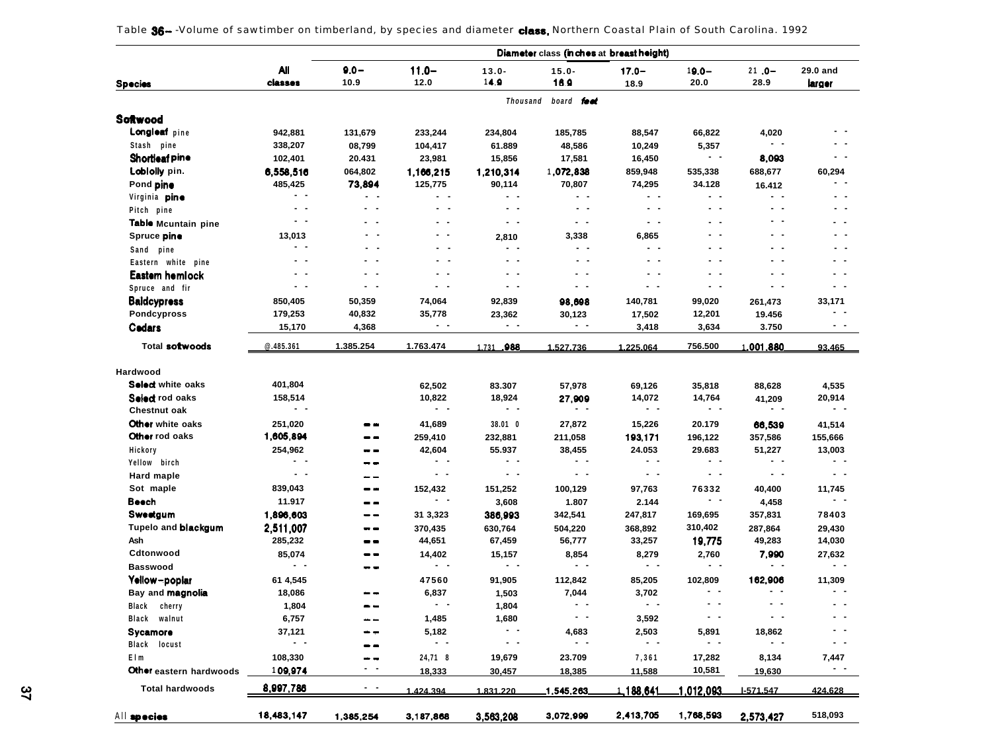|                                    |                      |               |                         |                | Diameter class (inches at breast height) |                      |                |                  |                         |
|------------------------------------|----------------------|---------------|-------------------------|----------------|------------------------------------------|----------------------|----------------|------------------|-------------------------|
|                                    | Αll                  | $9.0 -$       | $11.0 -$                | $13.0 -$       | $15.0 -$                                 | $17.0 -$             | $19.0 -$       | $21.0 -$         | 29.0 and                |
| <b>Species</b>                     | classes              | 10.9          | 12.0                    | 14.9           | 16.9                                     | 18.9                 | 20.0           | 28.9             | larger                  |
|                                    |                      |               |                         | Thousand       | board feet                               |                      |                |                  |                         |
| Softwood                           |                      |               |                         |                |                                          |                      |                |                  |                         |
| Longleaf pine                      | 942,881              | 131,679       | 233,244                 | 234,804        | 185,785                                  | 88,547               | 66,822         | 4,020            |                         |
| Stash pine                         | 338,207              | 08,799        | 104,417                 | 61.889         | 48,586                                   | 10,249               | 5,357          | - -              |                         |
| Shortleaf pine                     | 102,401              | 20.431        | 23,981                  | 15,856         | 17,581                                   | 16,450               | $ -$           | 8,093            | - -                     |
| Loblolly pin.                      | 6,558,516            | 064,802       | 1,166,215               | 1,210,314      | 1,072,838                                | 859,948              | 535,338        | 688,677          | 60,294                  |
| Pond pine                          | 485,425              | 73,894        | 125,775                 | 90,114         | 70,807                                   | 74,295               | 34.128         | 16.412           |                         |
| Virginia <b>pine</b>               | $\sim$ $\sim$        |               | $\sim$ $\sim$           | $ -$           | $\sim$ $\sim$                            | $\sim$ $\sim$        | $ -$           | . .              | . .                     |
| Pitch pine                         | - -                  | $ -$          | $ -$                    | $ -$           | $\sim$ $-$                               | $\sim$ $\sim$        | $\sim$ $\sim$  |                  |                         |
| Table Mcuntain pine                | . .                  | . .           | - -                     | $ -$           | $\sim$ $-$                               | $\sim$ $\sim$        | . .            |                  | $\sim$ $\sim$           |
| Spruce pine                        | 13,013               | . .           | $\qquad \qquad -$       | 2,810          | 3,338                                    | 6,865                | . .            | $\sim$ $\sim$    | $\sim$ $\sim$           |
| Sand pine                          | $ -$                 | . .           | $\sim$ $\sim$           | $ -$           | - -                                      | $\sim$ $\sim$        | . .            | . .              | $ -$                    |
| Eastern white pine                 | . .                  | . .           | $ -$                    | $ -$           | - -                                      | $\sim$ $\sim$        | . .            |                  |                         |
| Eastem hemlock                     | $\sim$ $\sim$        | $\sim$ $-$    | - -                     | $ -$           | $ -$                                     | $\sim$ $\sim$        | . .            | - -              |                         |
| Spruce and fir                     | $\sim$ $-$           | $\sim$ $\sim$ | $ -$                    | $ -$           | $\sim$ $\sim$                            | $\sim$ $\sim$        | $\sim$ $\sim$  | . .              | $ -$                    |
| <b>Baldcypress</b>                 | 850,405              | 50,359        | 74,064                  | 92,839         | 98,698                                   | 140,781              | 99,020         | 261,473          | 33,171                  |
| Pondcypross                        | 179,253              | 40,832        | 35,778                  | 23,362         | 30,123                                   | 17,502               | 12,201         | 19.456           |                         |
| Codars                             | 15,170               | 4,368         | $\blacksquare$          | $ -$           | $ -$                                     | 3,418                | 3,634          | 3.750            | - -                     |
|                                    |                      |               |                         |                |                                          |                      |                |                  |                         |
| Total sotwoods                     | @.485.361            | 1.385.254     | 1.763.474               | 1.731 .988     | 1.527.736                                | 1.225.064            | 756.500        | <u>1,001,880</u> | 93.465                  |
| Hardwood                           |                      |               |                         |                |                                          |                      |                |                  |                         |
| Select white oaks                  | 401,804              |               |                         |                |                                          |                      |                |                  |                         |
| Select rod oaks                    |                      |               | 62,502                  | 83.307         | 57,978                                   | 69,126               | 35,818         | 88,628           | 4,535                   |
| Chestnut oak                       | 158,514<br>$ -$      |               | 10,822<br>$\sim$ $\sim$ | 18,924<br>$ -$ | 27,909<br>. .                            | 14,072<br>$ -$       | 14,764<br>$ -$ | 41,209<br>. .    | 20,914<br>$\sim$ $\sim$ |
|                                    |                      |               |                         |                |                                          |                      |                |                  |                         |
| Other white oaks<br>Other rod oaks | 251,020<br>1,605,894 | - -           | 41,689                  | 38.01 0        | 27,872                                   | 15,226               | 20.179         | 66,539           | 41,514                  |
|                                    |                      | - -           | 259,410                 | 232,881        | 211,058                                  | 193,171              | 196,122        | 357,586          | 155,666                 |
| Hickory                            | 254,962<br>$ -$      | - -<br>- -    | 42,604<br>$\sim$ $\sim$ | 55.937<br>$ -$ | 38,455<br>$ -$                           | 24.053<br>$\sim$ $-$ | 29.683<br>$ -$ | 51,227<br>. .    | 13,003<br>$ -$          |
| Yellow birch                       | $\sim$ $\sim$        |               | $\sim$ $\sim$           | . .            | $\sim$ $\sim$                            | $ -$                 | . .            | $ -$             | $ -$                    |
| <b>Hard maple</b>                  |                      | - -           |                         |                |                                          |                      |                |                  |                         |
| Sot maple                          | 839,043              | --            | 152,432<br>$ -$         | 151,252        | 100,129                                  | 97,763               | 76332<br>$ -$  | 40,400           | 11,745<br>$ -$          |
| Beech                              | 11.917               | --            |                         | 3,608          | 1.807                                    | 2.144                |                | 4,458            |                         |
| Sweetgum                           | 1,896,603            | --            | 31 3,323                | 386,993        | 342,541                                  | 247,817              | 169,695        | 357,831          | 78403                   |
| Tupelo and blackgum                | 2,511,007            | --            | 370,435                 | 630,764        | 504,220                                  | 368,892              | 310,402        | 287,864          | 29,430                  |
| Ash                                | 285,232              | --            | 44,651                  | 67,459         | 56,777                                   | 33,257               | 19,775         | 49,283           | 14,030                  |
| Cdtonwood                          | 85,074<br>$ -$       | --            | 14,402<br>$\sim$ $\sim$ | 15,157         | 8,854<br>$ -$                            | 8,279<br>$ -$        | 2,760<br>$ -$  | 7,990<br>- -     | 27,632<br>$\sim$        |
| <b>Basswood</b>                    |                      | - -           |                         | - -            |                                          |                      |                |                  |                         |
| Yellow-poplar                      | 61 4,545             |               | 47560                   | 91,905         | 112,842                                  | 85,205               | 102,809<br>. . | 162,906          | 11,309<br>. .           |
| Bay and magnolia                   | 18,086               |               | 6,837                   | 1,503          | 7,044                                    | 3,702<br>. .         | - -            |                  | . .                     |
| Black cherry                       | 1,804                | - -           | $ -$                    | 1,804          | $ -$                                     |                      |                |                  |                         |
| Black walnut                       | 6,757                |               | 1,485                   | 1,680          |                                          | 3,592                |                |                  |                         |
| Sycamore                           | 37,121               |               | 5,182                   | $\sim$ $-$     | 4,683                                    | 2,503                | 5,891          | 18,862           | - -                     |
| Black locust                       | $ -$                 |               | $ -$                    | - -            | $\sim$ $\sim$                            | $ -$                 | $ -$           | - -              |                         |
| Elm                                | 108,330              |               | 24,71 8                 | 19,679         | 23.709                                   | 7,361                | 17,282         | 8,134            | 7,447                   |
| Other eastern hardwoods            | <u>1</u> 09,974      | - -           | 18,333                  | 30,457         | 18,385                                   | 11,588               | 10,581         | 19,630           | $\sim$ $\sim$           |
| <b>Total hardwoods</b>             | 8,997,786            | - -           | 1 424 394               | 1831220        | 1,545,263                                | <u>1,188,641</u>     | 1,012,093      | 1-571.547        | 424.628                 |
| All species                        | 18,483,147           | 1,385,254     | 3,187,868               | 3,563,208      | 3,072,999                                | 2,413,705            | 1,768,593      | 2,573,427        | 518,093                 |

| Table 36—-Volume of sawtimber on timberland, by species and diameter class, Northern Coastal Plain of South Carolina. 1992 |  |  |  |
|----------------------------------------------------------------------------------------------------------------------------|--|--|--|
|----------------------------------------------------------------------------------------------------------------------------|--|--|--|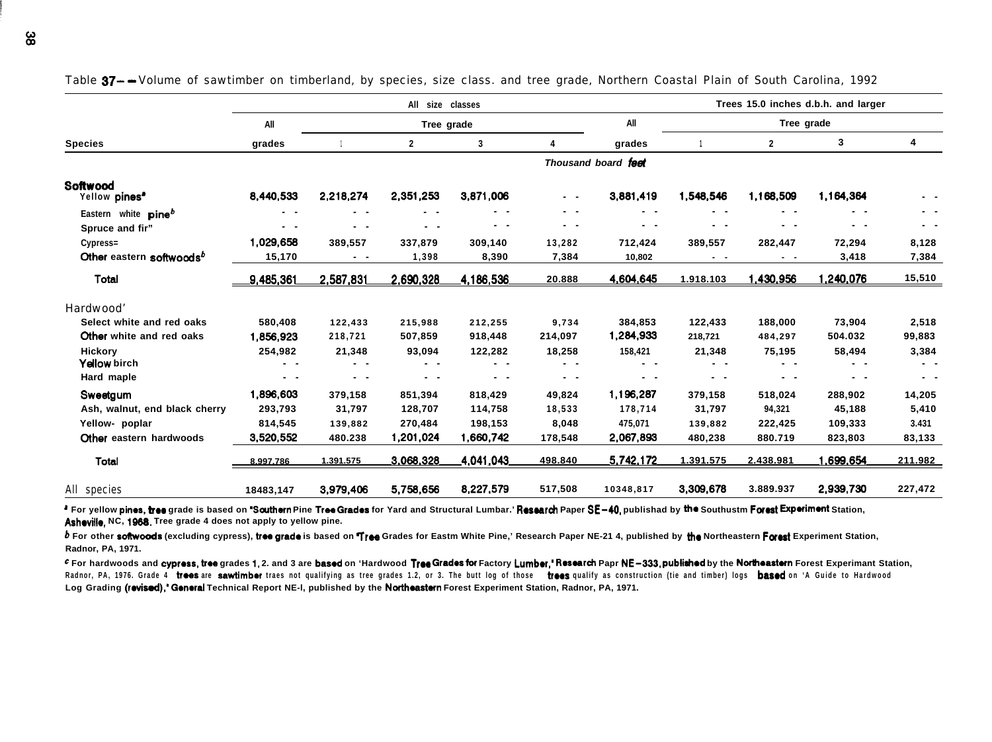|                                       |               |           | All size classes |               |               |                     |                |                   | Trees 15.0 inches d.b.h. and larger |               |
|---------------------------------------|---------------|-----------|------------------|---------------|---------------|---------------------|----------------|-------------------|-------------------------------------|---------------|
|                                       | All           |           | Tree grade       |               |               | All                 |                | Tree grade        |                                     |               |
| <b>Species</b>                        | grades        |           | 2                | 3             | 4             | grades              |                | $\mathbf{2}$      | 3                                   | 4             |
|                                       |               |           |                  |               |               | Thousand board feet |                |                   |                                     |               |
| Softwood<br>Yellow pines <sup>®</sup> | 8,440,533     | 2,218,274 | 2,351,253        | 3.871.006     | $\sim$ $\sim$ | 3,881,419           | 1,548,546      | 1,168,509         | 1.164,364                           |               |
| Eastern white<br>$\mathsf{pine}^b$    | - -           | - -       | - -              | . .           | . .           | . .                 | . .            | . .               | . .                                 | - -           |
| Spruce and fir"                       | . .           | . .       | $\sim$ $\sim$    | . .           | $\sim$ $\sim$ | $\sim$ $\sim$       | $\sim$         | $\sim$            | . .                                 | $\sim$ $\sim$ |
| Cypress=                              | 1,029,658     | 389,557   | 337.879          | 309,140       | 13,282        | 712,424             | 389,557        | 282,447           | 72,294                              | 8,128         |
| Other eastern softwoods <sup>b</sup>  | 15,170        | . .       | 1,398            | 8,390         | 7,384         | 10,802              | $\sim$ $ \sim$ | $\sim$ $ -$       | 3,418                               | 7,384         |
| Total                                 | 9,485,361     | 2,587,831 | 2,690,328        | 4,186,536     | 20.888        | 4,604,645           | 1.918.103      | <u>1,430,956 </u> | 1,240,076                           | 15,510        |
| Hardwood'                             |               |           |                  |               |               |                     |                |                   |                                     |               |
| Select white and red oaks             | 580,408       | 122,433   | 215,988          | 212,255       | 9,734         | 384,853             | 122,433        | 188.000           | 73,904                              | 2,518         |
| Other white and red oaks              | 1,856,923     | 218,721   | 507,859          | 918,448       | 214,097       | 1,284,933           | 218,721        | 484,297           | 504.032                             | 99,883        |
| <b>Hickory</b>                        | 254,982       | 21,348    | 93,094           | 122,282       | 18,258        | 158,421             | 21,348         | 75,195            | 58,494                              | 3,384         |
| Yellow birch                          | $\sim$ $\sim$ | . .       | $\sim$ $\sim$    | $\sim$ $\sim$ | $\sim$ $\sim$ | $\sim$ $\sim$       | $\sim$ $\sim$  | . .               | - -                                 | $\sim$ $\sim$ |
| Hard maple                            | $\sim$ $\sim$ | . .       | $\sim$ $\sim$    | $\sim$ $\sim$ | $\sim$ $\sim$ | - -                 | $\sim$ $\sim$  | . .               | . .                                 | $\sim$ $\sim$ |
| Sweetgum                              | 1,896,603     | 379,158   | 851,394          | 818,429       | 49,824        | 1,196,287           | 379,158        | 518,024           | 288,902                             | 14,205        |
| Ash, walnut, end black cherry         | 293,793       | 31,797    | 128,707          | 114,758       | 18,533        | 178,714             | 31,797         | 94,321            | 45,188                              | 5,410         |
| Yellow- poplar                        | 814,545       | 139,882   | 270,484          | 198,153       | 8,048         | 475,071             | 139,882        | 222,425           | 109,333                             | 3.431         |
| Other eastern hardwoods               | 3.520.552     | 480.238   | 1,201,024        | 1,660,742     | 178,548       | 2,067,893           | 480,238        | 880.719           | 823,803                             | 83,133        |
| Total                                 | 8.997.786     | 1.391.575 | 3,068,328        | 4,041,043     | 498.840       | 5,742,172           | 1.391.575      | 2.438.981         | .699.654                            | 211.982       |
| All species                           | 18483,147     | 3,979,406 | 5,758,656        | 8,227,579     | 517,508       | 10348,817           | 3,309,678      | 3.889.937         | 2,939,730                           | 227,472       |

Table  $37-$  Volume of sawtimber on timberland, by species, size class. and tree grade, Northern Coastal Plain of South Carolina, 1992

**a** For yellow pines, tree grade is based on "Scuthern Pine Tree Grades for Yard and Structural Lumbar.' Research Paper SE-40, publishad by the Southustm Forest Experiment Station, Asheville, NC, 1968. Tree grade 4 does not apply to yellow pine.

**b** For other softwoods (excluding cypress), tree grade is based on Tree Grades for Eastm White Pine,' Research Paper NE-21 4, published by the Northeastern Forest Experiment Station, **Radnor, PA, 1971.**

For hardwoods and cypress, tree grades 1, 2, and 3 are based on 'Hardwood Tree Grades for Factory Lumber," Research Papr NE-333, published by the Northeastern Forest Experimant Station. Radnor, PA, 1976. Grade 4 **trees are sawtimber** traes not qualifying as tree grades 1.2, or 3. The butt log of those trees qualify as construction (tie and timber) logs **based** on 'A Guide to Hardwood Log Grading (revised),<sup>\*</sup> General Technical Report NE-I, published by the Northeastern Forest Experiment Station, Radnor, PA, 1971.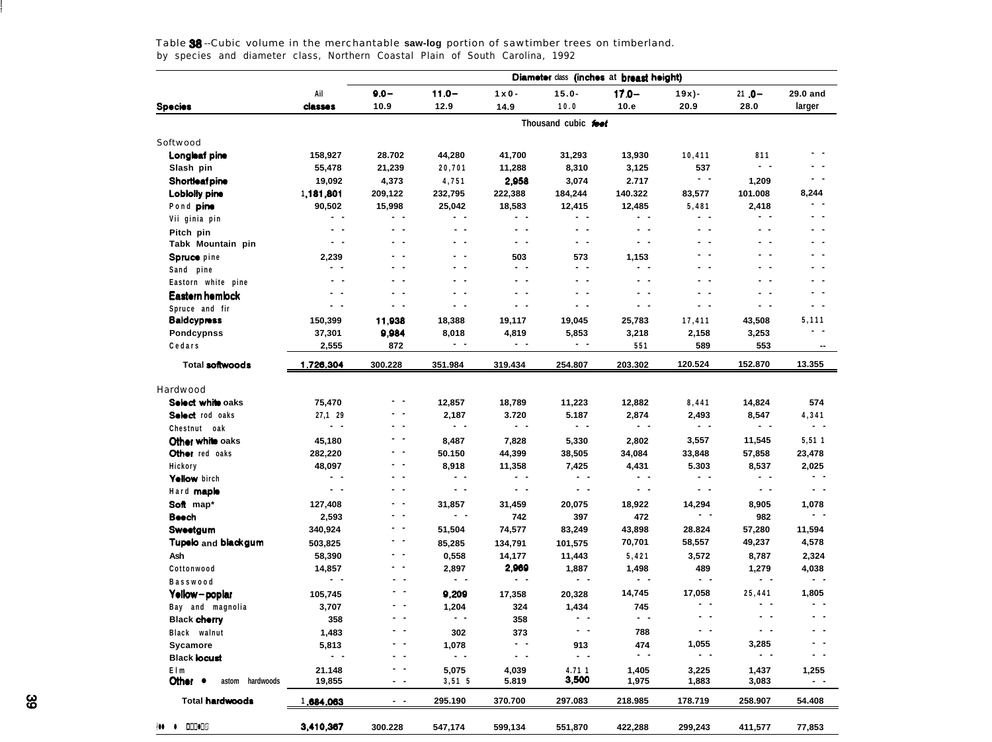|                                   |                          |               |                |                          |                          | Diameter class (inches at breast height) |                                            |                |                          |
|-----------------------------------|--------------------------|---------------|----------------|--------------------------|--------------------------|------------------------------------------|--------------------------------------------|----------------|--------------------------|
|                                   | Ail                      | $9.0 -$       | $11.0 -$       | $1 \times 0$ -           | $15.0 -$                 | $17.0 -$                                 | 19x)-                                      | $21.0 -$       | 29.0 and                 |
| <b>Species</b>                    | <b>classes</b>           | 10.9          | 12.9           | 14.9                     | 10.0                     | 10.e                                     | 20.9                                       | 28.0           | larger                   |
|                                   |                          |               |                |                          | Thousand cubic feet      |                                          |                                            |                |                          |
| Softwood                          |                          |               |                |                          |                          |                                          |                                            |                |                          |
| Longleaf pine                     | 158,927                  | 28.702        | 44,280         | 41,700                   | 31,293                   | 13,930                                   | 10,411                                     | 811            |                          |
| Slash pin                         | 55,478                   | 21,239        | 20,701         | 11,288                   | 8,310                    | 3,125                                    | 537                                        | $\sim$ $\sim$  | . .                      |
| <b>Shortleaf pine</b>             | 19,092                   | 4,373         | 4,751          | 2.958                    | 3,074                    | 2.717                                    | $\sim$ $\sim$                              | 1,209          | . .                      |
| Lobiolly pine                     | 1,181,801                | 209,122       | 232,795        | 222,388                  | 184,244                  | 140.322                                  | 83,577                                     | 101.008        | 8,244                    |
| Pond pine                         | 90,502                   | 15,998        | 25,042         | 18,583                   | 12,415                   | 12,485                                   | 5,481                                      | 2,418          | . .                      |
| Vii ginia pin                     | . .                      | $\sim$ $\sim$ | $\sim$ $\sim$  | . .                      | . .                      | . .                                      | . .                                        | . .            | . .                      |
| Pitch pin                         | $\sim$ $\sim$            | $\sim$ $\sim$ | $\sim$ $\sim$  | $\sim$ $\sim$            | $\sim$ $\sim$            | $\overline{a}$ $\overline{a}$            | $\ddot{\phantom{1}}$                       | . .            | . .                      |
| Tabk Mountain pin                 | $\overline{\phantom{a}}$ | $ -$          | $\sim$ $\sim$  | $ -$                     | $ -$                     | $\sim$ $\sim$                            | $\blacksquare$<br>$\overline{\phantom{a}}$ | . .            |                          |
| Spruce pine                       | 2,239                    | - -           | $ -$           | 503                      | 573                      | 1,153                                    | . .                                        | . .            | . .                      |
| Sand pine                         | $\sim$ $\sim$            | $\sim$ $\sim$ | $\sim$ $\sim$  | $\sim$ $-$               | . .                      | $\sim$ $\sim$                            | . .                                        | . .            | . .                      |
| Eastorn white pine                | $\overline{\phantom{a}}$ | . .           | $\sim$ $\sim$  | $ -$                     | $\overline{\phantom{a}}$ | . .                                      | $\overline{\phantom{a}}$                   | . .            | . .                      |
| Eastern hemlock                   | $\sim$ $\sim$            | $\sim$ $\sim$ | $\sim$ $\sim$  | $\sim$ $\sim$            | $ -$                     | $\sim$ $\sim$                            | $\sim$ $\sim$                              | $\sim$ $\sim$  | $ -$                     |
| Spruce and fir                    | $\sim$ $\sim$            | $\sim$ $\sim$ | $\sim$ $\sim$  | $\sim$ $\sim$            | - -                      | $\sim$ $\sim$                            | $\sim$ $\sim$                              | $\sim$ $\sim$  | . .                      |
| Baldcypress                       | 150,399                  | 11.938        | 18,388         | 19,117                   | 19,045                   | 25,783                                   | 17,411                                     | 43,508         | 5,111                    |
| <b>Pondcypnss</b>                 | 37,301                   | 9,984         | 8,018          | 4,819                    | 5,853                    | 3,218                                    | 2,158                                      | 3,253          | - -                      |
| Cedars                            | 2,555                    | 872           | $\blacksquare$ | $\sim$ $\sim$            | $ -$                     | 551                                      | 589                                        | 553            | $\overline{\phantom{a}}$ |
| Total softwoods                   | 1,726,304                | 300.228       | 351.984        | 319.434                  | 254.807                  | 203.302                                  | 120.524                                    | 152.870        | 13.355                   |
|                                   |                          |               |                |                          |                          |                                          |                                            |                |                          |
| Hardwood                          |                          |               |                |                          |                          |                                          |                                            |                |                          |
| Select while oaks                 | 75,470                   | $ -$          | 12,857         | 18,789                   | 11,223                   | 12,882                                   | 8,441                                      | 14,824         | 574                      |
| Select rod oaks                   | 27,1 29                  | - -           | 2,187          | 3.720                    | 5.187                    | 2,874                                    | 2,493                                      | 8,547          | 4,341                    |
| Chestnut oak                      | $\sim$ $\sim$            | $ -$          | $ -$           | $\sim$ $\sim$            | $\sim$ $\sim$            | $\sim$ $\sim$                            | - -                                        | $\sim$ $\sim$  | $\sim$ $\sim$            |
| Other white oaks                  | 45,180                   | $ -$          | 8,487          | 7,828                    | 5,330                    | 2,802                                    | 3,557                                      | 11,545         | 5,511                    |
| Other red oaks                    | 282,220                  | $\sim$ $-$    | 50.150         | 44,399                   | 38,505                   | 34,084                                   | 33,848                                     | 57,858         | 23,478                   |
| Hickory                           | 48,097                   | $\sim$ $\sim$ | 8,918          | 11,358                   | 7,425                    | 4,431                                    | 5.303                                      | 8,537          | 2,025                    |
| Yellow birch                      | $\sim$ $\sim$            | . .           | $\sim$ $\sim$  | $\sim$ $\sim$            | $ -$                     | . .                                      | - -                                        | $\sim$ $\sim$  | $\sim$ $\sim$            |
| Hard maple                        | $\sim$ $\sim$            | $\sim$ $\sim$ | $\sim$ $\sim$  | $\sim$ $-$               | $\sim$ $\sim$            | $\sim$ $\sim$                            | $\sim$ $-$                                 | $\blacksquare$ | $\sim$ $-$               |
| Soft map*                         | 127,408                  | $ -$          | 31,857         | 31,459                   | 20,075                   | 18,922                                   | 14,294                                     | 8,905          | 1,078                    |
| Beech                             | 2,593                    | $\sim$ $-$    | $ -$           | 742                      | 397                      | 472                                      | $ -$                                       | 982            | $ -$                     |
| Sweetgum                          | 340,924                  | $ -$          | 51,504         | 74,577                   | 83,249                   | 43,898                                   | 28.824                                     | 57,280         | 11,594                   |
| Tupelo and blackgum               | 503,825                  | $\sim$ $-$    | 85,285         | 134,791                  | 101,575                  | 70,701                                   | 58,557                                     | 49,237         | 4,578                    |
| Ash                               | 58,390                   | $\sim$ $\sim$ | 0,558          | 14,177                   | 11,443                   | 5,421                                    | 3,572                                      | 8,787          | 2,324                    |
| Cottonwood                        | 14,857                   | . .           | 2,897          | 2,969                    | 1,887                    | 1,498                                    | 489                                        | 1,279          | 4,038                    |
| Basswood                          | $ -$                     | $\sim$ $\sim$ | $\sim$ $\sim$  | $\overline{\phantom{a}}$ | $\sim$ $\sim$            | $\sim$ $\sim$                            | $\sim$ $\sim$                              | $\sim$ $\sim$  | $\sim$ $\sim$            |
| Yellow-poplar                     | 105,745                  | $ -$          | 9,209          | 17,358                   | 20,328                   | 14,745                                   | 17,058                                     | 25,441         | 1,805                    |
| Bay and magnolia                  | 3,707                    | $\sim$ $\sim$ | 1,204          | 324                      | 1,434                    | 745                                      | $\sim$ $\sim$                              | $\sim$ $\sim$  | $\sim$ $\sim$            |
| <b>Black cherry</b>               | 358                      | . .           | $\sim$ $\sim$  | 358                      | $\sim$ $\sim$            | $\sim$ $\sim$                            | $\overline{\phantom{a}}$                   | $\sim$ $\sim$  | $\overline{\phantom{a}}$ |
| Black walnut                      | 1,483                    | $\sim$ $\sim$ | 302            | 373                      | $ -$                     | 788                                      | $ -$                                       | $ -$           | $\sim$ $\sim$            |
| Sycamore                          | 5,813                    | $\sim$ $\sim$ | 1,078          | $\sim$ $\sim$            | 913                      | 474                                      | 1,055                                      | 3,285          | $ -$                     |
| <b>Black locust</b>               | $\sim$ $\sim$            | $ -$          | $\sim$ $\sim$  | $ -$                     | $ -$                     | $\sim$ $\sim$                            | $\sim$ $\sim$                              | $ -$           | $ -$                     |
| Elm                               | 21.148                   | $\sim$ $\sim$ | 5,075          | 4,039                    | 4.71 1                   | 1,405                                    | 3,225                                      | 1,437          | 1,255                    |
| Other •<br>astom<br>hardwoods     | 19,855                   | $ -$          | 3,51,5         | 5.819                    | 3,500                    | 1,975                                    | 1,883                                      | 3,083          | $\sim$ $\sim$            |
| <b>Total hardwoods</b>            | 1.684,063                | $ -$          | 295.190        | 370.700                  | 297.083                  | 218.985                                  | 178.719                                    | 258.907        | 54.408                   |
| <b>ODD</b> OOS<br>١u<br>$\bullet$ | 3,410,367                |               |                |                          |                          |                                          |                                            |                |                          |
|                                   |                          | 300.228       | 547,174        | 599,134                  | 551,870                  | 422,288                                  | 299,243                                    | 411,577        | 77,853                   |

Table 38 --Cubic volume in the merchantable **saw-log** portion of sawtimber trees on timberland. by species and diameter class, Northern Coastal Plain of South Carolina, 1992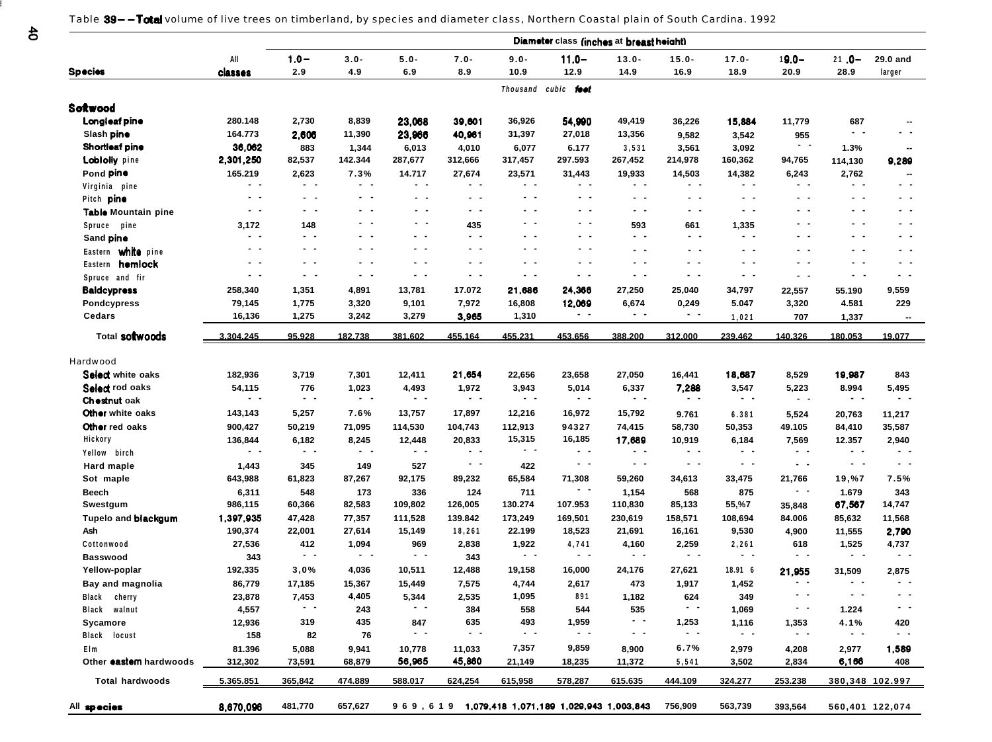Table 39--Total volume of live trees on timberland, by species and diameter class, Northern Coastal plain of South Cardina. 1992

|                                |                   |                   |                 |                  |                   |                 | Diameter class (inches at breast height) |                   |                     |                        |                        |                        |                   |
|--------------------------------|-------------------|-------------------|-----------------|------------------|-------------------|-----------------|------------------------------------------|-------------------|---------------------|------------------------|------------------------|------------------------|-------------------|
|                                | All               | $1.0 -$           | $3.0 -$         | $5.0 -$          | $7.0 -$           | $9.0 -$         | $11.0 -$                                 | $13.0 -$          | $15.0 -$            | $17.0 -$               | $19.0 -$               | $21.0 -$               | 29.0 and          |
| <b>Species</b>                 | <b>classes</b>    | 2.9               | 4.9             | 6.9              | 8.9               | 10.9            | 12.9                                     | 14.9              | 16.9                | 18.9                   | 20.9                   | 28.9                   | larger            |
|                                |                   |                   |                 |                  |                   |                 | Thousand cubic foot                      |                   |                     |                        |                        |                        |                   |
| Softwood                       |                   |                   |                 |                  |                   |                 |                                          |                   |                     |                        |                        |                        |                   |
| Longieaf pine                  | 280.148           | 2,730             | 8,839           | 23,068           | 39,601            | 36,926          | 54,990                                   | 49,419            | 36,226              | 15,884                 | 11,779                 | 687                    |                   |
| Slash pine                     | 164.773           | 2,606             | 11,390          | 23,966           | 40,961            | 31,397          | 27,018                                   | 13,356            | 9,582               | 3,542                  | 955                    | $ -$                   | . .               |
| <b>Shortleaf pine</b>          | 36,062            | 883               | 1,344           | 6,013            | 4,010             | 6,077           | 6.177                                    | 3,531             | 3,561               | 3,092                  | $\sim$ $-$             | 1.3%                   |                   |
| <b>Lobiolly</b> pine           | 2,301,250         | 82,537            | 142.344         | 287,677          | 312,666           | 317,457         | 297.593                                  | 267,452           | 214,978             | 160,362                | 94,765                 | 114,130                | 9,289             |
| Pond pine                      | 165.219           | 2,623             | 7.3%            | 14.717           | 27,674            | 23,571          | 31,443                                   | 19,933            | 14,503              | 14,382                 | 6,243                  | 2,762                  |                   |
| Virginia pine                  | $\sim$ $\sim$     | $\sim$ $\sim$     | $ -$            | $\sim$ $-$       | $\sim$ $-$        | $\sim$ $\sim$   | $\sim$ $\sim$                            | $\sim$ $-$        | $\sim$ $-$          | $\sim$ $\sim$          | $\sim$ $-$             | $\sim$ $\sim$          | . .               |
| Pitch pine                     | . .               | $ -$              | $\sim$ $ \sim$  | $\sim$ $-$       | $\qquad \qquad -$ | $\sim$ $\sim$   | $\sim$ $\sim$                            | $\sim$ $-$        | $\sim$ $-$          | $\sim$ $-$             | $\sim$ $-$             | $\sim$ $\sim$          | $\sim$ $\sim$     |
| Table Mountain pine            | . .               | . .               | $\sim$ $\sim$   | $\sim$ $\sim$    | $\qquad \qquad -$ | $ -$            | $ -$                                     | $ -$              | $\sim$ $\sim$       | $ -$                   | $ -$                   | $ -$                   | $ -$              |
| Spruce pine                    | 3,172             | 148               | . .             | $\sim$ $-$       | 435               | $ -$            | $ -$                                     | 593               | 661                 | 1,335                  | $ -$                   | $ -$                   | $\sim$ $\sim$     |
| Sand pine                      | $\qquad \qquad -$ | $\qquad \qquad -$ | $\sim$ $-$      | . .              | $\qquad \qquad -$ | $\sim$ $\sim$   | $\sim$ $\sim$                            | $\sim$ $-$        | $\sim$ $-$          | $\sim$ $-$             | $\sim$                 | $ -$                   | $\sim$ $\sim$     |
| Eastern <b>white</b> pine      | . .               | $ -$              | $\sim$ $\sim$   | $\sim$ $\sim$    | $\sim$ $\sim$     | $\sim$ $\sim$   | $ -$                                     | $\sim$ $\sim$     | $\sim$ $\sim$       | $\sim$ $\sim$          | $\sim$ $\sim$          | $ -$                   | $ -$              |
| Eastern hemlock                | . .               | $ -$              | $\sim$ $\sim$   | . .              | . .               | $\sim$ $\sim$   | $\sim$ $\sim$                            | $ -$              | $\sim$ $\sim$       | $ -$                   | $\sim$ $\sim$          | $ -$                   | $ -$              |
| Spruce and fir                 | $\sim$ $\sim$     | $ -$              | $\sim$ $-$      | $\sim$ $\sim$    | $ -$              | $ -$            | $\sim$ $-$                               | $ -$              | $ -$                | $\sim$ $-$             | $\sim$ $-$             | $\sim$ $\sim$          | - -               |
| <b>Baldcypress</b>             | 258,340           | 1,351             | 4,891           | 13,781           | 17.072            | 21,686          | 24,366                                   | 27,250            | 25,040              | 34,797                 | 22,557                 | 55.190                 | 9,559             |
| <b>Pondcypress</b>             | 79,145            | 1,775             | 3,320           | 9,101            | 7,972             | 16,808          | 12,069                                   | 6,674             | 0,249               | 5.047                  | 3,320                  | 4.581                  | 229               |
| Cedars                         | 16,136            | 1,275             | 3,242           | 3,279            | 3,965             | 1,310           | $\sim$ $\sim$                            | - -               | $ -$                | 1,021                  | 707                    | 1,337                  |                   |
|                                |                   |                   |                 |                  |                   |                 |                                          |                   |                     |                        |                        |                        |                   |
| Total softwoods                | 3.304.245         | 95.928            | 182.738         | 381.602          | 455.164           | 455.231         | 453.656                                  | 388.200           | 312.000             | 239.462                | 140.326                | 180.053                | 19.077            |
| Hardwood                       |                   |                   |                 |                  |                   |                 |                                          |                   |                     |                        |                        |                        |                   |
| Select white oaks              | 182,936           | 3,719             | 7,301           | 12,411           | 21,654            | 22,656          | 23,658                                   | 27,050            | 16,441              | 18,687                 | 8,529                  | 19,987                 | 843               |
| Select rod oaks                | 54,115            | 776               | 1,023           | 4,493            | 1,972             | 3,943           | 5,014                                    | 6,337             | 7,288               | 3,547                  | 5,223                  | 8.994                  | 5,495             |
| Chestnut oak                   | $\sim$ $\sim$     | . .               | $\sim$ $\sim$   | $\sim$ $\sim$    | $\sim$ $\sim$     | $\sim$ $\sim$   | $\sim$ $-$                               | $\sim$ $\sim$     | $\sim$ $-$          | $\sim$ $\sim$          | $\sim$ $\sim$          | $ -$                   | $ -$              |
| Other white oaks               | 143,143           | 5,257             | 7.6%            | 13,757           | 17,897            | 12,216          | 16,972                                   | 15,792            | 9.761               | 6.381                  | 5,524                  | 20,763                 | 11,217            |
| Other red oaks                 | 900,427           | 50,219            | 71,095          | 114,530          | 104,743           | 112,913         | 94327                                    | 74,415            | 58,730              | 50,353                 | 49.105                 | 84,410                 | 35,587            |
| Hickory                        | 136,844           | 6,182             | 8,245           | 12,448           | 20,833            | 15,315          | 16,185                                   | 17,689            | 10,919              | 6,184                  | 7,569                  | 12.357                 | 2,940             |
| Yellow birch                   | $\sim$ $\sim$     | $\sim$ $-$        | $\sim$ $-$      | $ -$             | $ -$              | $ -$            | $\sim$ $-$                               | $\sim$ $-$        | $\sim$ $-$          | $\sim$ $-$             | $\sim$ $-$             | $\sim$ $-$             | $\sim$ $-$        |
| Hard maple                     | 1,443             | 345               | 149             | 527              | $\sim$ $\sim$     | 422             | $\sim$ $-$                               | $ -$              | $ -$                | $\sim$ $\sim$          | $\sim$ $-$             | $\sim$ $\sim$          | - -               |
| Sot maple                      | 643,988           | 61,823            | 87,267          | 92,175           | 89,232            | 65,584          | 71,308                                   | 59,260            | 34,613              | 33,475                 | 21,766                 | 19,%7                  | 7.5%              |
| Beech                          | 6,311             | 548               | 173             | 336              | 124               | 711             | $ -$                                     | 1,154             | 568                 | 875                    | $\sim$ $\sim$          | 1.679                  | 343               |
| Swestgum                       | 986,115           | 60,366            | 82,583          | 109,802          | 126,005           | 130.274         | 107.953                                  | 110,830           | 85,133              | 55,%7                  | 35,848                 | 67,567                 | 14,747            |
| Tupelo and blackgum            | 1,397,935         | 47,428            | 77,357          | 111,528          | 139.842           | 173,249         | 169,501                                  | 230,619           | 158,571             | 108,694                | 84.006                 | 85,632                 | 11,568            |
| Ash                            | 190,374           | 22,001            | 27,614          | 15,149           | 18,261            | 22.199          | 18,523                                   | 21,691            | 16,161              | 9,530                  | 4,900                  | 11,555                 | 2,790             |
| Cottonwood                     | 27,536            | 412               | 1,094           | 969              | 2,838             | 1,922           | 4,741                                    | 4,160             | 2,259               | 2,261                  | 618                    | 1,525                  | 4,737             |
| <b>Basswood</b>                | 343               | $ -$              | $\sim$ $-$      | $\sim$ $\sim$    | 343               | $\sim$ $-$      | $\sim$ $-$                               | $\sim$ $\sim$     | $\sim$ $\sim$       | $\sim$ $-$             | $\sim$ $\sim$          | $\sim$ $\sim$          | $\sim$ $-$        |
| Yellow-poplar                  | 192,335           | 3,0%              | 4,036           | 10,511           | 12,488            | 19,158          | 16,000                                   | 24,176            | 27,621              | 18.91 6                | 21,955                 | 31,509                 | 2,875             |
| <b>Bay and magnolia</b>        | 86,779            | 17,185            | 15,367          | 15,449           | 7,575             | 4,744           | 2,617                                    | 473               | 1,917               | 1,452                  | . .                    | $\sim$ $\sim$          | $\sim$ $\sim$     |
|                                | 23,878            | 7,453             | 4,405           | 5,344            | 2,535             | 1,095           | 891                                      | 1,182             | 624                 | 349                    | . .                    |                        | - -               |
| Black cherry                   |                   |                   |                 |                  |                   |                 |                                          |                   |                     |                        |                        |                        |                   |
| Black walnut                   | 4,557             |                   | 243<br>435      |                  | 384<br>635        | 558<br>493      | 544                                      | 535<br>$\sim$ $-$ |                     | 1,069                  |                        | 1.224                  |                   |
| Sycamore                       | 12,936            | 319               |                 | 847<br>$ -$      | $ -$              | $\sim$ $\sim$   | 1,959<br>$\sim$ $-$                      | $\sim$ $\sim$     | 1,253<br>$\sim$ $-$ | 1,116<br>$\sim$ $\sim$ | 1,353<br>$\sim$ $\sim$ | 4.1%<br>$\sim$ $\sim$  | 420<br>$\sim$ $-$ |
| Black locust                   | 158               | 82                | 76              |                  |                   |                 |                                          |                   |                     |                        |                        |                        |                   |
| Elm<br>Other eastern hardwoods | 81.396<br>312,302 | 5,088<br>73,591   | 9,941<br>68,879 | 10,778<br>56,965 | 11,033<br>45,860  | 7,357<br>21,149 | 9,859<br>18,235                          | 8,900<br>11,372   | 6.7%<br>5,541       | 2,979<br>3,502         | 4,208<br>2,834         | 2,977<br>6,166         | 1,589<br>408      |
|                                |                   |                   |                 |                  |                   |                 |                                          |                   |                     |                        |                        |                        |                   |
|                                | 5.365.851         | 365,842           | 474.889         | <u>588.017</u>   | 624,254           | 615,958         | 578,287                                  | 615.635           | 444.109             | 324.277                | 253.238                | <u>380,348 102.997</u> |                   |
| <b>Total hardwoods</b>         |                   |                   |                 |                  |                   |                 |                                          |                   |                     |                        |                        |                        |                   |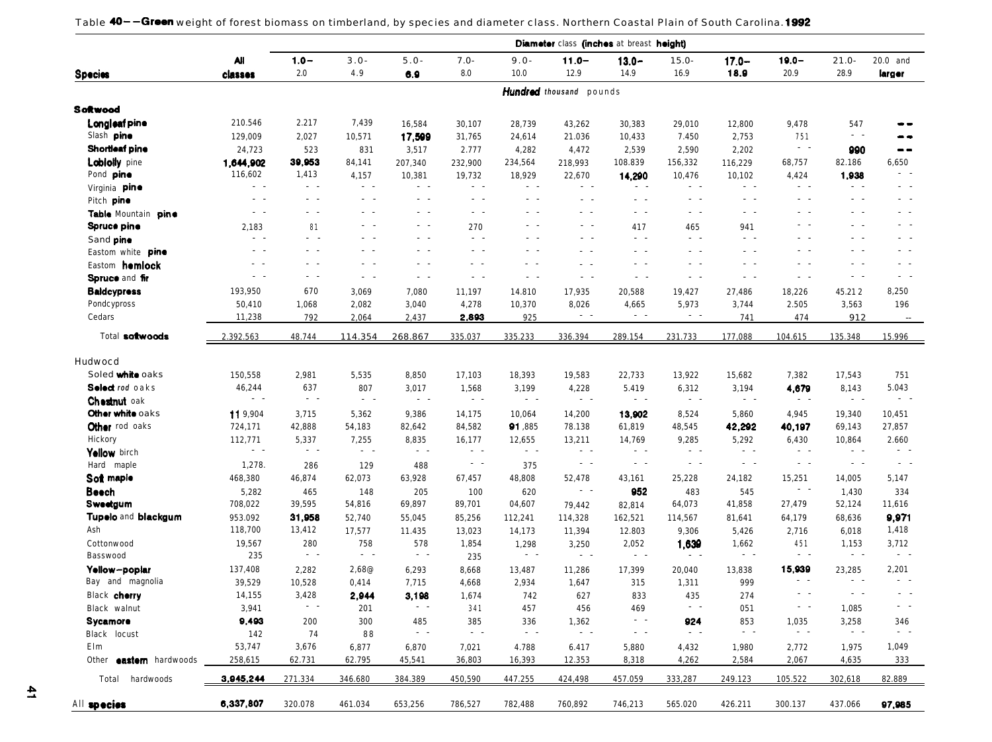Table 40--Green weight of forest biomass on timberland, by species and diameter class. Northern Coastal Plain of South Carolina. 1992

|                                |                  |                 |                |                       |                       |                       |                         | <b>Diameter</b> class (inches at breast height) |                         |                       |                         |                                                                                                                                                                                                                                                                                                                                                                                                                                                                                                                                      |                                                                                                              |
|--------------------------------|------------------|-----------------|----------------|-----------------------|-----------------------|-----------------------|-------------------------|-------------------------------------------------|-------------------------|-----------------------|-------------------------|--------------------------------------------------------------------------------------------------------------------------------------------------------------------------------------------------------------------------------------------------------------------------------------------------------------------------------------------------------------------------------------------------------------------------------------------------------------------------------------------------------------------------------------|--------------------------------------------------------------------------------------------------------------|
|                                | <b>All</b>       | $1.0 -$         | $3.0 -$        | $5.0 -$               | $7.0 -$               | $9.0 -$               | $11.0 -$                | $13.0 -$                                        | $15.0 -$                | $17.0 -$              | $19.0 -$                | $21.0 -$                                                                                                                                                                                                                                                                                                                                                                                                                                                                                                                             | 20.0 and                                                                                                     |
| <b>Species</b>                 | classes          | 2.0             | 4.9            | 6.9                   | 8.0                   | 10.0                  | 12.9                    | 14.9                                            | 16.9                    | 18.9                  | 20.9                    |                                                                                                                                                                                                                                                                                                                                                                                                                                                                                                                                      | larger                                                                                                       |
|                                |                  |                 |                |                       |                       |                       | Hundred thousand pounds |                                                 |                         |                       |                         | 28.9<br>547<br>$\sim$ $ \sim$<br>990<br>82.186<br>1,938<br>$\sim$ $\sim$<br>$\sim$ $\sim$<br>$\sim$ $\sim$<br>$\sim$ $\sim$<br>$\sim$ $\sim$<br>$\sim$ $ \sim$<br>$\sim$ $\sim$<br>$\sim$ $ \sim$<br>45.212<br>3,563<br>912<br>135.348<br>17,543<br>8,143<br>$\sim$ $ \sim$<br>19,340<br>69,143<br>10,864<br>$\sim$ $\sim$<br>$\sim$ $ \sim$<br>14,005<br>1,430<br>52,124<br>68,636<br>6,018<br>1,153<br>$\sim$ $ \sim$<br>23,285<br>$\sim$ $\sim$<br>$\sim$ $\sim$<br>1,085<br>3,258<br>$\sim$ $ \sim$<br>1,975<br>4,635<br>302,618 |                                                                                                              |
| <b>Softwood</b>                |                  |                 |                |                       |                       |                       |                         |                                                 |                         |                       |                         |                                                                                                                                                                                                                                                                                                                                                                                                                                                                                                                                      |                                                                                                              |
| Longleaf pine                  | 210.546          | 2.217           | 7,439          | 16,584                | 30,107                | 28,739                | 43,262                  | 30,383                                          | 29,010                  | 12,800                | 9,478                   |                                                                                                                                                                                                                                                                                                                                                                                                                                                                                                                                      |                                                                                                              |
| Slash pine                     | 129,009          | 2,027           | 10,571         | 17,599                | 31,765                | 24,614                | 21.036                  | 10,433                                          | 7.450                   | 2,753                 | 751                     |                                                                                                                                                                                                                                                                                                                                                                                                                                                                                                                                      |                                                                                                              |
| Shortleaf pine                 | 24,723           | 523             | 831            | 3,517                 | 2.777                 | 4,282                 | 4,472                   | 2,539                                           | 2,590                   | 2,202                 | $\sim$ $ \sim$          |                                                                                                                                                                                                                                                                                                                                                                                                                                                                                                                                      | $- -$                                                                                                        |
| <b>Lobiolly</b> pine           | 1,644,902        | 39,953          | 84,141         | 207,340               | 232,900               | 234,564               | 218,993                 | 108.839                                         | 156,332                 | 116,229               | 68,757                  |                                                                                                                                                                                                                                                                                                                                                                                                                                                                                                                                      | 6,650                                                                                                        |
| Pond pine                      | 116,602          | 1,413           | 4,157          | 10,381                | 19,732                | 18,929                | 22,670                  | 14,290                                          | 10,476                  | 10,102                | 4,424                   |                                                                                                                                                                                                                                                                                                                                                                                                                                                                                                                                      |                                                                                                              |
| Virginia pine                  | $\sim$ $ \sim$   | $\sim$ $ \sim$  | $\sim$ $ \sim$ | $\sim$ $ \sim$        | $\sim$ $ \sim$        | $\sim$ $\sim$         | $\sim$ $ \sim$          | $\sim$ $\sim$                                   | $\sim$ $\sim$           | $\sim$ $\sim$         | $\sim$ $ \sim$          |                                                                                                                                                                                                                                                                                                                                                                                                                                                                                                                                      | $\sim$ $ \sim$                                                                                               |
| Pitch pine                     | $ -$             | $\sim$ $ \sim$  | $ -$           | $\sim$ $ -$           | $\sim$ $\sim$         | $ -$                  | $\sim$ $\sim$           | $\sim$ $\sim$                                   | $\sim$ $\sim$           | $\sim$ $ \sim$        | $\sim$ $ \sim$          |                                                                                                                                                                                                                                                                                                                                                                                                                                                                                                                                      | $\frac{1}{2} \left( \frac{1}{2} \right) \left( \frac{1}{2} \right) = \frac{1}{2} \left( \frac{1}{2} \right)$ |
| Table Mountain pine            | $ -$             | $\sim$ $\sim$   | $ -$           | $\sim$ $ \sim$        | $\sim$ $ \sim$        | $\sim$ $\sim$         | $\sim$ $\sim$           | $\sim$ $\sim$                                   | $\sim$ $\sim$           | $\sim$ $\sim$         | $\sim$ $ \sim$          |                                                                                                                                                                                                                                                                                                                                                                                                                                                                                                                                      | $\sim$ $\sim$                                                                                                |
| Spruce pine                    | 2,183            | 81              | $\sim$ $\sim$  | $\sim$ $ \sim$        | 270                   | $\sim$ $ \sim$        | $\sim$ $ \sim$          | 417                                             | 465                     | 941                   | $\sim$ $\sim$           |                                                                                                                                                                                                                                                                                                                                                                                                                                                                                                                                      | $\frac{1}{2} \left( \frac{1}{2} \right) \left( \frac{1}{2} \right) = \frac{1}{2} \left( \frac{1}{2} \right)$ |
| Sand pine                      | $\sim$ $ \sim$   | $\sim$ $ \sim$  | $\sim$ $ \sim$ | $\sim$ $ \sim$        | $\sim$ $ \sim$        | $\sim$ $ \sim$        | $\sim$ $ \sim$          | $\sim$ $ \sim$                                  | $\sim$ $ \sim$          | $\sim$ $ \sim$        | $\sim$ $\sim$           |                                                                                                                                                                                                                                                                                                                                                                                                                                                                                                                                      | $\sim$ $\sim$                                                                                                |
| Eastom white pine              | $ -$             | $\sim$ $ \sim$  | $ -$           | $\sim$ $ \sim$        | $\sim$ $ \sim$        | $\sim$ $ \sim$        | $\sim$ $\sim$           | $\sim$ $\sim$                                   | $\sim$ $ \sim$          | $\sim$ $ \sim$        | $\sim$ $ \sim$          |                                                                                                                                                                                                                                                                                                                                                                                                                                                                                                                                      | $ -$                                                                                                         |
| Eastom homlock                 | . .              | $\sim$ $ \sim$  | $\sim$ $\sim$  | $\sim$ $ \sim$        | $\sim$ $ \sim$        | $\sim$                | $\sim$ $\sim$           | $\sim$ $ \sim$                                  | $\sim$ $ \sim$          | $\sim$ $ \sim$        | $\sim$ $ \sim$          |                                                                                                                                                                                                                                                                                                                                                                                                                                                                                                                                      | $ -$                                                                                                         |
| Spruce and fir                 | $\sim$           | $\sim$ $ \sim$  | $\sim 100$     | $\sim$ $ \sim$        | $\sim$ $ \sim$        | $\sim$ $\sim$         | $\sim$ $\sim$           | $\sim$ $ \sim$                                  | $\sim$ $ \sim$          | $\sim$ $ \sim$        | $\sim$ $ \sim$          |                                                                                                                                                                                                                                                                                                                                                                                                                                                                                                                                      | $\sim$ $ \sim$                                                                                               |
|                                |                  | 670             |                |                       |                       |                       |                         |                                                 |                         |                       |                         |                                                                                                                                                                                                                                                                                                                                                                                                                                                                                                                                      |                                                                                                              |
| <b>Baldcypress</b>             | 193,950          |                 | 3,069          | 7,080                 | 11,197                | 14.810                | 17,935                  | 20,588                                          | 19,427                  | 27,486                | 18,226                  |                                                                                                                                                                                                                                                                                                                                                                                                                                                                                                                                      | 8,250                                                                                                        |
| Pondcypross                    | 50,410           | 1,068           | 2,082          | 3,040                 | 4,278                 | 10,370                | 8,026<br>$\sim$ $ \sim$ | 4,665<br>$\sim$ $ \sim$                         | 5,973<br>$\sim$ $ \sim$ | 3,744                 | 2.505                   |                                                                                                                                                                                                                                                                                                                                                                                                                                                                                                                                      | 196                                                                                                          |
| Cedars                         | 11,238           | 792             | 2,064          | 2,437                 | 2,893                 | 925                   |                         |                                                 |                         | 741                   | 474                     |                                                                                                                                                                                                                                                                                                                                                                                                                                                                                                                                      | $\sim$                                                                                                       |
| Total softwoods                | 2.392.563        | 48.744          | 114.354        | 268.867               | 335.037               | 335.233               | 336.394                 | 289.154                                         | 231.733                 | 177.088               | 104.615                 |                                                                                                                                                                                                                                                                                                                                                                                                                                                                                                                                      | 15.996                                                                                                       |
| Hudwocd                        |                  |                 |                |                       |                       |                       |                         |                                                 |                         |                       |                         |                                                                                                                                                                                                                                                                                                                                                                                                                                                                                                                                      |                                                                                                              |
| Soled white oaks               | 150,558          | 2,981           | 5,535          | 8,850                 | 17,103                | 18,393                | 19,583                  | 22,733                                          | 13,922                  | 15,682                | 7,382                   |                                                                                                                                                                                                                                                                                                                                                                                                                                                                                                                                      | 751                                                                                                          |
| Select rod oaks                | 46,244           | 637             | 807            | 3,017                 | 1,568                 | 3,199                 | 4,228                   | 5.419                                           | 6,312                   | 3,194                 | 4,679                   |                                                                                                                                                                                                                                                                                                                                                                                                                                                                                                                                      | 5.043                                                                                                        |
| <b>Chestnut</b> oak            | $\sim$ $ \sim$   | $\sim$ $ \sim$  | $\sim$ $ \sim$ | $\sim$ $ \sim$        | $\sim$ $ \sim$        | $\sim$ $ \sim$        | $\sim$ $ \sim$          | $\sim$ $ \sim$                                  | $\sim$ $ \sim$          | $\sim$ $ \sim$        | $\sim$ $ \sim$          |                                                                                                                                                                                                                                                                                                                                                                                                                                                                                                                                      | $\sim$ $ \sim$                                                                                               |
| Other white oaks               | 119,904          | 3,715           | 5,362          | 9,386                 | 14,175                | 10,064                | 14,200                  | 13,902                                          | 8,524                   | 5,860                 | 4,945                   |                                                                                                                                                                                                                                                                                                                                                                                                                                                                                                                                      | 10,451                                                                                                       |
| Other rod oaks                 | 724,171          | 42,888          | 54,183         | 82,642                | 84,582                | 91,885                | 78.138                  | 61,819                                          | 48,545                  | 42,292                | 40,197                  |                                                                                                                                                                                                                                                                                                                                                                                                                                                                                                                                      | 27,857                                                                                                       |
| Hickory                        | 112,771          | 5,337           | 7,255          | 8,835                 | 16,177                | 12,655                | 13,211                  | 14,769                                          | 9,285                   | 5,292                 | 6,430                   |                                                                                                                                                                                                                                                                                                                                                                                                                                                                                                                                      | 2.660                                                                                                        |
| Yellow birch                   | $\sim$ $\sim$    | $\sim$ $ \sim$  | $\sim 100$     | $\sim$ $ \sim$        | $\sim$ $ \sim$        | $\sim$ $ \sim$        | $\sim$ $ \sim$          | $\sim$ $ \sim$                                  | $\sim$ $ \sim$          | $\sim$                | $\sim$ $ \sim$          |                                                                                                                                                                                                                                                                                                                                                                                                                                                                                                                                      | $\sim$ $\sim$                                                                                                |
| Hard maple                     | 1,278.           | 286             | 129            | 488                   | $\sim$ $ \sim$        | 375                   | $\sim$ $ \sim$          | $\sim$ $ \sim$                                  | $\sim$ $ \sim$          | $\sim$ $ \sim$        | $\sim$ $ \sim$          |                                                                                                                                                                                                                                                                                                                                                                                                                                                                                                                                      | $\sim$ $ \sim$                                                                                               |
| Soft maple                     | 468,380          | 46,874          | 62,073         | 63,928                | 67,457                | 48,808                | 52,478                  | 43,161                                          | 25,228                  | 24,182                | 15,251                  |                                                                                                                                                                                                                                                                                                                                                                                                                                                                                                                                      | 5,147                                                                                                        |
| Beech                          | 5,282            | 465             | 148            | 205                   | 100                   | 620                   | $\sim$ $ \sim$          | 952                                             | 483                     | 545                   | $\sim$ $-$              |                                                                                                                                                                                                                                                                                                                                                                                                                                                                                                                                      | 334                                                                                                          |
| Sweetgum                       | 708,022          | 39,595          | 54,816         | 69,897                | 89,701                | 04,607                | 79,442                  | 82,814                                          | 64,073                  | 41,858                | 27,479                  |                                                                                                                                                                                                                                                                                                                                                                                                                                                                                                                                      | 11,616                                                                                                       |
| <b>Tupelo and blackgum</b>     | 953.092          | 31,958          | 52,740         | 55,045                | 85,256                | 112,241               | 114,328                 | 162,521                                         | 114,567                 | 81,641                | 64,179                  |                                                                                                                                                                                                                                                                                                                                                                                                                                                                                                                                      | 9,971                                                                                                        |
| Ash                            | 118,700          | 13,412          | 17,577         | 11.435                | 13,023                | 14,173                | 11,394                  | 12.803                                          | 9,306                   | 5,426                 | 2,716                   |                                                                                                                                                                                                                                                                                                                                                                                                                                                                                                                                      | 1,418                                                                                                        |
| Cottonwood                     | 19,567           | 280             | 758            | 578                   | 1,854                 | 1,298                 | 3,250                   | 2,052                                           | 1,639                   | 1,662                 | 451                     |                                                                                                                                                                                                                                                                                                                                                                                                                                                                                                                                      | 3,712                                                                                                        |
| Basswood                       | 235              | $\sim$ $ \sim$  | $\sim 100$     | $\sim$ $ \sim$        | 235                   | $\sim$ $ \sim$        | $\sim$ $ \sim$          | $\sim$ $ \sim$                                  | $\sim$ $ \sim$          | $\sim$ $ \sim$        | $\sim$ $ \sim$          |                                                                                                                                                                                                                                                                                                                                                                                                                                                                                                                                      | $\sim$ $ \sim$                                                                                               |
| Yellow-poplar                  | 137,408          | 2,282           | 2,68@          | 6,293                 |                       | 13,487                |                         | 17,399                                          | 20,040                  | 13,838                | 15,939                  |                                                                                                                                                                                                                                                                                                                                                                                                                                                                                                                                      | 2,201                                                                                                        |
| Bay and magnolia               |                  |                 |                |                       | 8,668                 |                       | 11,286                  | 315                                             |                         | 999                   | $ -$                    |                                                                                                                                                                                                                                                                                                                                                                                                                                                                                                                                      | $\sim$ $\sim$                                                                                                |
| Black cherry                   | 39,529<br>14,155 | 10,528<br>3,428 | 0,414          | 7,715                 | 4,668                 | 2,934                 | 1,647                   |                                                 | 1,311                   |                       |                         |                                                                                                                                                                                                                                                                                                                                                                                                                                                                                                                                      |                                                                                                              |
|                                |                  |                 | 2,944          | 3,198                 | 1,674                 | 742                   | 627                     | 833                                             | 435                     | 274                   |                         |                                                                                                                                                                                                                                                                                                                                                                                                                                                                                                                                      |                                                                                                              |
| Black walnut                   | 3,941            |                 | 201            |                       | 341                   | 457                   | 456                     | 469                                             |                         | 051                   |                         |                                                                                                                                                                                                                                                                                                                                                                                                                                                                                                                                      |                                                                                                              |
| Sycamore                       | 9,493            | 200             | 300            | 485<br>$\sim$ $ \sim$ | 385<br>$\sim$ $ \sim$ | 336<br>$\sim$ $ \sim$ | 1,362<br>$\sim$ $ \sim$ | $\sim$ $\sim$                                   | 924<br>$\sim$ $ \sim$   | 853<br>$\sim$ $ \sim$ | 1,035<br>$\sim$ $ \sim$ |                                                                                                                                                                                                                                                                                                                                                                                                                                                                                                                                      | 346<br>- -                                                                                                   |
| Black locust                   | 142              | 74              | 88             |                       |                       |                       |                         | $\sim$ $ \sim$                                  |                         |                       |                         |                                                                                                                                                                                                                                                                                                                                                                                                                                                                                                                                      |                                                                                                              |
| Elm                            | 53,747           | 3,676           | 6,877          | 6,870                 | 7,021                 | 4.788                 | 6.417                   | 5,880                                           | 4,432                   | 1,980                 | 2,772                   |                                                                                                                                                                                                                                                                                                                                                                                                                                                                                                                                      | 1,049                                                                                                        |
| Other <b>eastern</b> hardwoods | 258,615          | 62.731          | 62.795         | 45,541                | 36,803                | 16,393                | 12.353                  | 8,318                                           | 4,262                   | 2,584                 | 2,067                   |                                                                                                                                                                                                                                                                                                                                                                                                                                                                                                                                      | 333                                                                                                          |
| Total hardwoods                | 3,945,244        | 271.334         | 346.680        | 384.389               | 450,590               | 447.255               | 424,498                 | 457.059                                         | 333,287                 | 249.123               | 105.522                 |                                                                                                                                                                                                                                                                                                                                                                                                                                                                                                                                      | 82.889                                                                                                       |
| All species                    | 6,337,807        | 320.078         | 461.034        | 653,256               | 786,527               | 782,488               | 760,892                 | 746,213                                         | 565.020                 | 426.211               | 300.137                 | 437.066                                                                                                                                                                                                                                                                                                                                                                                                                                                                                                                              | 97,985                                                                                                       |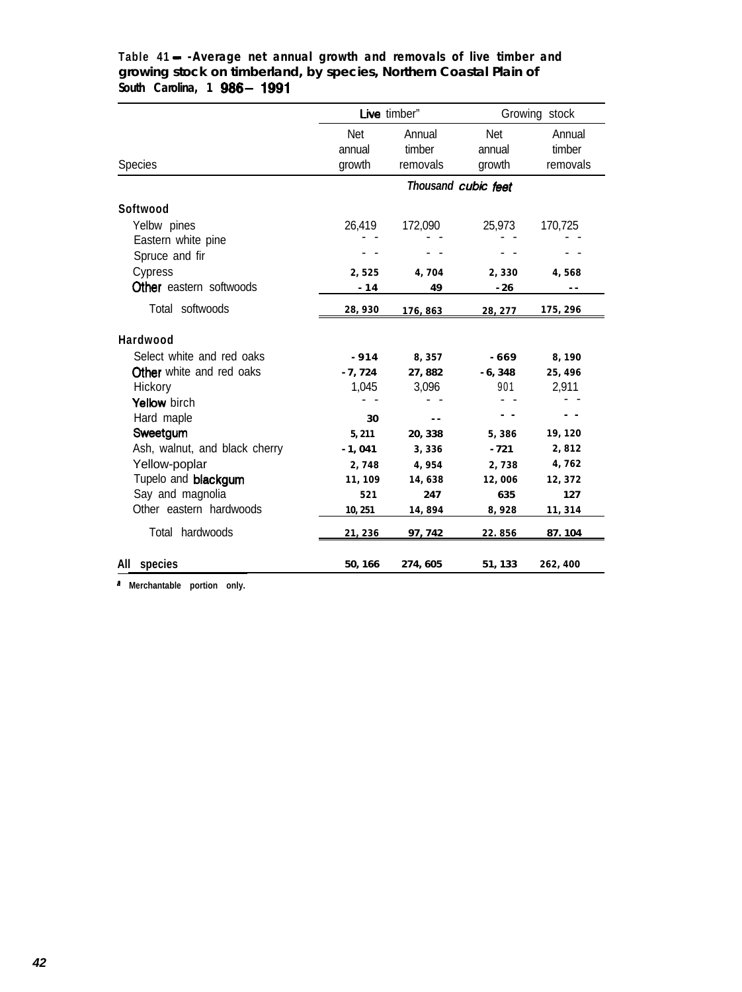|                                 |          | Live timber"   |                     | Growing stock |
|---------------------------------|----------|----------------|---------------------|---------------|
|                                 | Net      | Annual         | Net                 | Annual        |
|                                 | annual   | timber         | annual              | timber        |
| <b>Species</b>                  | growth   | removals       | growth              | removals      |
|                                 |          |                | Thousand cubic feet |               |
| Softwood                        |          |                |                     |               |
| Yelbw pines                     | 26,419   | 172,090        | 25,973              | 170,725       |
| Eastern white pine              |          |                |                     |               |
| Spruce and fir                  |          |                |                     |               |
| Cypress                         | 2,525    | 4,704          | 2,330               | 4,568         |
| <b>Other</b> eastern softwoods  | $-14$    | 49             | $-26$               | - -           |
| Total softwoods                 | 28,930   | 176,863        | 28, 277             | 175, 296      |
| Hardwood                        |          |                |                     |               |
| Select white and red oaks       | $-914$   | 8,357          | - 669               | 8,190         |
| <b>Other</b> white and red oaks | $-7,724$ | 27,882         | $-6,348$            | 25, 496       |
| Hickory                         | 1,045    | 3,096          | 901                 | 2,911         |
| Yellow birch                    |          |                |                     |               |
| Hard maple                      | 30       | $\overline{a}$ |                     |               |
| Sweetgum                        | 5, 211   | 20, 338        | 5,386               | 19,120        |
| Ash, walnut, and black cherry   | $-1,041$ | 3,336          | $-721$              | 2,812         |
| Yellow-poplar                   | 2,748    | 4,954          | 2,738               | 4,762         |
| Tupelo and blackgum             | 11,109   | 14,638         | 12,006              | 12,372        |
| Say and magnolia                | 521      | 247            | 635                 | 127           |
| Other eastern hardwoods         | 10, 251  | 14,894         | 8,928               | 11, 314       |
| Total hardwoods                 | 21,236   | 97, 742        | 22.856              | 87.104        |
| All species                     | 50, 166  | 274, 605       | 51, 133             | 262,400       |

# **Table 41 - -Average net annual growth and removals of live timber and growing stock on timberland, by species, Northern Coastal Plain of South Carolina, 1 g88- 1991**

**a Merchantable portion only.**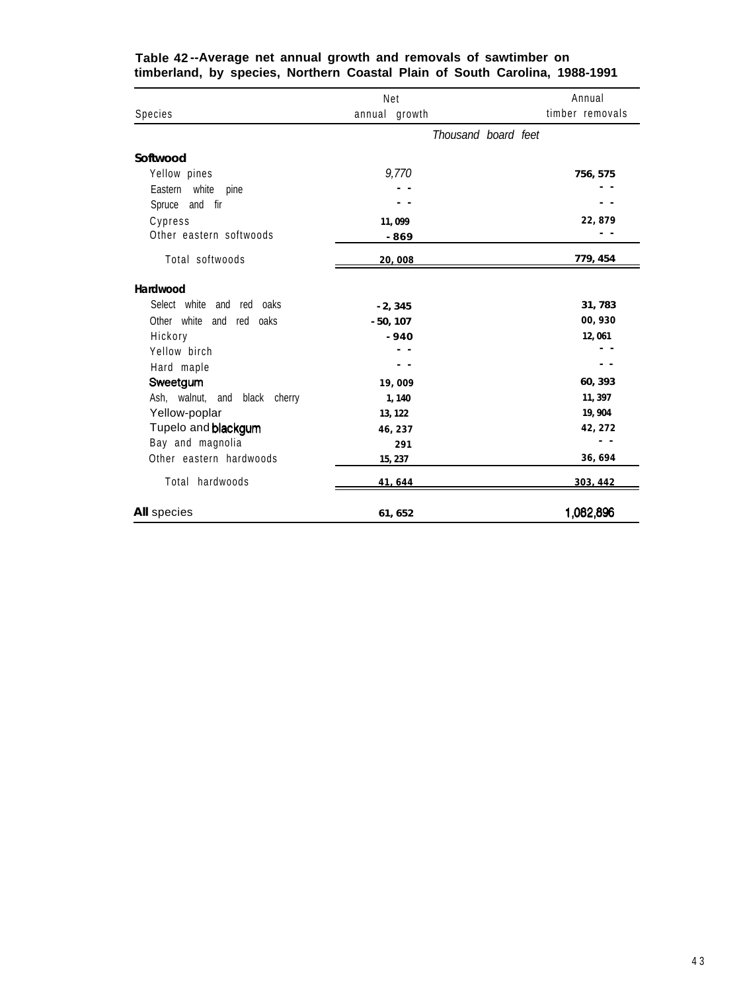|                                | Net           |                     | Annual          |
|--------------------------------|---------------|---------------------|-----------------|
| Species                        | annual growth |                     | timber removals |
|                                |               | Thousand board feet |                 |
| Softwood                       |               |                     |                 |
| Yellow pines                   | 9,770         |                     | 756, 575        |
| Eastern white<br>pine          |               |                     |                 |
| Spruce and fir                 |               |                     |                 |
| Cypress                        | 11,099        |                     | 22,879          |
| Other eastern softwoods        | -869          |                     |                 |
| Total softwoods                | 20,008        |                     | 779, 454        |
| Hardwood                       |               |                     |                 |
| Select white and red oaks      | $-2, 345$     |                     | 31,783          |
| Other white and<br>oaks<br>red | $-50, 107$    |                     | 00,930          |
| Hickory                        | $-940$        |                     | 12,061          |
| Yellow birch                   | - -           |                     |                 |
| Hard maple                     |               |                     |                 |
| Sweetgum                       | 19,009        |                     | 60, 393         |
| Ash, walnut, and black cherry  | 1,140         |                     | 11, 397         |
| Yellow-poplar                  | 13, 122       |                     | 19, 904         |
| Tupelo and blackgum            | 46, 237       |                     | 42, 272         |
| Bay and magnolia               | 291           |                     |                 |
| Other eastern hardwoods        | 15, 237       |                     | 36,694          |
| Total hardwoods                | 41,644        |                     | 303, 442        |
| <b>All</b> species             | 61, 652       |                     | 1,082,896       |

#### **Table 42 --Average net annual growth and removals of sawtimber on timberland, by species, Northern Coastal Plain of South Carolina, 1988-1991**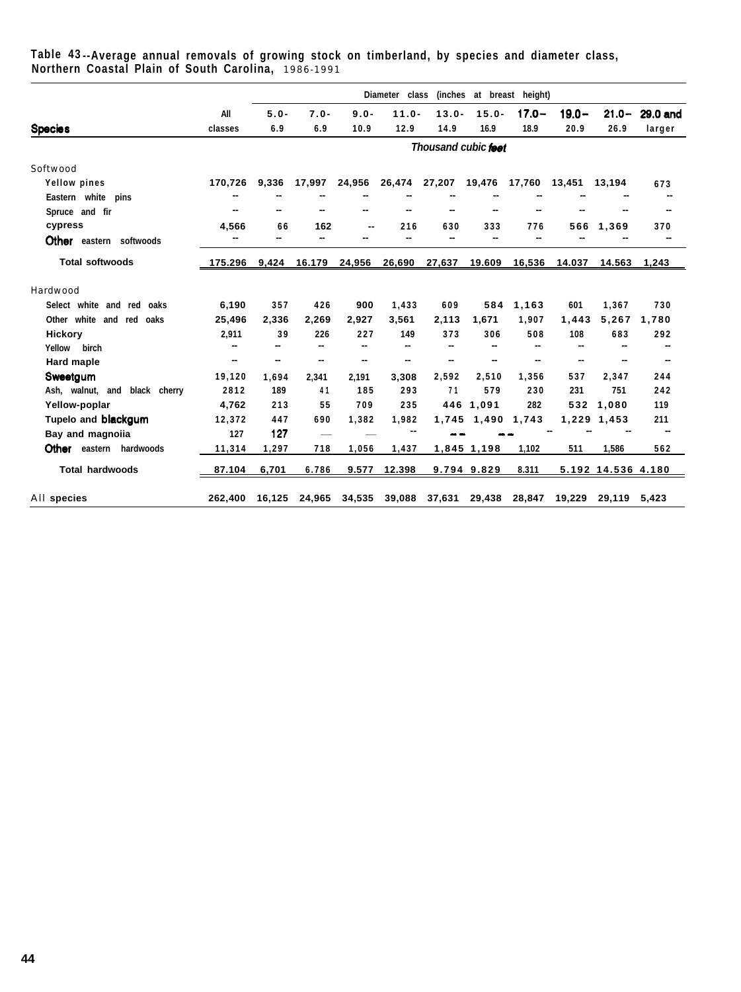|                                                     | Table 43--Average annual removals of growing stock on timberland, by species and diameter class, |  |
|-----------------------------------------------------|--------------------------------------------------------------------------------------------------|--|
| Northern Coastal Plain of South Carolina, 1986-1991 |                                                                                                  |  |

|                                   |         |         |                          |         | Diameter class |                     |             | (inches at breast height) |          |                    |          |
|-----------------------------------|---------|---------|--------------------------|---------|----------------|---------------------|-------------|---------------------------|----------|--------------------|----------|
|                                   | All     | $5.0 -$ | $7.0 -$                  | $9.0 -$ | $11.0 -$       | $13.0 -$            | $15.0 -$    | $17.0 -$                  | $19.0 -$ | $21.0 -$           | 29.0 and |
| <b>Species</b>                    | classes | 6.9     | 6.9                      | 10.9    | 12.9           | 14.9                | 16.9        | 18.9                      | 20.9     | 26.9               | larger   |
|                                   |         |         |                          |         |                | Thousand cubic feet |             |                           |          |                    |          |
| Softwood                          |         |         |                          |         |                |                     |             |                           |          |                    |          |
| Yellow pines                      | 170,726 | 9,336   | 17,997                   | 24,956  | 26,474         | 27,207              | 19,476      | 17,760                    | 13,451   | 13,194             | 673      |
| Eastern white pins                |         |         |                          |         |                |                     |             |                           |          |                    |          |
| Spruce and fir                    |         | --      |                          |         |                |                     |             |                           |          |                    |          |
| cypress                           | 4,566   | 66      | 162                      |         | 216            | 630                 | 333         | 776                       | 566      | 1,369              | 370      |
| <b>Other</b> eastern softwoods    | --      | --      |                          |         | --             |                     |             |                           |          |                    |          |
| <b>Total softwoods</b>            | 175.296 | 9,424   | 16.179                   | 24,956  | 26,690         | 27,637              | 19.609      | 16,536                    | 14.037   | 14.563             | 1,243    |
| Hardwood                          |         |         |                          |         |                |                     |             |                           |          |                    |          |
| Select white and red<br>oaks      | 6,190   | 357     | 426                      | 900     | 1,433          | 609                 | 584         | 1,163                     | 601      | 1,367              | 730      |
| Other<br>white<br>and<br>red oaks | 25,496  | 2,336   | 2,269                    | 2,927   | 3,561          | 2,113               | 1,671       | 1,907                     | 1,443    | 5,267              | 1,780    |
| Hickory                           | 2,911   | 39      | 226                      | 227     | 149            | 373                 | 306         | 508                       | 108      | 683                | 292      |
| Yellow<br>birch                   | --      | --      | $\overline{\phantom{a}}$ | --      | --             |                     |             |                           |          | --                 | --       |
| <b>Hard maple</b>                 | --      | --      | н.                       | --      | --             | --                  |             |                           | --       | --                 | -        |
| Sweetgum                          | 19,120  | 1,694   | 2,341                    | 2,191   | 3,308          | 2,592               | 2,510       | 1,356                     | 537      | 2.347              | 244      |
| Ash, walnut, and black cherry     | 2812    | 189     | 41                       | 185     | 293            | 71                  | 579         | 230                       | 231      | 751                | 242      |
| Yellow-poplar                     | 4.762   | 213     | 55                       | 709     | 235            |                     | 446 1.091   | 282                       | 532      | 1,080              | 119      |
| Tupelo and blackgum               | 12,372  | 447     | 690                      | 1,382   | 1,982          | 1,745               | 1,490       | 1,743                     |          | 1,229 1,453        | 211      |
| Bay and magnoiia                  | 127     | 127     | $\overline{\phantom{0}}$ |         |                |                     |             |                           |          |                    |          |
| Other eastern<br>hardwoods        | 11,314  | 1,297   | 718                      | 1,056   | 1,437          |                     | 1,845 1,198 | 1,102                     | 511      | 1,586              | 562      |
| <b>Total hardwoods</b>            | 87.104  | 6.701   | 6.786                    | 9.577   | 12.398         |                     | 9.794 9.829 | 8.311                     |          | 5.192 14.536 4.180 |          |
| All species                       | 262.400 | 16.125  | 24.965                   | 34,535  | 39,088         | 37,631              | 29,438      | 28.847                    | 19.229   | 29.119 5.423       |          |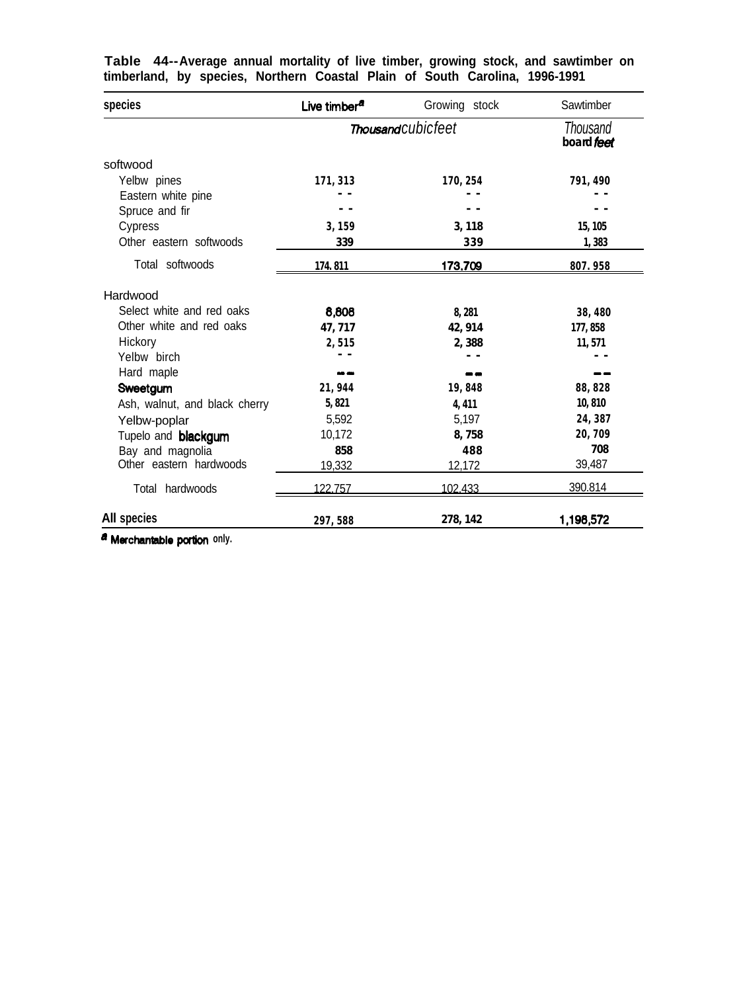| species                       | Live timber <sup>a</sup> | Growing stock      | Sawtimber              |  |
|-------------------------------|--------------------------|--------------------|------------------------|--|
|                               |                          | Thousand cubicfeet | Thousand<br>board feet |  |
| softwood                      |                          |                    |                        |  |
| Yelbw pines                   | 171, 313                 | 170, 254           | 791, 490               |  |
| Eastern white pine            |                          |                    |                        |  |
| Spruce and fir                |                          |                    |                        |  |
| Cypress                       | 3,159                    | 3,118              | 15, 105                |  |
| Other eastern softwoods       | 339                      | 339                | 1,383                  |  |
| Total softwoods               | 174.811                  | 173,709            | 807.958                |  |
| Hardwood                      |                          |                    |                        |  |
| Select white and red oaks     | 8,808                    | 8,281              | 38,480                 |  |
| Other white and red oaks      | 47, 717                  | 42, 914            | 177,858                |  |
| Hickory                       | 2,515                    | 2,388              | 11, 571                |  |
| Yelbw birch                   |                          |                    |                        |  |
| Hard maple                    | <b>NO 980</b>            | --                 |                        |  |
| Sweetgum                      | 21, 944                  | 19,848             | 88, 828                |  |
| Ash, walnut, and black cherry | 5,821                    | 4,411              | 10,810                 |  |
| Yelbw-poplar                  | 5,592                    | 5,197              | 24, 387                |  |
| Tupelo and <b>blackgum</b>    | 10,172                   | 8,758              | 20,709                 |  |
| Bay and magnolia              | 858                      | 488                | 708                    |  |
| Other eastern hardwoods       | 19,332                   | 12,172             | 39,487                 |  |
| Total hardwoods               | 122.757                  | 102.433            | 390.814                |  |
| All species                   | 297,588                  | 278, 142           | 1,198,572              |  |

**Table 44--Average annual mortality of live timber, growing stock, and sawtimber on timberland, by species, Northern Coastal Plain of South Carolina, 1996-1991**

 $a$  **Merchantable** portion only.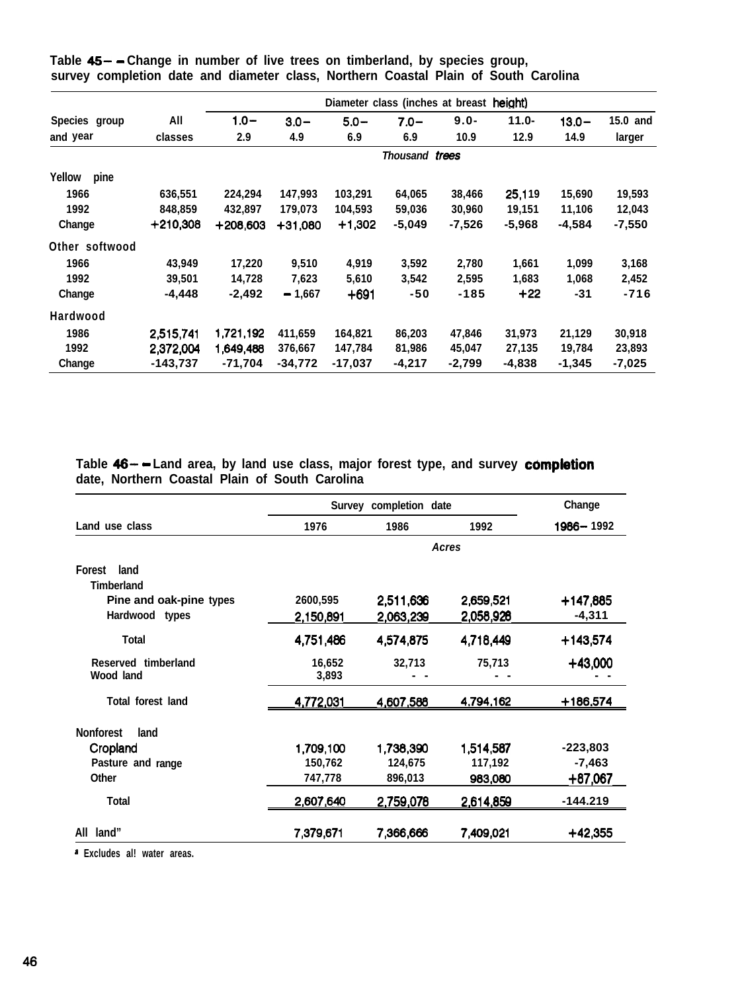| Species group<br>and year<br>Yellow<br>pine |            | Diameter class (inches at breast height) |           |          |                |          |          |          |          |  |
|---------------------------------------------|------------|------------------------------------------|-----------|----------|----------------|----------|----------|----------|----------|--|
|                                             | All        | $1.0 -$                                  | $3.0 -$   | $5.0 -$  | $7.0 -$        | $9.0 -$  | $11.0 -$ | $13.0 -$ | 15.0 and |  |
|                                             | classes    | 2.9                                      | 4.9       | 6.9      | 6.9            | 10.9     | 12.9     | 14.9     | larger   |  |
|                                             |            |                                          |           |          | Thousand trees |          |          |          |          |  |
|                                             |            |                                          |           |          |                |          |          |          |          |  |
| 1966                                        | 636,551    | 224,294                                  | 147,993   | 103,291  | 64,065         | 38,466   | 25,119   | 15,690   | 19,593   |  |
| 1992                                        | 848,859    | 432,897                                  | 179,073   | 104,593  | 59,036         | 30,960   | 19,151   | 11,106   | 12,043   |  |
| Change                                      | +210,308   | +208,603                                 | $+31.080$ | $+1,302$ | $-5,049$       | $-7,526$ | -5,968   | -4,584   | $-7,550$ |  |
| Other softwood                              |            |                                          |           |          |                |          |          |          |          |  |
| 1966                                        | 43,949     | 17,220                                   | 9,510     | 4,919    | 3,592          | 2,780    | 1,661    | 1,099    | 3,168    |  |
| 1992                                        | 39,501     | 14,728                                   | 7,623     | 5,610    | 3,542          | 2,595    | 1,683    | 1,068    | 2,452    |  |
| Change                                      | -4,448     | $-2,492$                                 | $-1,667$  | $+691$   | $-50$          | $-185$   | $+22$    | -31      | -716     |  |
| Hardwood                                    |            |                                          |           |          |                |          |          |          |          |  |
| 1986                                        | 2,515,741  | 1,721,192                                | 411,659   | 164,821  | 86,203         | 47,846   | 31,973   | 21,129   | 30,918   |  |
| 1992                                        | 2,372,004  | 1,649,488                                | 376,667   | 147,784  | 81,986         | 45,047   | 27,135   | 19,784   | 23,893   |  |
| Change                                      | $-143.737$ | $-71,704$                                | $-34,772$ | -17,037  | -4,217         | $-2,799$ | -4,838   | $-1,345$ | $-7,025$ |  |

**Table 4% - Change in number of live trees on timberland, by species group, survey completion date and diameter class, Northern Coastal Plain of South Carolina**

**Table 46- - Land area, by land use class, major forest type, and survey c6mpletion date, Northern Coastal Plain of South Carolina**

|                          | Survey completion date | Change    |           |           |
|--------------------------|------------------------|-----------|-----------|-----------|
| Land use class           | 1976                   | 1986      | 1992      | 1986-1992 |
|                          |                        |           | Acres     |           |
| <b>Forest</b><br>land    |                        |           |           |           |
| <b>Timberland</b>        |                        |           |           |           |
| Pine and oak-pine types  | 2600,595               | 2,511,636 | 2,659,521 | +147,885  |
| Hardwood types           | 2,150,891              | 2.063.239 | 2,058,928 | $-4,311$  |
| Total                    | 4,751,486              | 4,574,875 | 4,718,449 | +143,574  |
| Reserved timberland      | 16,652                 | 32,713    | 75,713    | $+43,000$ |
| Wood land                | 3,893                  |           |           |           |
| <b>Total forest land</b> | 4,772,031              | 4,607,588 | 4,794,162 | +186,574  |
| <b>Nonforest</b><br>land |                        |           |           |           |
| Cropland                 | 1,709,100              | 1,738,390 | 1,514,587 | -223,803  |
| Pasture and range        | 150,762                | 124,675   | 117,192   | $-7,463$  |
| Other                    | 747,778                | 896,013   | 983,080   | +87,067   |
| <b>Total</b>             | 2.607.640              | 2,759,078 | 2,614,859 | -144.219  |
| land"<br>All             | 7,379,671              | 7,366,666 | 7,409,021 | $+42,355$ |

**a Excludes al! water areas.**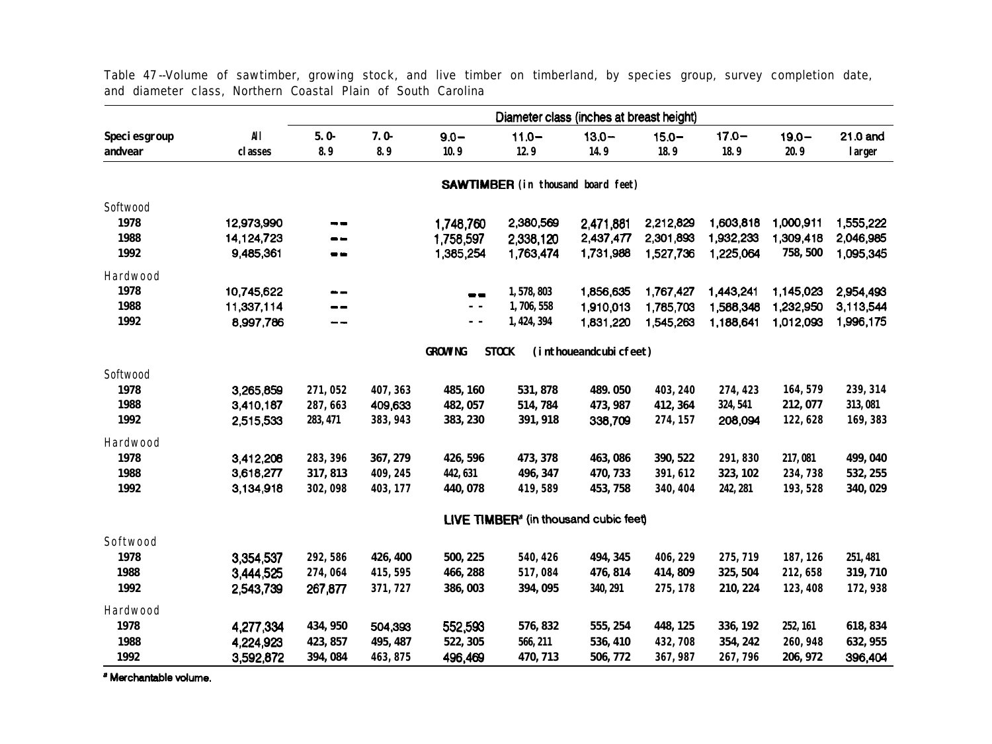|                     |            | Diameter class (inches at breast height) |          |                        |                                                   |                        |                        |           |           |                        |
|---------------------|------------|------------------------------------------|----------|------------------------|---------------------------------------------------|------------------------|------------------------|-----------|-----------|------------------------|
| <b>Speciesgroup</b> | <b>All</b> | $5.0 -$                                  | $7.0-$   | $9.0 -$                | $11.0 -$                                          | $13.0 -$               | $15.0 -$               | $17.0 -$  | $19.0 -$  | 21.0 and               |
| andvear             | classes    | 8.9                                      | 8.9      | 10.9                   | 12.9                                              | 14.9                   | 18.9                   | 18.9      | 20.9      | larger                 |
|                     |            |                                          |          |                        | <b>SAWTIMBER</b> (in thousand board feet)         |                        |                        |           |           |                        |
|                     |            |                                          |          |                        |                                                   |                        |                        |           |           |                        |
| Softwood<br>1978    | 12,973,990 |                                          |          |                        | 2,380,569                                         |                        | 2,212,829              | 1,603,818 | 1,000,911 | 1,555,222              |
| 1988                | 14,124,723 | - -<br>--                                |          | 1,748,760<br>1,758,597 | 2,338,120                                         | 2,471,881<br>2,437,477 | 2,301,893              | 1,932,233 | 1,309,418 | 2,046,985              |
| 1992                | 9,485,361  | --                                       |          | 1,385,254              | 1,763,474                                         | 1,731,988              | 1,527,736              | 1,225,064 | 758, 500  | 1,095,345              |
|                     |            |                                          |          |                        |                                                   |                        |                        |           |           |                        |
| Hardwood<br>1978    | 10,745,622 |                                          |          |                        |                                                   |                        |                        | 1,443,241 | 1,145,023 |                        |
| 1988                | 11,337,114 | --                                       |          | --<br>$\overline{a}$   | 1,578,803<br>1,706,558                            | 1,856,635<br>1,910,013 | 1,767,427<br>1,785,703 | 1,588,348 | 1,232,950 | 2,954,493<br>3,113,544 |
| 1992                | 8,997,786  |                                          |          | $\sim$ $\sim$          | 1, 424, 394                                       | 1,831,220              | 1,545,263              | 1,188,641 | 1,012,093 | 1,996,175              |
|                     |            |                                          |          |                        |                                                   |                        |                        |           |           |                        |
|                     |            |                                          |          | <b>GROWING</b>         | <b>STOCK</b>                                      | (inthoueandcubicfeet)  |                        |           |           |                        |
| Softwood            |            |                                          |          |                        |                                                   |                        |                        |           |           |                        |
| 1978                | 3,265,859  | 271,052                                  | 407, 363 | 485, 160               | 531, 878                                          | 489.050                | 403, 240               | 274, 423  | 164, 579  | 239, 314               |
| 1988                | 3,410,187  | 287,663                                  | 409,633  | 482, 057               | 514, 784                                          | 473, 987               | 412, 364               | 324, 541  | 212, 077  | 313,081                |
| 1992                | 2,515,533  | 283, 471                                 | 383, 943 | 383, 230               | 391, 918                                          | 338,709                | 274, 157               | 208,094   | 122,628   | 169, 383               |
| Hardwood            |            |                                          |          |                        |                                                   |                        |                        |           |           |                        |
| 1978                | 3,412,208  | 283, 396                                 | 367, 279 | 426, 596               | 473, 378                                          | 463, 086               | 390, 522               | 291,830   | 217,081   | 499, 040               |
| 1988                | 3,618,277  | 317, 813                                 | 409, 245 | 442, 631               | 496, 347                                          | 470, 733               | 391, 612               | 323, 102  | 234,738   | 532, 255               |
| 1992                | 3,134,918  | 302,098                                  | 403, 177 | 440, 078               | 419,589                                           | 453, 758               | 340, 404               | 242, 281  | 193, 528  | 340, 029               |
|                     |            |                                          |          |                        | LIVE TIMBER <sup>®</sup> (in thousand cubic feet) |                        |                        |           |           |                        |
| Softwood            |            |                                          |          |                        |                                                   |                        |                        |           |           |                        |
| 1978                | 3,354,537  | 292, 586                                 | 426, 400 | 500, 225               | 540, 426                                          | 494, 345               | 406, 229               | 275, 719  | 187, 126  | 251, 481               |
| 1988                | 3,444,525  | 274,064                                  | 415, 595 | 466, 288               | 517,084                                           | 476, 814               | 414, 809               | 325, 504  | 212,658   | 319, 710               |
| 1992                | 2,543,739  | 267,877                                  | 371, 727 | 386,003                | 394, 095                                          | 340, 291               | 275, 178               | 210, 224  | 123, 408  | 172,938                |
| Hardwood            |            |                                          |          |                        |                                                   |                        |                        |           |           |                        |
| 1978                | 4,277,334  | 434, 950                                 | 504,393  | 552,593                | 576, 832                                          | 555, 254               | 448, 125               | 336, 192  | 252, 161  | 618, 834               |
| 1988                | 4,224,923  | 423, 857                                 | 495, 487 | 522, 305               | 566, 211                                          | 536, 410               | 432,708                | 354, 242  | 260, 948  | 632, 955               |
| 1992                | 3,592,872  | 394, 084                                 | 463, 875 | 496,469                | 470, 713                                          | 506, 772               | 367, 987               | 267,796   | 206, 972  | 396,404                |

Table 47 --Volume of sawtimber, growing stock, and live timber on timberland, by species group, survey completion date, and diameter class, Northern Coastal Plain of South Carolina

**'Merchantablevolume.**